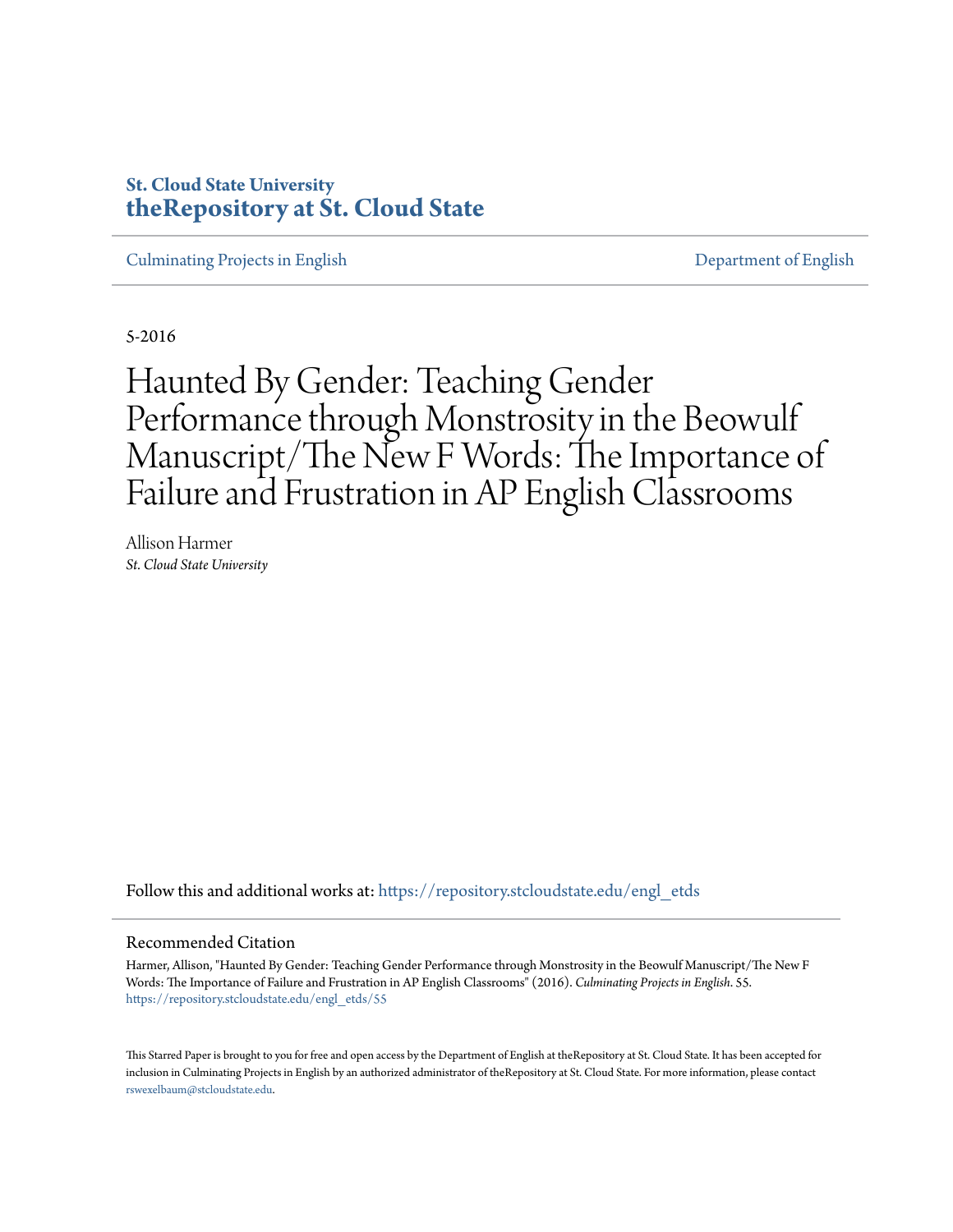# **St. Cloud State University [theRepository at St. Cloud State](https://repository.stcloudstate.edu?utm_source=repository.stcloudstate.edu%2Fengl_etds%2F55&utm_medium=PDF&utm_campaign=PDFCoverPages)**

[Culminating Projects in English](https://repository.stcloudstate.edu/engl_etds?utm_source=repository.stcloudstate.edu%2Fengl_etds%2F55&utm_medium=PDF&utm_campaign=PDFCoverPages) [Department of English](https://repository.stcloudstate.edu/engl?utm_source=repository.stcloudstate.edu%2Fengl_etds%2F55&utm_medium=PDF&utm_campaign=PDFCoverPages)

5-2016

# Haunted By Gender: Teaching Gender Performance through Monstrosity in the Beowulf Manuscript/The New F Words: The Importance of Failure and Frustration in AP English Classrooms

Allison Harmer *St. Cloud State University*

Follow this and additional works at: [https://repository.stcloudstate.edu/engl\\_etds](https://repository.stcloudstate.edu/engl_etds?utm_source=repository.stcloudstate.edu%2Fengl_etds%2F55&utm_medium=PDF&utm_campaign=PDFCoverPages)

#### Recommended Citation

Harmer, Allison, "Haunted By Gender: Teaching Gender Performance through Monstrosity in the Beowulf Manuscript/The New F Words: The Importance of Failure and Frustration in AP English Classrooms" (2016). *Culminating Projects in English*. 55. [https://repository.stcloudstate.edu/engl\\_etds/55](https://repository.stcloudstate.edu/engl_etds/55?utm_source=repository.stcloudstate.edu%2Fengl_etds%2F55&utm_medium=PDF&utm_campaign=PDFCoverPages)

This Starred Paper is brought to you for free and open access by the Department of English at theRepository at St. Cloud State. It has been accepted for inclusion in Culminating Projects in English by an authorized administrator of theRepository at St. Cloud State. For more information, please contact [rswexelbaum@stcloudstate.edu](mailto:rswexelbaum@stcloudstate.edu).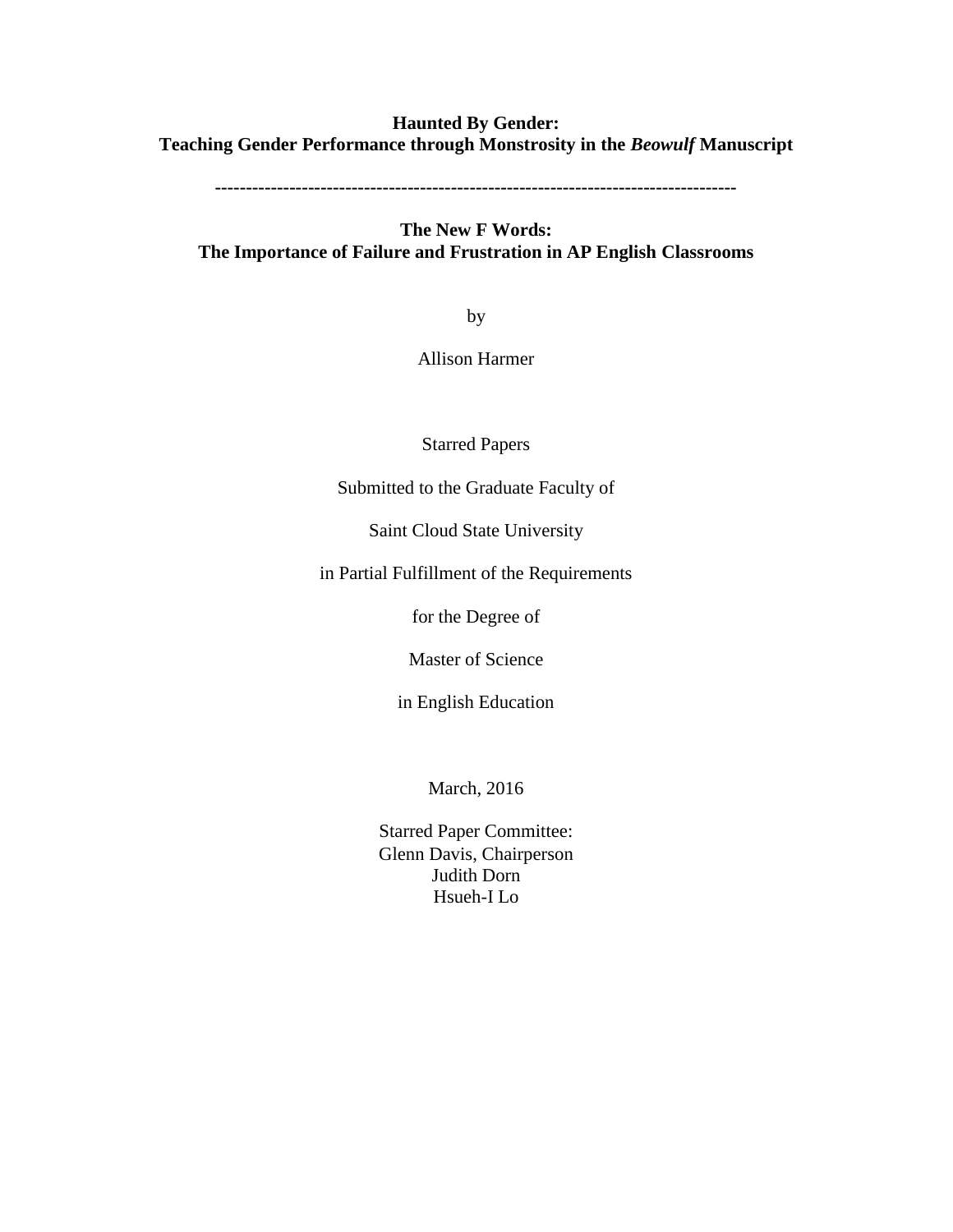## **Haunted By Gender: Teaching Gender Performance through Monstrosity in the** *Beowulf* **Manuscript**

**------------------------------------------------------------------------------------**

## **The New F Words: The Importance of Failure and Frustration in AP English Classrooms**

by

Allison Harmer

Starred Papers

Submitted to the Graduate Faculty of

Saint Cloud State University

in Partial Fulfillment of the Requirements

for the Degree of

Master of Science

in English Education

March, 2016

Starred Paper Committee: Glenn Davis, Chairperson Judith Dorn Hsueh-I Lo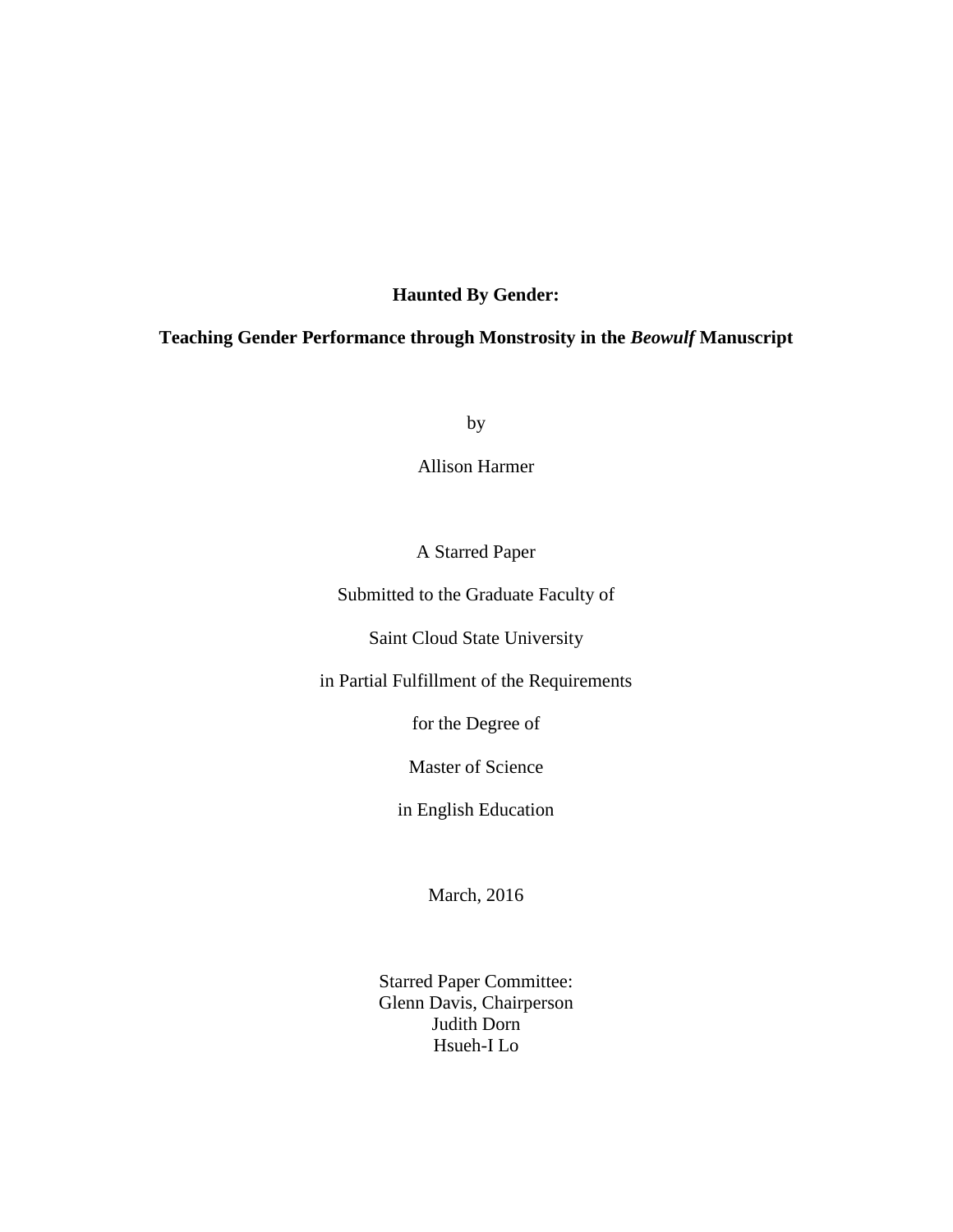## **Haunted By Gender:**

## **Teaching Gender Performance through Monstrosity in the** *Beowulf* **Manuscript**

by

Allison Harmer

## A Starred Paper

Submitted to the Graduate Faculty of

Saint Cloud State University

in Partial Fulfillment of the Requirements

for the Degree of

Master of Science

in English Education

March, 2016

Starred Paper Committee: Glenn Davis, Chairperson Judith Dorn Hsueh-I Lo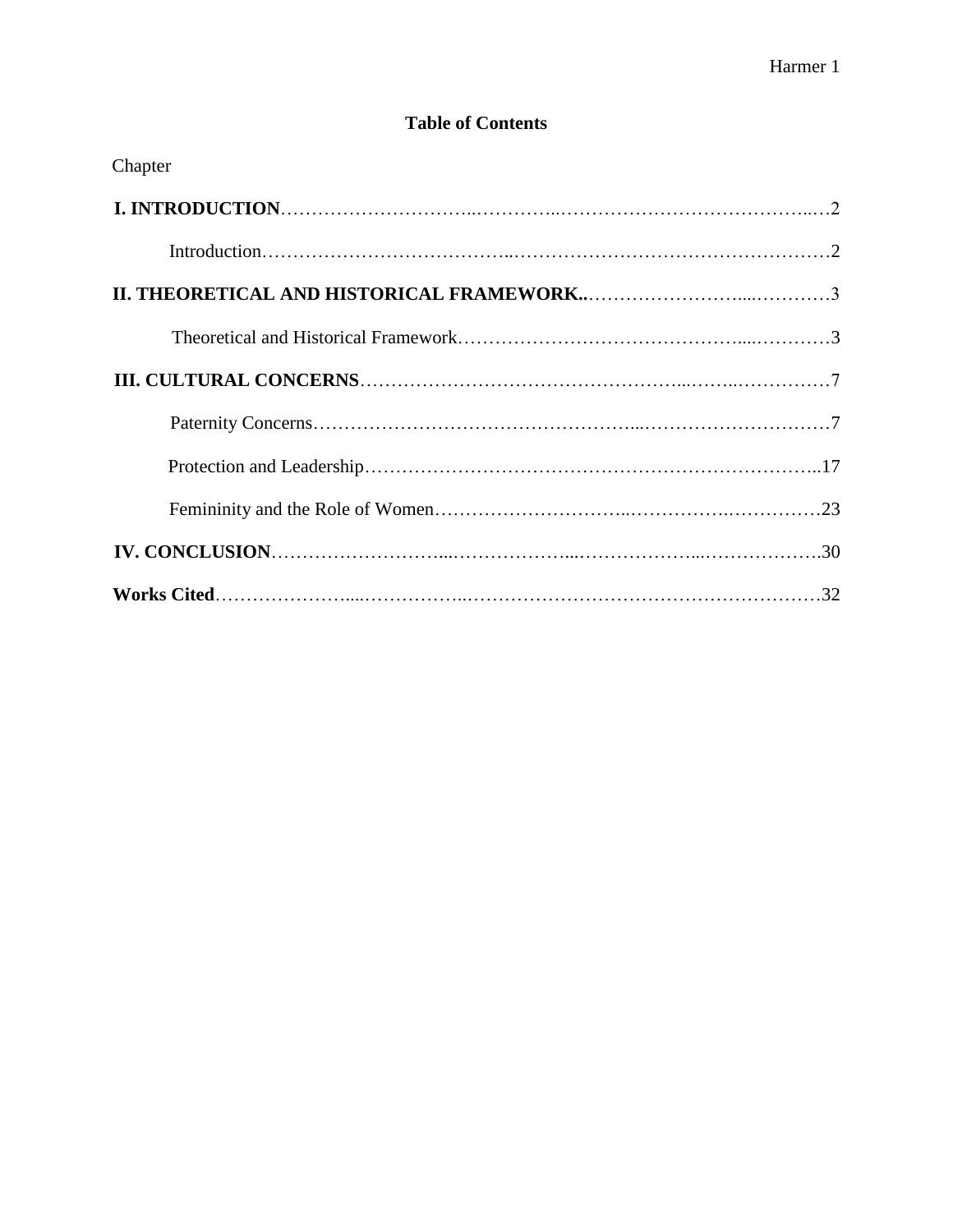# **Table of Contents**

| Chapter |  |
|---------|--|
|         |  |
|         |  |
|         |  |
|         |  |
|         |  |
|         |  |
|         |  |
|         |  |
|         |  |
|         |  |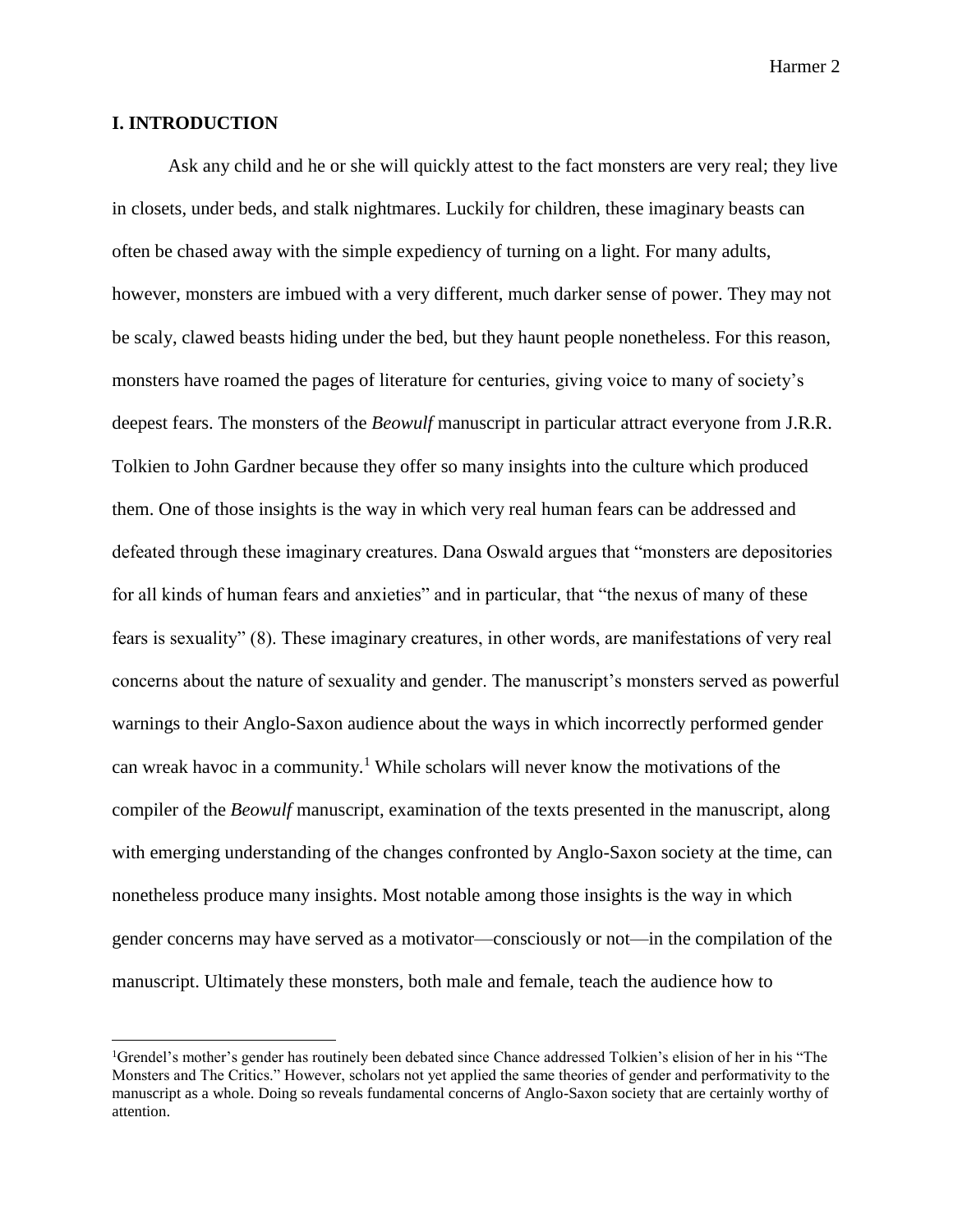#### **I. INTRODUCTION**

 $\overline{\phantom{a}}$ 

Ask any child and he or she will quickly attest to the fact monsters are very real; they live in closets, under beds, and stalk nightmares. Luckily for children, these imaginary beasts can often be chased away with the simple expediency of turning on a light. For many adults, however, monsters are imbued with a very different, much darker sense of power. They may not be scaly, clawed beasts hiding under the bed, but they haunt people nonetheless. For this reason, monsters have roamed the pages of literature for centuries, giving voice to many of society's deepest fears. The monsters of the *Beowulf* manuscript in particular attract everyone from J.R.R. Tolkien to John Gardner because they offer so many insights into the culture which produced them. One of those insights is the way in which very real human fears can be addressed and defeated through these imaginary creatures. Dana Oswald argues that "monsters are depositories for all kinds of human fears and anxieties" and in particular, that "the nexus of many of these fears is sexuality" (8). These imaginary creatures, in other words, are manifestations of very real concerns about the nature of sexuality and gender. The manuscript's monsters served as powerful warnings to their Anglo-Saxon audience about the ways in which incorrectly performed gender can wreak havoc in a community.<sup>1</sup> While scholars will never know the motivations of the compiler of the *Beowulf* manuscript, examination of the texts presented in the manuscript, along with emerging understanding of the changes confronted by Anglo-Saxon society at the time, can nonetheless produce many insights. Most notable among those insights is the way in which gender concerns may have served as a motivator—consciously or not—in the compilation of the manuscript. Ultimately these monsters, both male and female, teach the audience how to

<sup>1</sup>Grendel's mother's gender has routinely been debated since Chance addressed Tolkien's elision of her in his "The Monsters and The Critics." However, scholars not yet applied the same theories of gender and performativity to the manuscript as a whole. Doing so reveals fundamental concerns of Anglo-Saxon society that are certainly worthy of attention.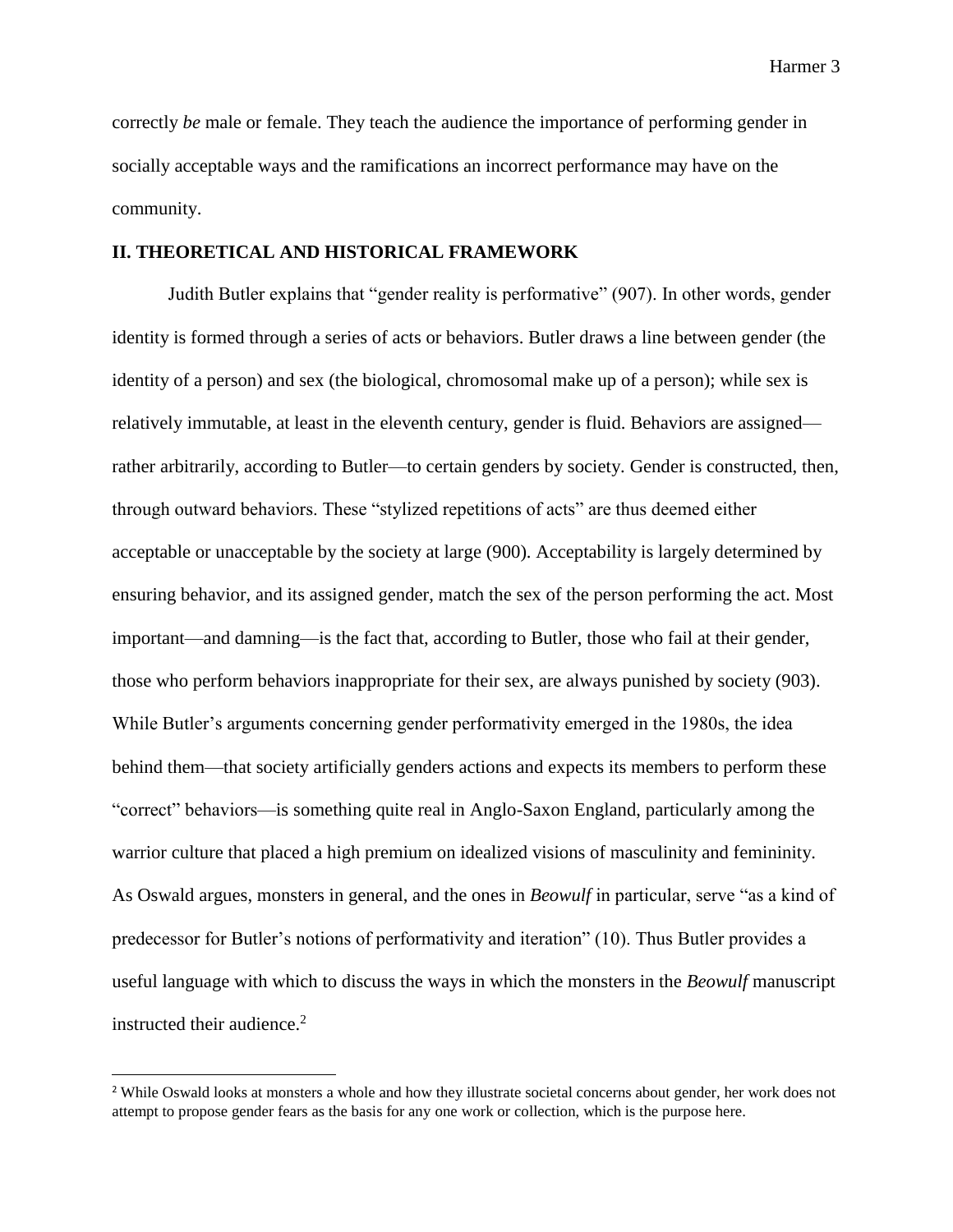correctly *be* male or female. They teach the audience the importance of performing gender in socially acceptable ways and the ramifications an incorrect performance may have on the community.

## **II. THEORETICAL AND HISTORICAL FRAMEWORK**

Judith Butler explains that "gender reality is performative" (907). In other words, gender identity is formed through a series of acts or behaviors. Butler draws a line between gender (the identity of a person) and sex (the biological, chromosomal make up of a person); while sex is relatively immutable, at least in the eleventh century, gender is fluid. Behaviors are assigned rather arbitrarily, according to Butler—to certain genders by society. Gender is constructed, then, through outward behaviors. These "stylized repetitions of acts" are thus deemed either acceptable or unacceptable by the society at large (900). Acceptability is largely determined by ensuring behavior, and its assigned gender, match the sex of the person performing the act. Most important—and damning—is the fact that, according to Butler, those who fail at their gender, those who perform behaviors inappropriate for their sex, are always punished by society (903). While Butler's arguments concerning gender performativity emerged in the 1980s, the idea behind them—that society artificially genders actions and expects its members to perform these "correct" behaviors—is something quite real in Anglo-Saxon England, particularly among the warrior culture that placed a high premium on idealized visions of masculinity and femininity. As Oswald argues, monsters in general, and the ones in *Beowulf* in particular, serve "as a kind of predecessor for Butler's notions of performativity and iteration" (10). Thus Butler provides a useful language with which to discuss the ways in which the monsters in the *Beowulf* manuscript instructed their audience.<sup>2</sup>

l

<sup>&</sup>lt;sup>2</sup> While Oswald looks at monsters a whole and how they illustrate societal concerns about gender, her work does not attempt to propose gender fears as the basis for any one work or collection, which is the purpose here.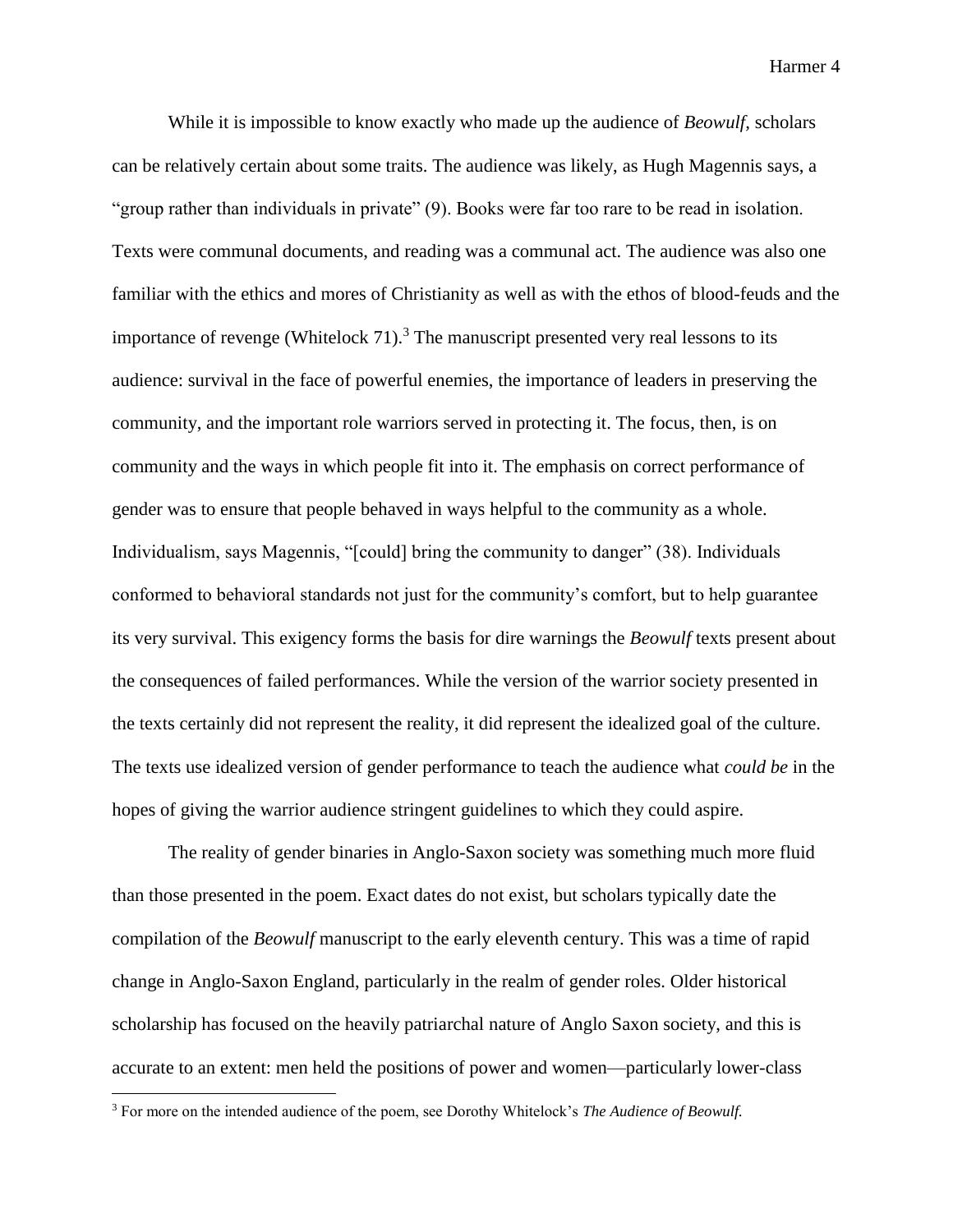While it is impossible to know exactly who made up the audience of *Beowulf,* scholars can be relatively certain about some traits. The audience was likely, as Hugh Magennis says, a "group rather than individuals in private" (9). Books were far too rare to be read in isolation. Texts were communal documents, and reading was a communal act. The audience was also one familiar with the ethics and mores of Christianity as well as with the ethos of blood-feuds and the importance of revenge (Whitelock 71).<sup>3</sup> The manuscript presented very real lessons to its audience: survival in the face of powerful enemies, the importance of leaders in preserving the community, and the important role warriors served in protecting it. The focus, then, is on community and the ways in which people fit into it. The emphasis on correct performance of gender was to ensure that people behaved in ways helpful to the community as a whole. Individualism, says Magennis, "[could] bring the community to danger" (38). Individuals conformed to behavioral standards not just for the community's comfort, but to help guarantee its very survival. This exigency forms the basis for dire warnings the *Beowulf* texts present about the consequences of failed performances. While the version of the warrior society presented in the texts certainly did not represent the reality, it did represent the idealized goal of the culture. The texts use idealized version of gender performance to teach the audience what *could be* in the hopes of giving the warrior audience stringent guidelines to which they could aspire.

The reality of gender binaries in Anglo-Saxon society was something much more fluid than those presented in the poem. Exact dates do not exist, but scholars typically date the compilation of the *Beowulf* manuscript to the early eleventh century. This was a time of rapid change in Anglo-Saxon England, particularly in the realm of gender roles. Older historical scholarship has focused on the heavily patriarchal nature of Anglo Saxon society, and this is accurate to an extent: men held the positions of power and women—particularly lower-class

<sup>3</sup> For more on the intended audience of the poem, see Dorothy Whitelock's *The Audience of Beowulf.*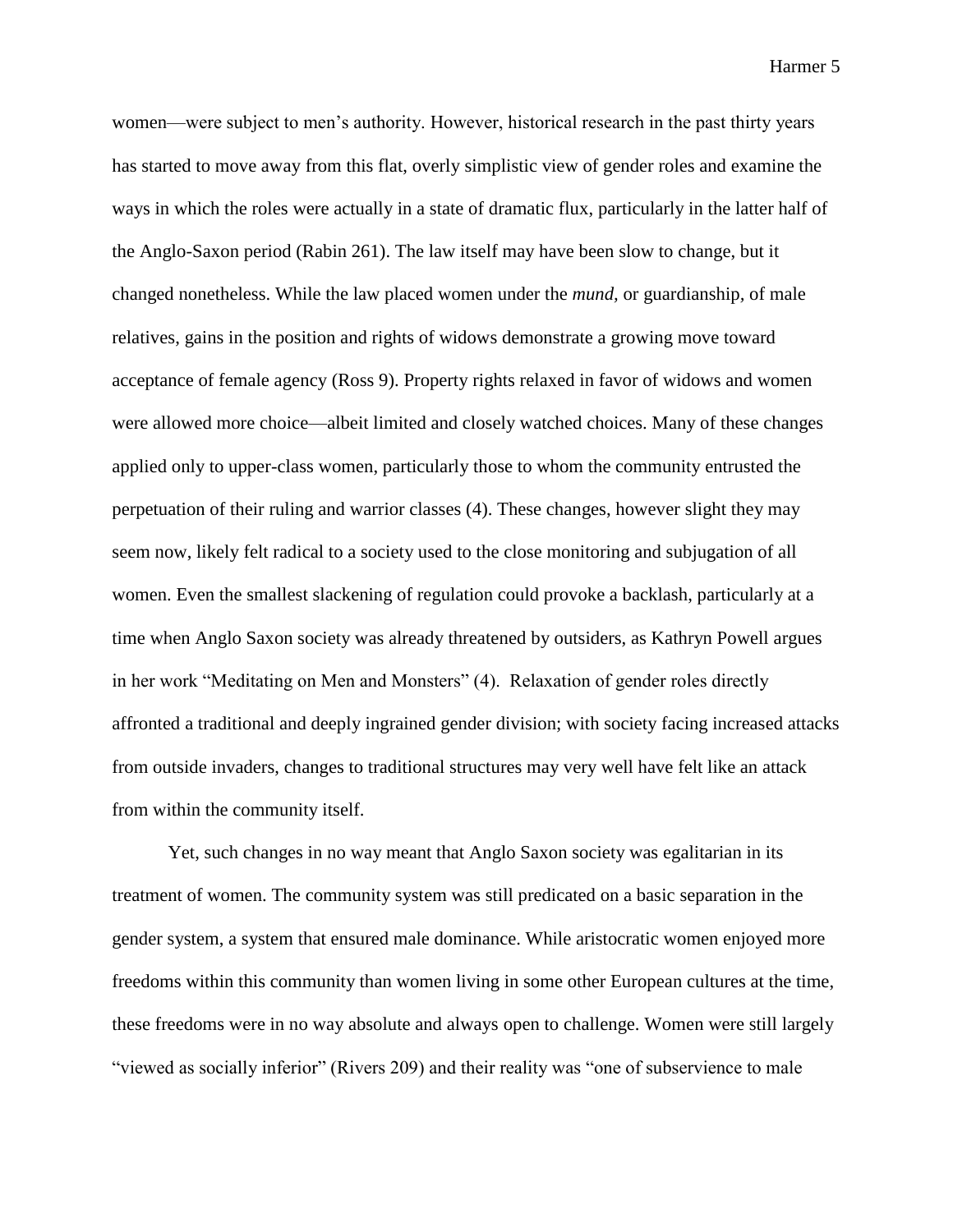women—were subject to men's authority. However, historical research in the past thirty years has started to move away from this flat, overly simplistic view of gender roles and examine the ways in which the roles were actually in a state of dramatic flux, particularly in the latter half of the Anglo-Saxon period (Rabin 261). The law itself may have been slow to change, but it changed nonetheless. While the law placed women under the *mund,* or guardianship*,* of male relatives, gains in the position and rights of widows demonstrate a growing move toward acceptance of female agency (Ross 9). Property rights relaxed in favor of widows and women were allowed more choice—albeit limited and closely watched choices. Many of these changes applied only to upper-class women, particularly those to whom the community entrusted the perpetuation of their ruling and warrior classes (4). These changes, however slight they may seem now, likely felt radical to a society used to the close monitoring and subjugation of all women. Even the smallest slackening of regulation could provoke a backlash, particularly at a time when Anglo Saxon society was already threatened by outsiders, as Kathryn Powell argues in her work "Meditating on Men and Monsters" (4). Relaxation of gender roles directly affronted a traditional and deeply ingrained gender division; with society facing increased attacks from outside invaders, changes to traditional structures may very well have felt like an attack from within the community itself.

Yet, such changes in no way meant that Anglo Saxon society was egalitarian in its treatment of women. The community system was still predicated on a basic separation in the gender system, a system that ensured male dominance. While aristocratic women enjoyed more freedoms within this community than women living in some other European cultures at the time, these freedoms were in no way absolute and always open to challenge. Women were still largely "viewed as socially inferior" (Rivers 209) and their reality was "one of subservience to male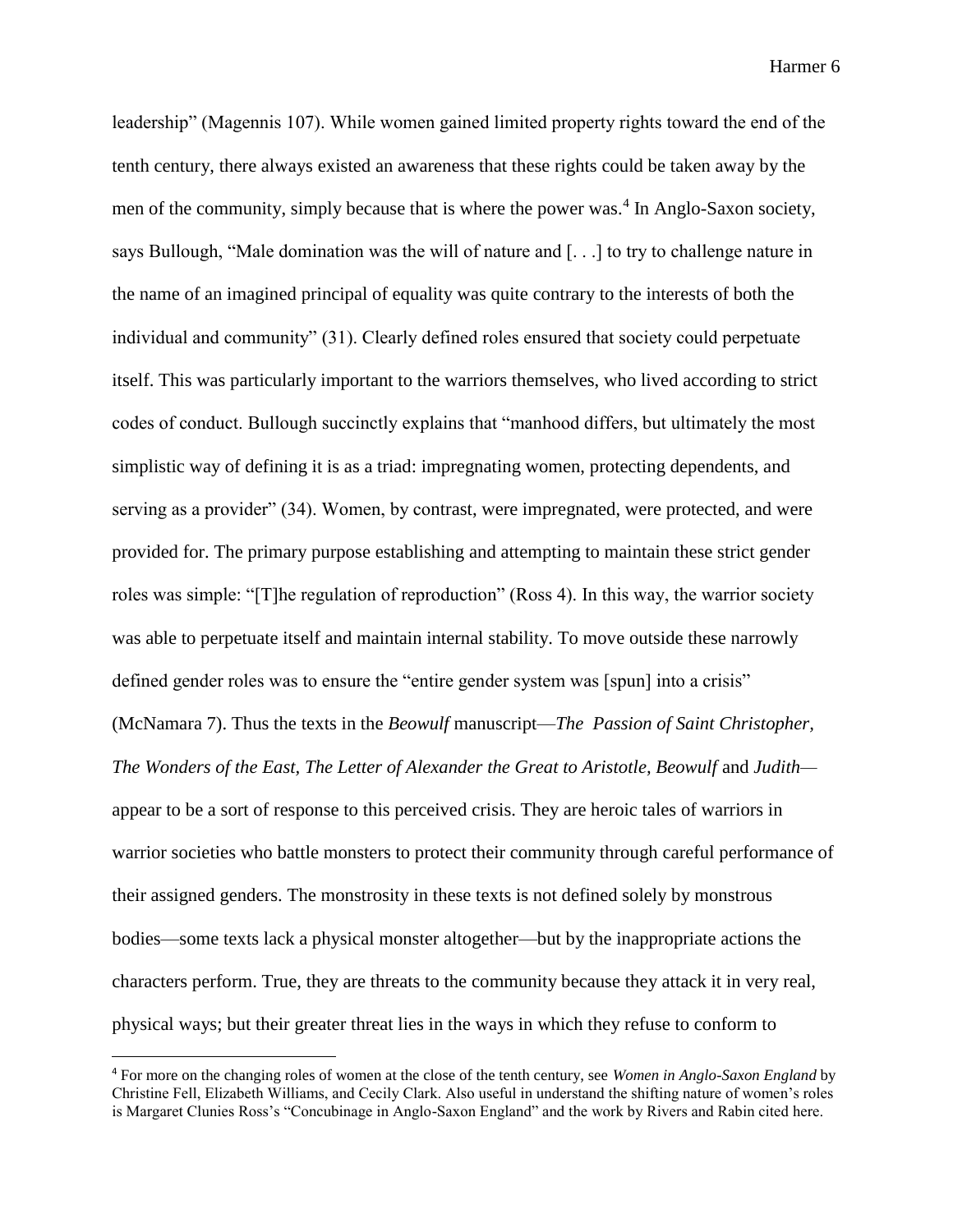leadership" (Magennis 107). While women gained limited property rights toward the end of the tenth century, there always existed an awareness that these rights could be taken away by the men of the community, simply because that is where the power was.<sup>4</sup> In Anglo-Saxon society, says Bullough, "Male domination was the will of nature and [. . .] to try to challenge nature in the name of an imagined principal of equality was quite contrary to the interests of both the individual and community" (31). Clearly defined roles ensured that society could perpetuate itself. This was particularly important to the warriors themselves, who lived according to strict codes of conduct. Bullough succinctly explains that "manhood differs, but ultimately the most simplistic way of defining it is as a triad: impregnating women, protecting dependents, and serving as a provider" (34). Women, by contrast, were impregnated, were protected, and were provided for. The primary purpose establishing and attempting to maintain these strict gender roles was simple: "[T]he regulation of reproduction" (Ross 4). In this way, the warrior society was able to perpetuate itself and maintain internal stability. To move outside these narrowly defined gender roles was to ensure the "entire gender system was [spun] into a crisis" (McNamara 7). Thus the texts in the *Beowulf* manuscript—*The Passion of Saint Christopher, The Wonders of the East, The Letter of Alexander the Great to Aristotle, Beowulf and Judith* appear to be a sort of response to this perceived crisis. They are heroic tales of warriors in warrior societies who battle monsters to protect their community through careful performance of their assigned genders. The monstrosity in these texts is not defined solely by monstrous bodies—some texts lack a physical monster altogether—but by the inappropriate actions the characters perform. True, they are threats to the community because they attack it in very real, physical ways; but their greater threat lies in the ways in which they refuse to conform to

<sup>4</sup> For more on the changing roles of women at the close of the tenth century, see *Women in Anglo-Saxon England* by Christine Fell, Elizabeth Williams, and Cecily Clark. Also useful in understand the shifting nature of women's roles is Margaret Clunies Ross's "Concubinage in Anglo-Saxon England" and the work by Rivers and Rabin cited here.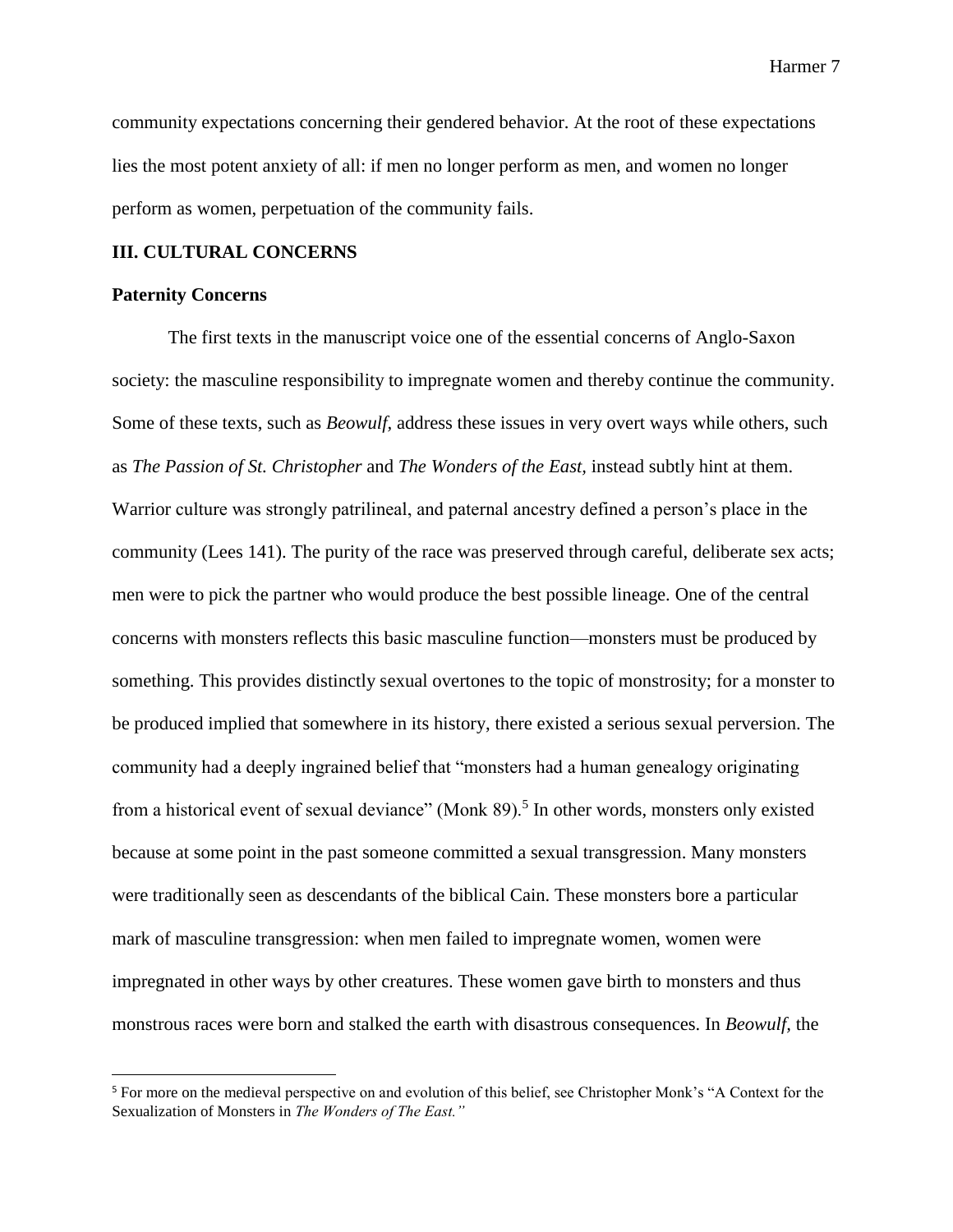community expectations concerning their gendered behavior. At the root of these expectations lies the most potent anxiety of all: if men no longer perform as men, and women no longer perform as women, perpetuation of the community fails.

#### **III. CULTURAL CONCERNS**

#### **Paternity Concerns**

l

The first texts in the manuscript voice one of the essential concerns of Anglo-Saxon society: the masculine responsibility to impregnate women and thereby continue the community. Some of these texts, such as *Beowulf,* address these issues in very overt ways while others, such as *The Passion of St. Christopher* and *The Wonders of the East,* instead subtly hint at them. Warrior culture was strongly patrilineal, and paternal ancestry defined a person's place in the community (Lees 141). The purity of the race was preserved through careful, deliberate sex acts; men were to pick the partner who would produce the best possible lineage. One of the central concerns with monsters reflects this basic masculine function—monsters must be produced by something. This provides distinctly sexual overtones to the topic of monstrosity; for a monster to be produced implied that somewhere in its history, there existed a serious sexual perversion. The community had a deeply ingrained belief that "monsters had a human genealogy originating from a historical event of sexual deviance" (Monk 89).<sup>5</sup> In other words, monsters only existed because at some point in the past someone committed a sexual transgression. Many monsters were traditionally seen as descendants of the biblical Cain. These monsters bore a particular mark of masculine transgression: when men failed to impregnate women, women were impregnated in other ways by other creatures. These women gave birth to monsters and thus monstrous races were born and stalked the earth with disastrous consequences. In *Beowulf,* the

<sup>5</sup> For more on the medieval perspective on and evolution of this belief, see Christopher Monk's "A Context for the Sexualization of Monsters in *The Wonders of The East."*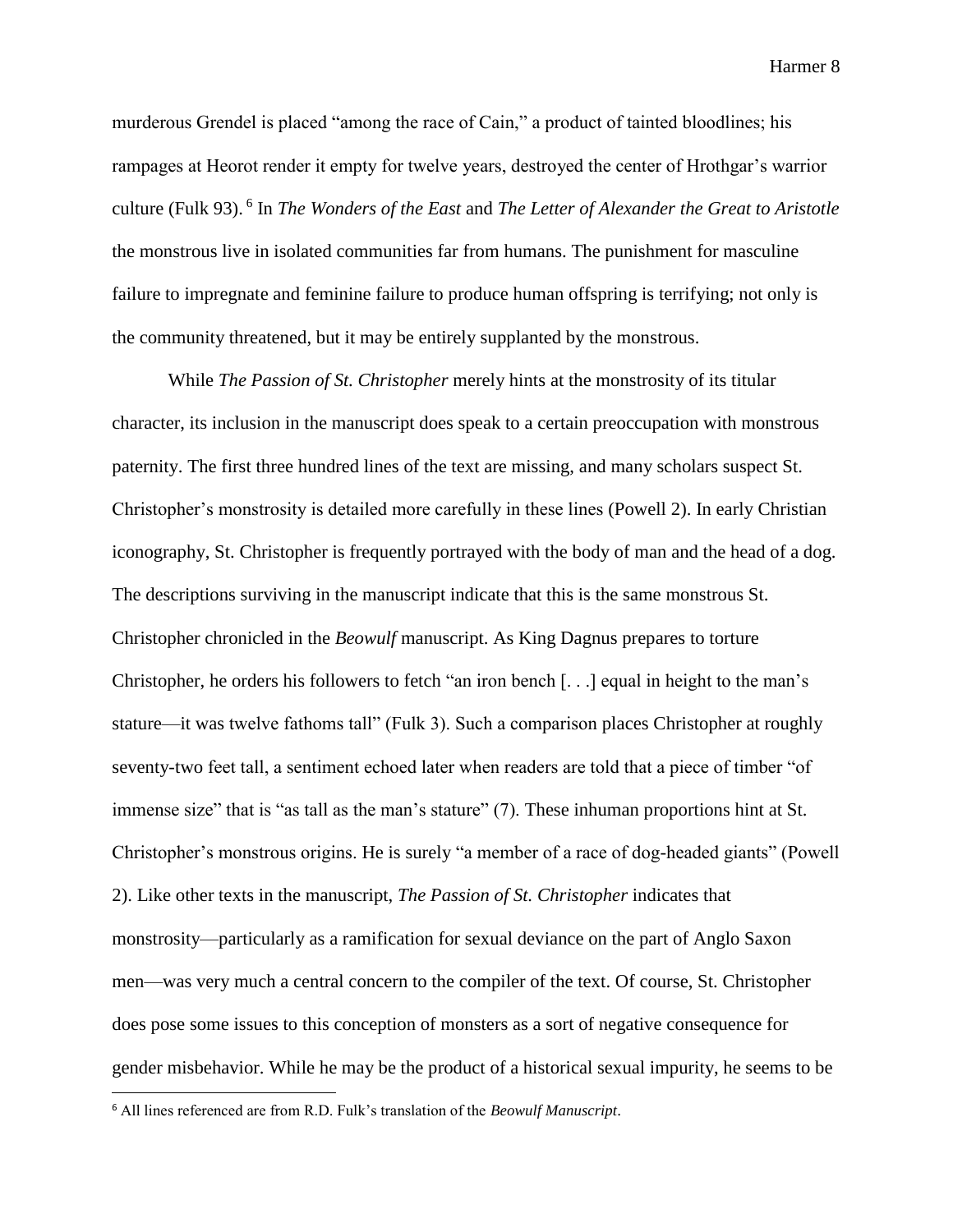murderous Grendel is placed "among the race of Cain," a product of tainted bloodlines; his rampages at Heorot render it empty for twelve years, destroyed the center of Hrothgar's warrior culture (Fulk 93). <sup>6</sup> In *The Wonders of the East* and *The Letter of Alexander the Great to Aristotle*  the monstrous live in isolated communities far from humans. The punishment for masculine failure to impregnate and feminine failure to produce human offspring is terrifying; not only is the community threatened, but it may be entirely supplanted by the monstrous.

While *The Passion of St. Christopher* merely hints at the monstrosity of its titular character, its inclusion in the manuscript does speak to a certain preoccupation with monstrous paternity. The first three hundred lines of the text are missing, and many scholars suspect St. Christopher's monstrosity is detailed more carefully in these lines (Powell 2). In early Christian iconography, St. Christopher is frequently portrayed with the body of man and the head of a dog. The descriptions surviving in the manuscript indicate that this is the same monstrous St. Christopher chronicled in the *Beowulf* manuscript. As King Dagnus prepares to torture Christopher, he orders his followers to fetch "an iron bench [. . .] equal in height to the man's stature—it was twelve fathoms tall" (Fulk 3). Such a comparison places Christopher at roughly seventy-two feet tall, a sentiment echoed later when readers are told that a piece of timber "of immense size" that is "as tall as the man's stature" (7). These inhuman proportions hint at St. Christopher's monstrous origins. He is surely "a member of a race of dog-headed giants" (Powell 2). Like other texts in the manuscript, *The Passion of St. Christopher* indicates that monstrosity—particularly as a ramification for sexual deviance on the part of Anglo Saxon men—was very much a central concern to the compiler of the text. Of course, St. Christopher does pose some issues to this conception of monsters as a sort of negative consequence for gender misbehavior. While he may be the product of a historical sexual impurity, he seems to be

<sup>6</sup> All lines referenced are from R.D. Fulk's translation of the *Beowulf Manuscript*.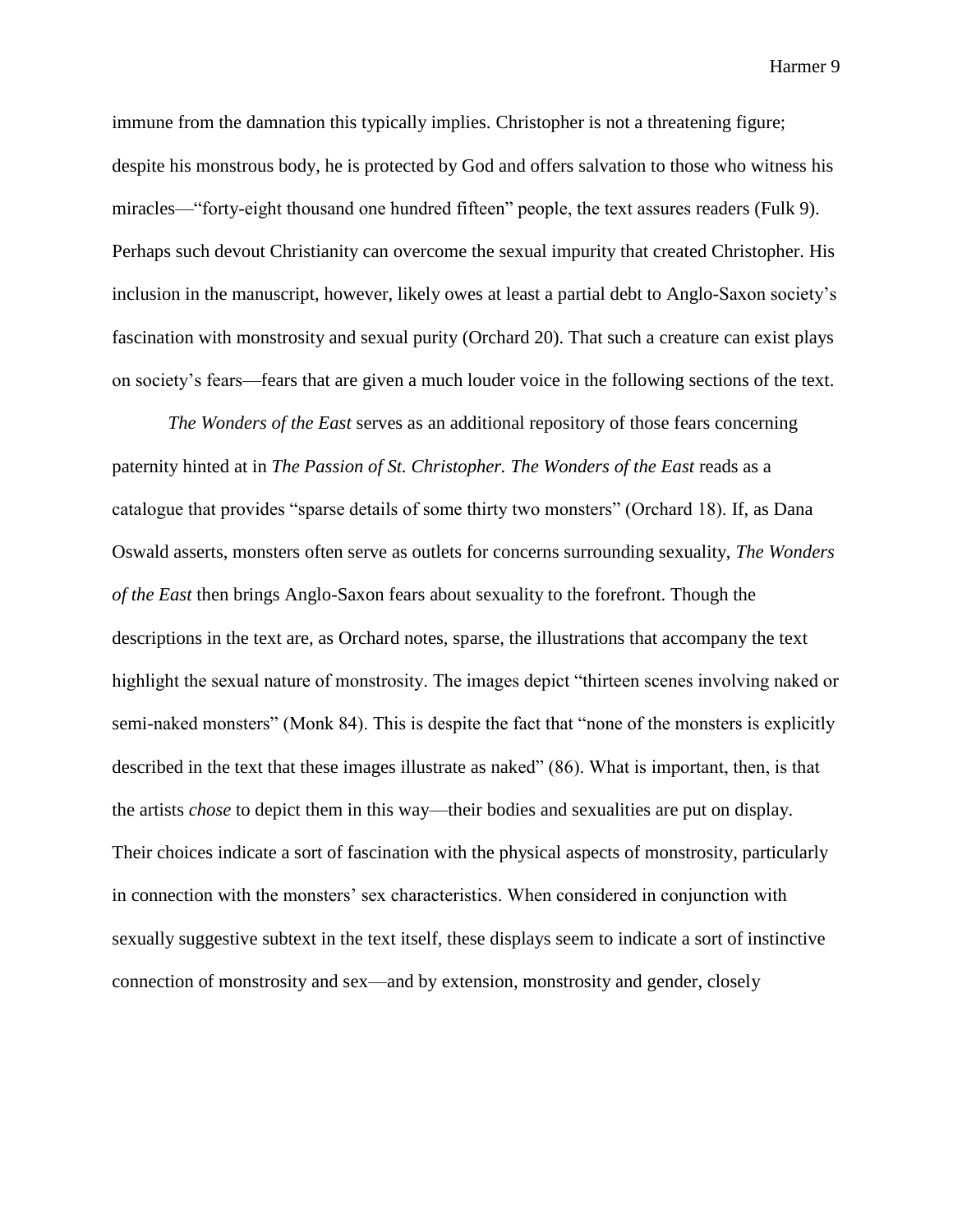immune from the damnation this typically implies. Christopher is not a threatening figure; despite his monstrous body, he is protected by God and offers salvation to those who witness his miracles—"forty-eight thousand one hundred fifteen" people, the text assures readers (Fulk 9). Perhaps such devout Christianity can overcome the sexual impurity that created Christopher. His inclusion in the manuscript, however, likely owes at least a partial debt to Anglo-Saxon society's fascination with monstrosity and sexual purity (Orchard 20). That such a creature can exist plays on society's fears—fears that are given a much louder voice in the following sections of the text.

*The Wonders of the East* serves as an additional repository of those fears concerning paternity hinted at in *The Passion of St. Christopher. The Wonders of the East reads as a* catalogue that provides "sparse details of some thirty two monsters" (Orchard 18). If, as Dana Oswald asserts, monsters often serve as outlets for concerns surrounding sexuality, *The Wonders of the East* then brings Anglo-Saxon fears about sexuality to the forefront. Though the descriptions in the text are, as Orchard notes, sparse, the illustrations that accompany the text highlight the sexual nature of monstrosity. The images depict "thirteen scenes involving naked or semi-naked monsters" (Monk 84). This is despite the fact that "none of the monsters is explicitly described in the text that these images illustrate as naked" (86). What is important, then, is that the artists *chose* to depict them in this way—their bodies and sexualities are put on display. Their choices indicate a sort of fascination with the physical aspects of monstrosity, particularly in connection with the monsters' sex characteristics. When considered in conjunction with sexually suggestive subtext in the text itself, these displays seem to indicate a sort of instinctive connection of monstrosity and sex—and by extension, monstrosity and gender, closely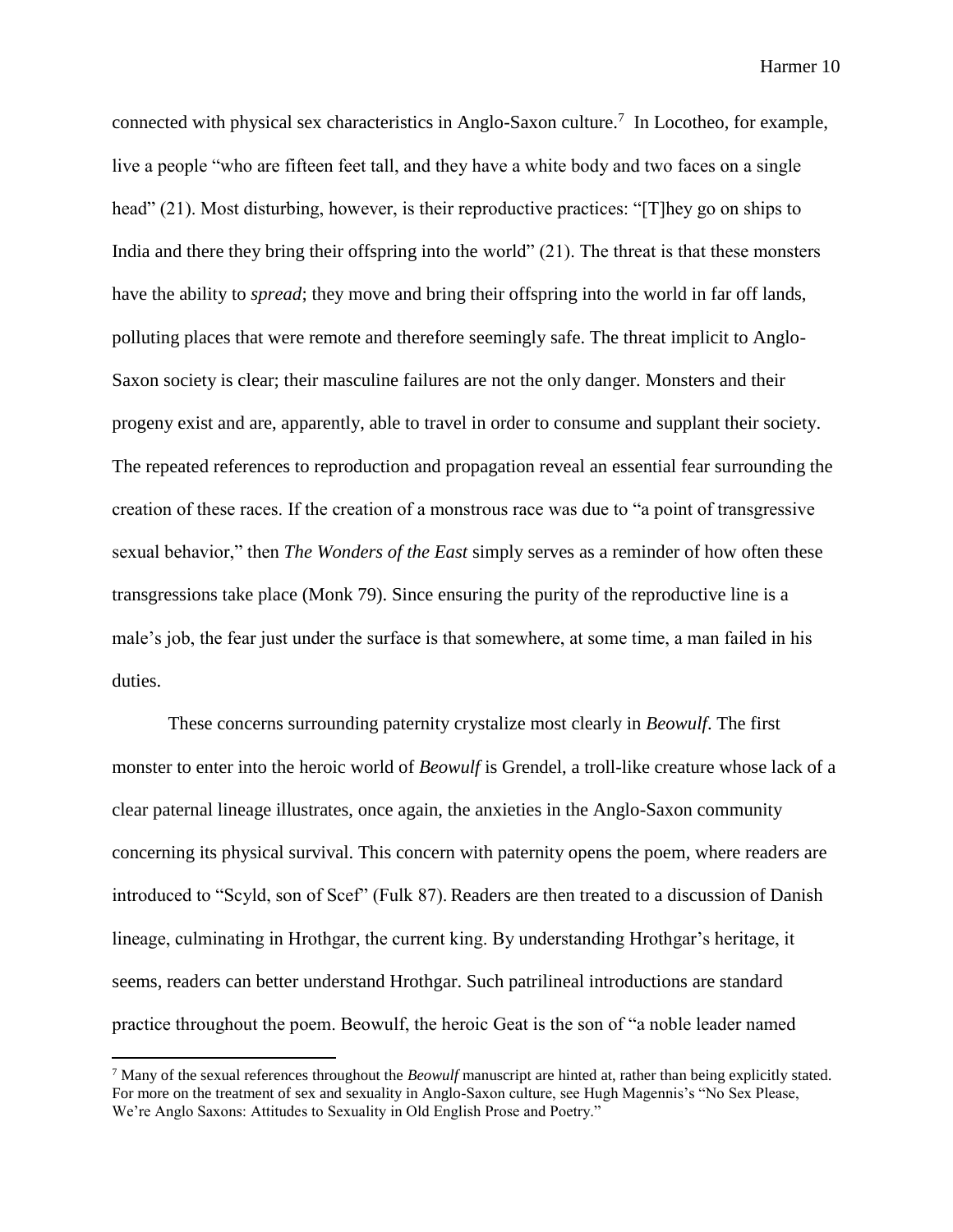connected with physical sex characteristics in Anglo-Saxon culture.<sup>7</sup> In Locotheo, for example, live a people "who are fifteen feet tall, and they have a white body and two faces on a single head" (21). Most disturbing, however, is their reproductive practices: "[T]hey go on ships to India and there they bring their offspring into the world" (21). The threat is that these monsters have the ability to *spread*; they move and bring their offspring into the world in far off lands, polluting places that were remote and therefore seemingly safe. The threat implicit to Anglo-Saxon society is clear; their masculine failures are not the only danger. Monsters and their progeny exist and are, apparently, able to travel in order to consume and supplant their society. The repeated references to reproduction and propagation reveal an essential fear surrounding the creation of these races. If the creation of a monstrous race was due to "a point of transgressive sexual behavior," then *The Wonders of the East* simply serves as a reminder of how often these transgressions take place (Monk 79). Since ensuring the purity of the reproductive line is a male's job, the fear just under the surface is that somewhere, at some time, a man failed in his duties.

These concerns surrounding paternity crystalize most clearly in *Beowulf*. The first monster to enter into the heroic world of *Beowulf* is Grendel, a troll-like creature whose lack of a clear paternal lineage illustrates, once again, the anxieties in the Anglo-Saxon community concerning its physical survival. This concern with paternity opens the poem, where readers are introduced to "Scyld, son of Scef" (Fulk 87). Readers are then treated to a discussion of Danish lineage, culminating in Hrothgar, the current king. By understanding Hrothgar's heritage, it seems, readers can better understand Hrothgar. Such patrilineal introductions are standard practice throughout the poem. Beowulf, the heroic Geat is the son of "a noble leader named

<sup>7</sup> Many of the sexual references throughout the *Beowulf* manuscript are hinted at, rather than being explicitly stated. For more on the treatment of sex and sexuality in Anglo-Saxon culture, see Hugh Magennis's "No Sex Please, We're Anglo Saxons: Attitudes to Sexuality in Old English Prose and Poetry."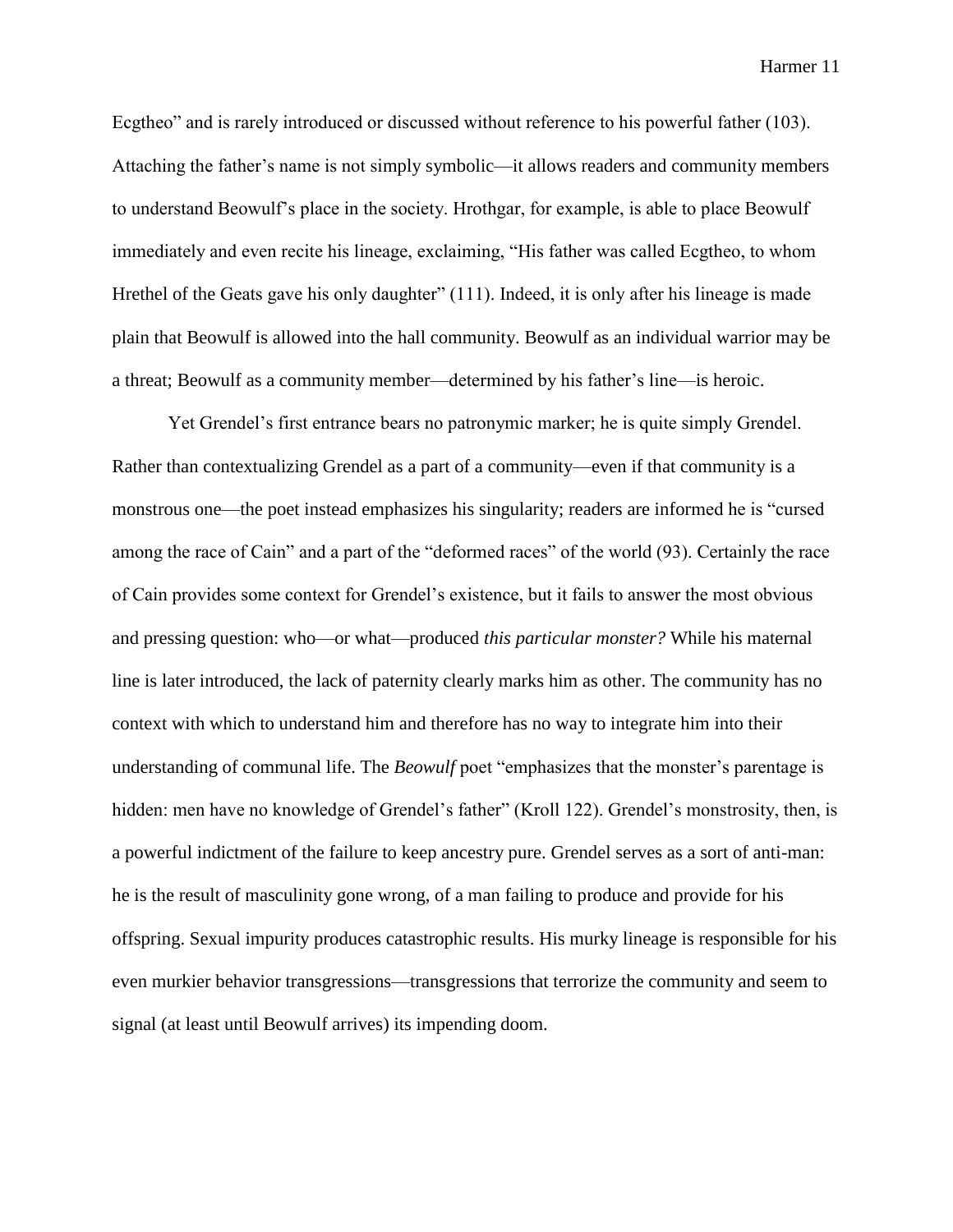Ecgtheo" and is rarely introduced or discussed without reference to his powerful father (103). Attaching the father's name is not simply symbolic—it allows readers and community members to understand Beowulf's place in the society. Hrothgar, for example, is able to place Beowulf immediately and even recite his lineage, exclaiming, "His father was called Ecgtheo, to whom Hrethel of the Geats gave his only daughter" (111). Indeed, it is only after his lineage is made plain that Beowulf is allowed into the hall community. Beowulf as an individual warrior may be a threat; Beowulf as a community member—determined by his father's line—is heroic.

Yet Grendel's first entrance bears no patronymic marker; he is quite simply Grendel. Rather than contextualizing Grendel as a part of a community—even if that community is a monstrous one—the poet instead emphasizes his singularity; readers are informed he is "cursed among the race of Cain" and a part of the "deformed races" of the world (93). Certainly the race of Cain provides some context for Grendel's existence, but it fails to answer the most obvious and pressing question: who—or what—produced *this particular monster?* While his maternal line is later introduced, the lack of paternity clearly marks him as other. The community has no context with which to understand him and therefore has no way to integrate him into their understanding of communal life. The *Beowulf* poet "emphasizes that the monster's parentage is hidden: men have no knowledge of Grendel's father" (Kroll 122). Grendel's monstrosity, then, is a powerful indictment of the failure to keep ancestry pure. Grendel serves as a sort of anti-man: he is the result of masculinity gone wrong, of a man failing to produce and provide for his offspring. Sexual impurity produces catastrophic results. His murky lineage is responsible for his even murkier behavior transgressions—transgressions that terrorize the community and seem to signal (at least until Beowulf arrives) its impending doom.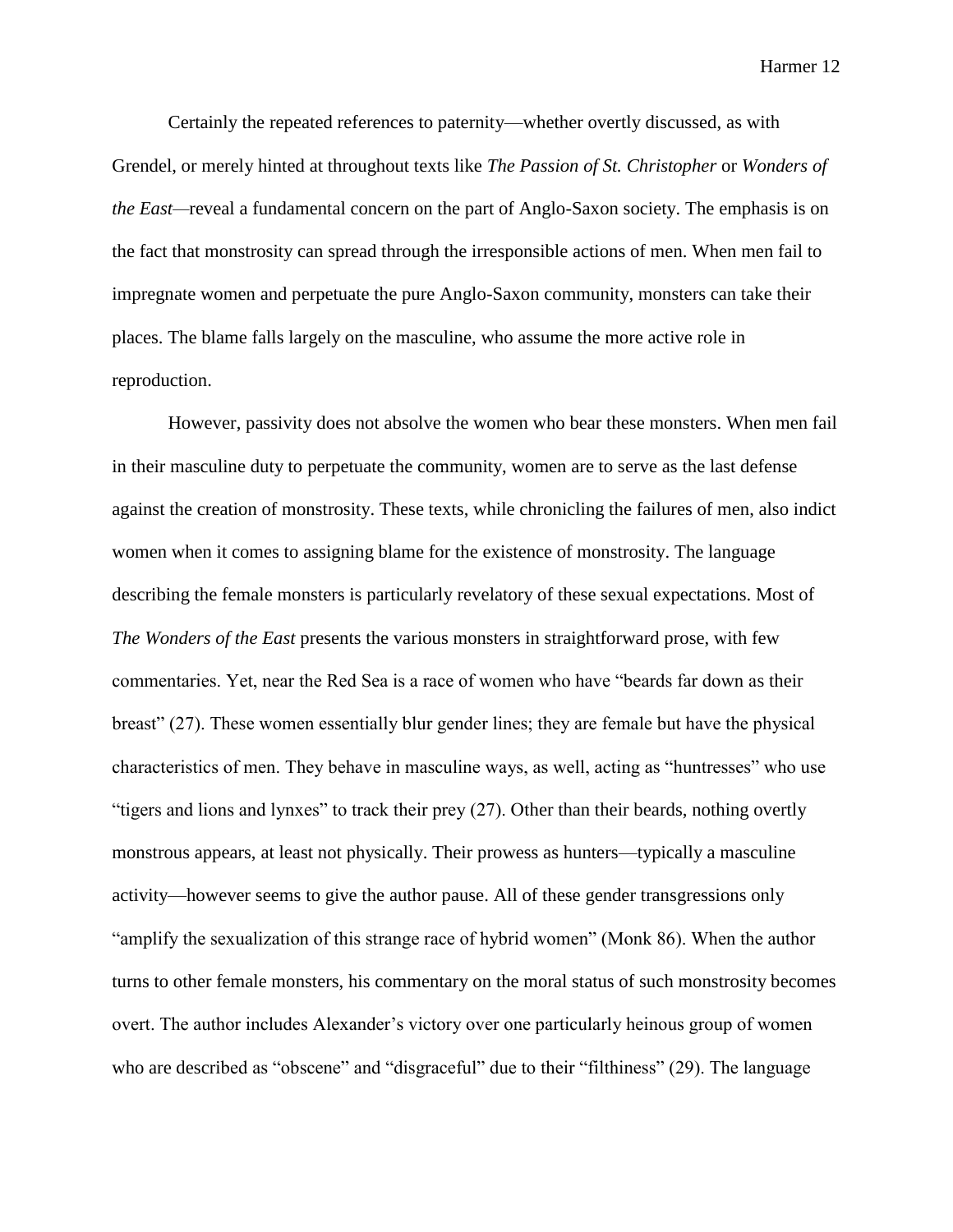Certainly the repeated references to paternity—whether overtly discussed, as with Grendel, or merely hinted at throughout texts like *The Passion of St. Christopher* or *Wonders of the East—*reveal a fundamental concern on the part of Anglo-Saxon society. The emphasis is on the fact that monstrosity can spread through the irresponsible actions of men. When men fail to impregnate women and perpetuate the pure Anglo-Saxon community, monsters can take their places. The blame falls largely on the masculine, who assume the more active role in reproduction.

However, passivity does not absolve the women who bear these monsters. When men fail in their masculine duty to perpetuate the community, women are to serve as the last defense against the creation of monstrosity. These texts, while chronicling the failures of men, also indict women when it comes to assigning blame for the existence of monstrosity. The language describing the female monsters is particularly revelatory of these sexual expectations. Most of *The Wonders of the East* presents the various monsters in straightforward prose, with few commentaries. Yet, near the Red Sea is a race of women who have "beards far down as their breast" (27). These women essentially blur gender lines; they are female but have the physical characteristics of men. They behave in masculine ways, as well, acting as "huntresses" who use "tigers and lions and lynxes" to track their prey (27). Other than their beards, nothing overtly monstrous appears, at least not physically. Their prowess as hunters—typically a masculine activity—however seems to give the author pause. All of these gender transgressions only "amplify the sexualization of this strange race of hybrid women" (Monk 86). When the author turns to other female monsters, his commentary on the moral status of such monstrosity becomes overt. The author includes Alexander's victory over one particularly heinous group of women who are described as "obscene" and "disgraceful" due to their "filthiness" (29). The language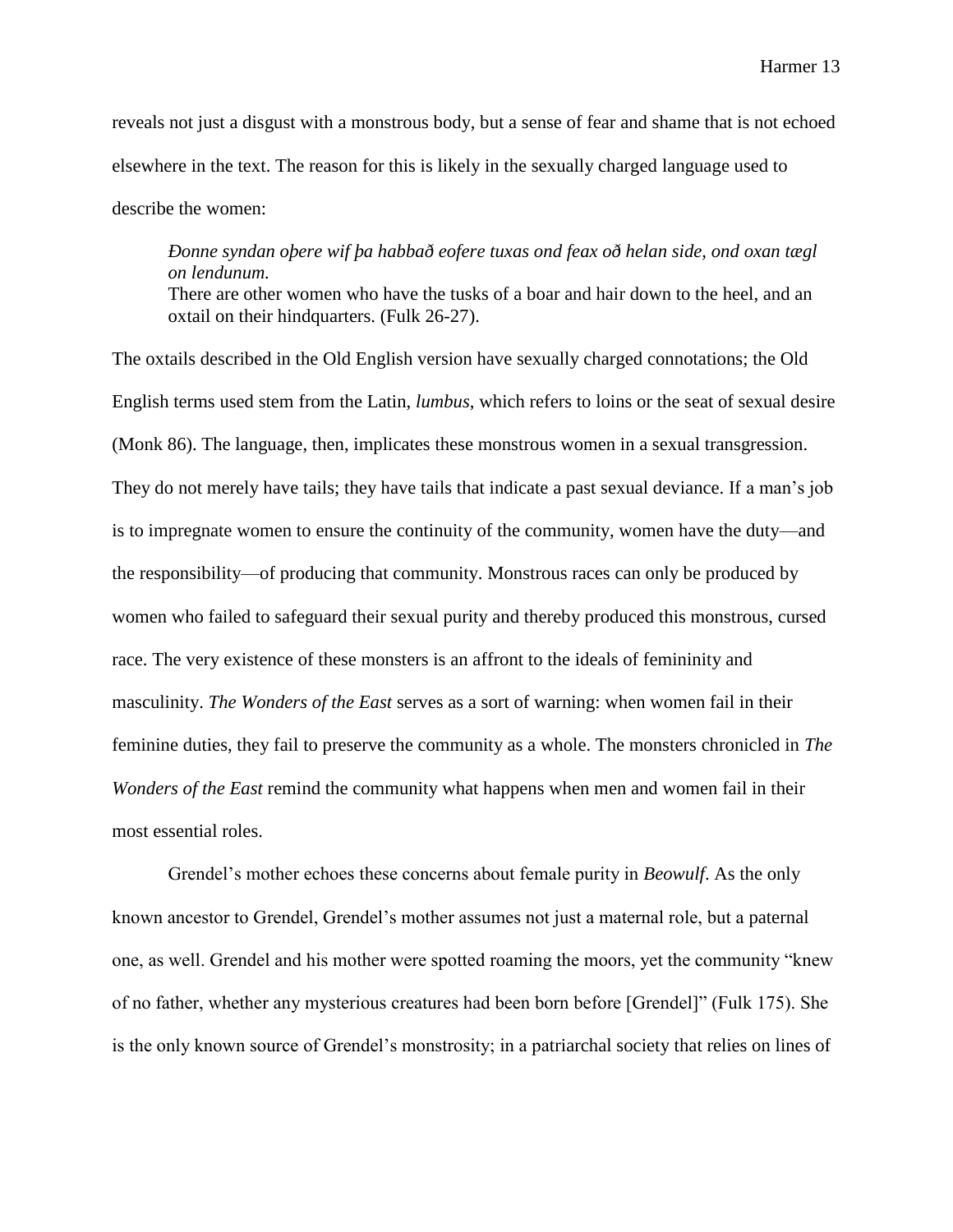reveals not just a disgust with a monstrous body, but a sense of fear and shame that is not echoed elsewhere in the text. The reason for this is likely in the sexually charged language used to describe the women:

## *Ðonne syndan oþere wif þa habbað eofere tuxas ond feax oð helan side, ond oxan tægl on lendunum.*  There are other women who have the tusks of a boar and hair down to the heel, and an oxtail on their hindquarters. (Fulk 26-27).

The oxtails described in the Old English version have sexually charged connotations; the Old English terms used stem from the Latin, *lumbus*, which refers to loins or the seat of sexual desire (Monk 86). The language, then, implicates these monstrous women in a sexual transgression. They do not merely have tails; they have tails that indicate a past sexual deviance. If a man's job is to impregnate women to ensure the continuity of the community, women have the duty—and the responsibility—of producing that community. Monstrous races can only be produced by women who failed to safeguard their sexual purity and thereby produced this monstrous, cursed race. The very existence of these monsters is an affront to the ideals of femininity and masculinity. *The Wonders of the East* serves as a sort of warning: when women fail in their feminine duties, they fail to preserve the community as a whole. The monsters chronicled in *The Wonders of the East* remind the community what happens when men and women fail in their most essential roles.

Grendel's mother echoes these concerns about female purity in *Beowulf*. As the only known ancestor to Grendel, Grendel's mother assumes not just a maternal role, but a paternal one, as well. Grendel and his mother were spotted roaming the moors, yet the community "knew of no father, whether any mysterious creatures had been born before [Grendel]" (Fulk 175). She is the only known source of Grendel's monstrosity; in a patriarchal society that relies on lines of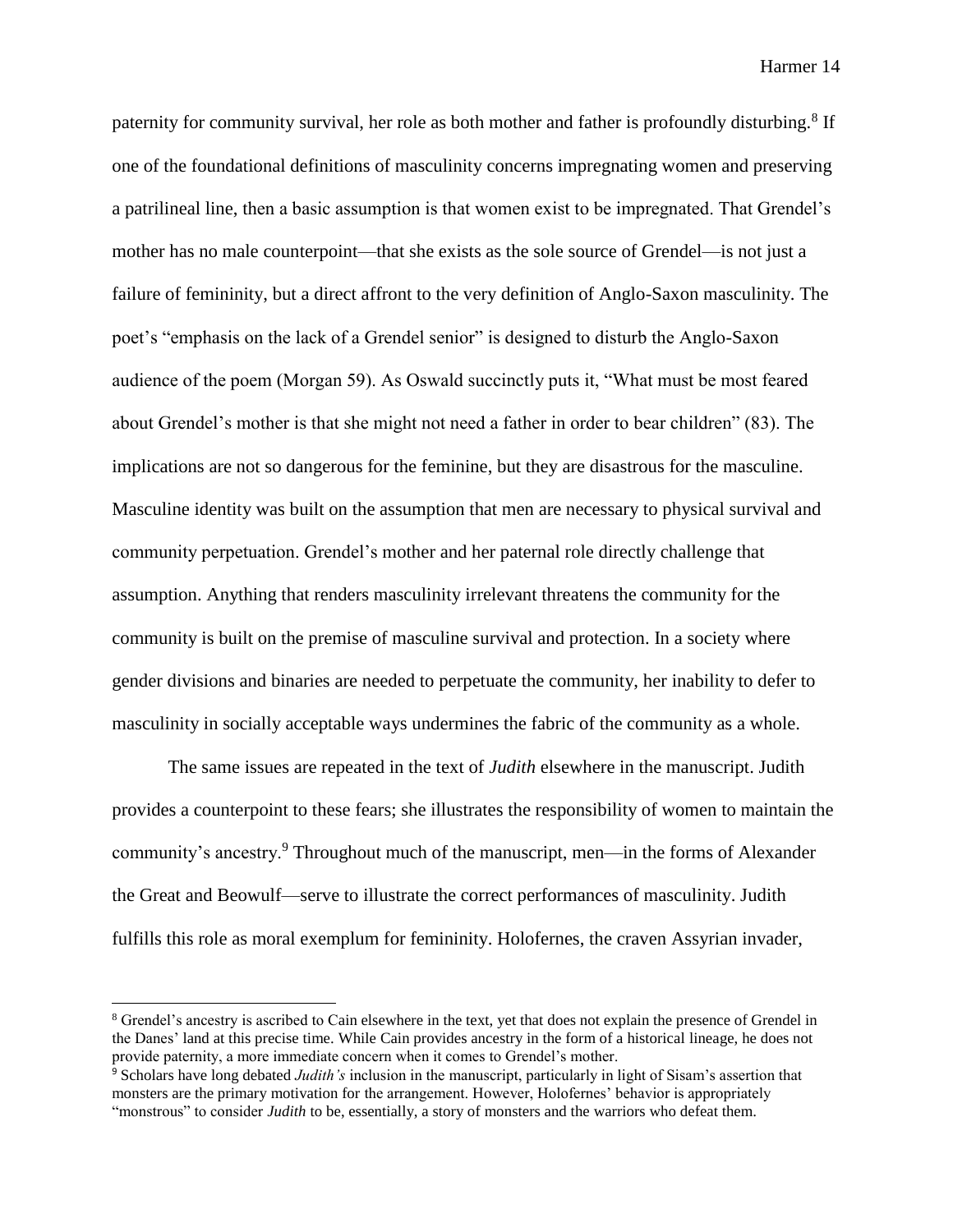paternity for community survival, her role as both mother and father is profoundly disturbing.<sup>8</sup> If one of the foundational definitions of masculinity concerns impregnating women and preserving a patrilineal line, then a basic assumption is that women exist to be impregnated. That Grendel's mother has no male counterpoint—that she exists as the sole source of Grendel—is not just a failure of femininity, but a direct affront to the very definition of Anglo-Saxon masculinity. The poet's "emphasis on the lack of a Grendel senior" is designed to disturb the Anglo-Saxon audience of the poem (Morgan 59). As Oswald succinctly puts it, "What must be most feared about Grendel's mother is that she might not need a father in order to bear children" (83). The implications are not so dangerous for the feminine, but they are disastrous for the masculine. Masculine identity was built on the assumption that men are necessary to physical survival and community perpetuation. Grendel's mother and her paternal role directly challenge that assumption. Anything that renders masculinity irrelevant threatens the community for the community is built on the premise of masculine survival and protection. In a society where gender divisions and binaries are needed to perpetuate the community, her inability to defer to masculinity in socially acceptable ways undermines the fabric of the community as a whole.

The same issues are repeated in the text of *Judith* elsewhere in the manuscript. Judith provides a counterpoint to these fears; she illustrates the responsibility of women to maintain the community's ancestry.<sup>9</sup> Throughout much of the manuscript, men—in the forms of Alexander the Great and Beowulf—serve to illustrate the correct performances of masculinity. Judith fulfills this role as moral exemplum for femininity. Holofernes, the craven Assyrian invader,

l

<sup>8</sup> Grendel's ancestry is ascribed to Cain elsewhere in the text, yet that does not explain the presence of Grendel in the Danes' land at this precise time. While Cain provides ancestry in the form of a historical lineage, he does not provide paternity, a more immediate concern when it comes to Grendel's mother.

<sup>9</sup> Scholars have long debated *Judith's* inclusion in the manuscript, particularly in light of Sisam's assertion that monsters are the primary motivation for the arrangement. However, Holofernes' behavior is appropriately "monstrous" to consider *Judith* to be, essentially, a story of monsters and the warriors who defeat them.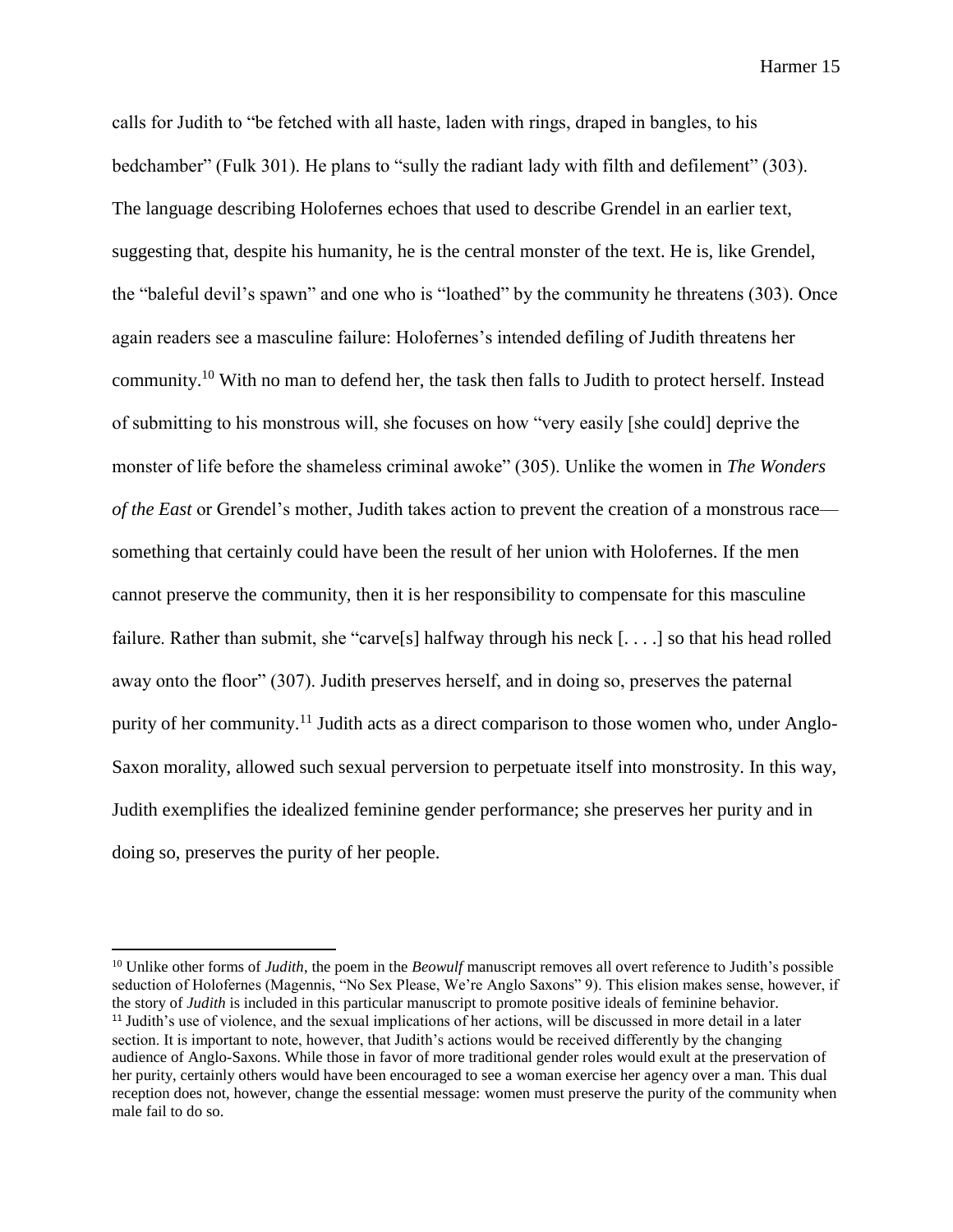calls for Judith to "be fetched with all haste, laden with rings, draped in bangles, to his bedchamber" (Fulk 301). He plans to "sully the radiant lady with filth and defilement" (303). The language describing Holofernes echoes that used to describe Grendel in an earlier text, suggesting that, despite his humanity, he is the central monster of the text. He is, like Grendel, the "baleful devil's spawn" and one who is "loathed" by the community he threatens (303). Once again readers see a masculine failure: Holofernes's intended defiling of Judith threatens her community.<sup>10</sup> With no man to defend her, the task then falls to Judith to protect herself. Instead of submitting to his monstrous will, she focuses on how "very easily [she could] deprive the monster of life before the shameless criminal awoke" (305). Unlike the women in *The Wonders of the East* or Grendel's mother, Judith takes action to prevent the creation of a monstrous race something that certainly could have been the result of her union with Holofernes. If the men cannot preserve the community, then it is her responsibility to compensate for this masculine failure. Rather than submit, she "carve<sup>[s]</sup> halfway through his neck [...] so that his head rolled away onto the floor" (307). Judith preserves herself, and in doing so, preserves the paternal purity of her community.<sup>11</sup> Judith acts as a direct comparison to those women who, under Anglo-Saxon morality, allowed such sexual perversion to perpetuate itself into monstrosity. In this way, Judith exemplifies the idealized feminine gender performance; she preserves her purity and in doing so, preserves the purity of her people.

<sup>&</sup>lt;sup>10</sup> Unlike other forms of *Judith*, the poem in the *Beowulf* manuscript removes all overt reference to Judith's possible seduction of Holofernes (Magennis, "No Sex Please, We're Anglo Saxons" 9). This elision makes sense, however, if the story of *Judith* is included in this particular manuscript to promote positive ideals of feminine behavior. <sup>11</sup> Judith's use of violence, and the sexual implications of her actions, will be discussed in more detail in a later section. It is important to note, however, that Judith's actions would be received differently by the changing audience of Anglo-Saxons. While those in favor of more traditional gender roles would exult at the preservation of her purity, certainly others would have been encouraged to see a woman exercise her agency over a man. This dual reception does not, however, change the essential message: women must preserve the purity of the community when male fail to do so.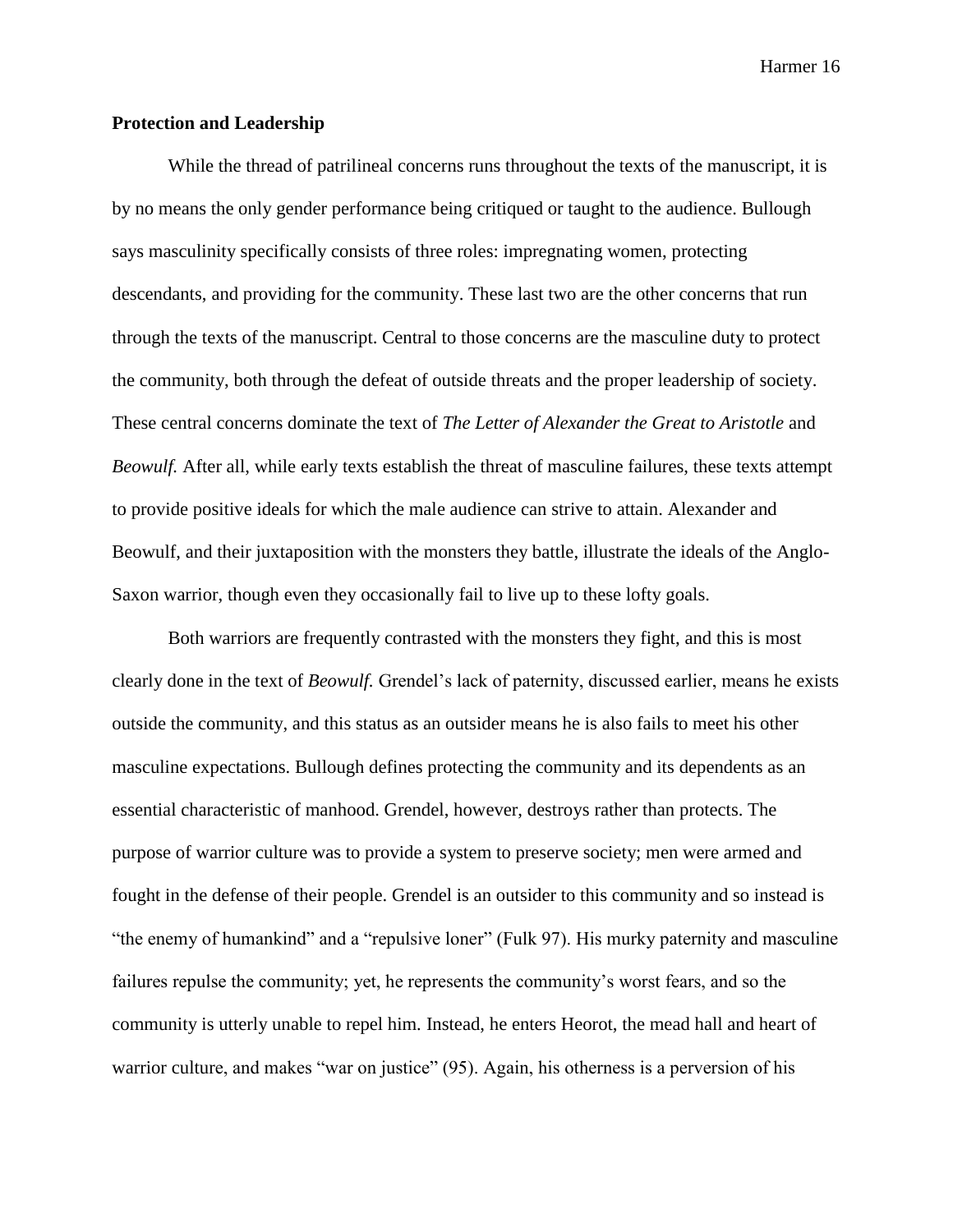### **Protection and Leadership**

While the thread of patrilineal concerns runs throughout the texts of the manuscript, it is by no means the only gender performance being critiqued or taught to the audience. Bullough says masculinity specifically consists of three roles: impregnating women, protecting descendants, and providing for the community. These last two are the other concerns that run through the texts of the manuscript. Central to those concerns are the masculine duty to protect the community, both through the defeat of outside threats and the proper leadership of society. These central concerns dominate the text of *The Letter of Alexander the Great to Aristotle* and *Beowulf.* After all, while early texts establish the threat of masculine failures, these texts attempt to provide positive ideals for which the male audience can strive to attain. Alexander and Beowulf, and their juxtaposition with the monsters they battle, illustrate the ideals of the Anglo-Saxon warrior, though even they occasionally fail to live up to these lofty goals.

Both warriors are frequently contrasted with the monsters they fight, and this is most clearly done in the text of *Beowulf.* Grendel's lack of paternity, discussed earlier, means he exists outside the community, and this status as an outsider means he is also fails to meet his other masculine expectations. Bullough defines protecting the community and its dependents as an essential characteristic of manhood. Grendel, however, destroys rather than protects. The purpose of warrior culture was to provide a system to preserve society; men were armed and fought in the defense of their people. Grendel is an outsider to this community and so instead is "the enemy of humankind" and a "repulsive loner" (Fulk 97). His murky paternity and masculine failures repulse the community; yet, he represents the community's worst fears, and so the community is utterly unable to repel him*.* Instead, he enters Heorot, the mead hall and heart of warrior culture, and makes "war on justice" (95). Again, his otherness is a perversion of his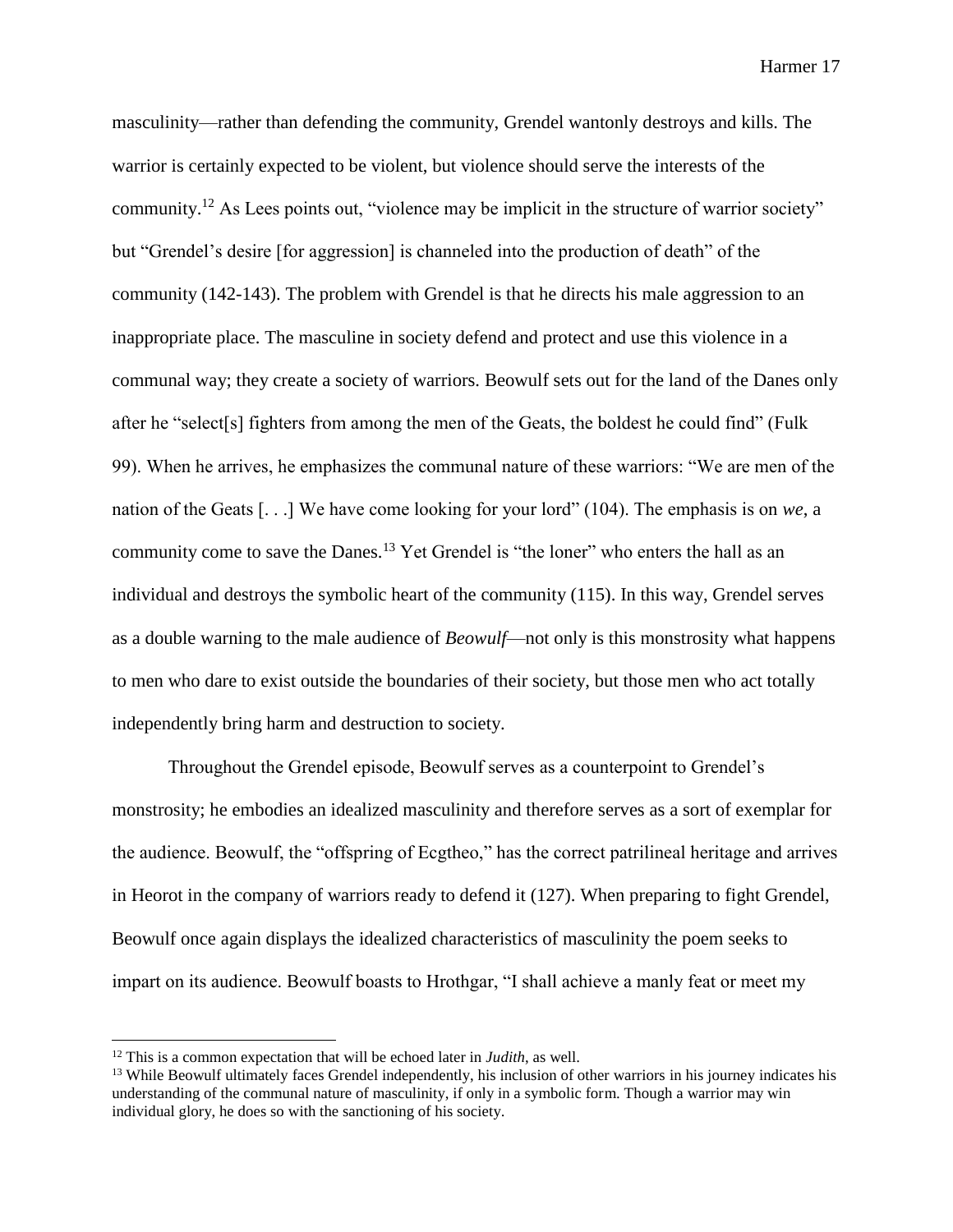masculinity—rather than defending the community, Grendel wantonly destroys and kills. The warrior is certainly expected to be violent, but violence should serve the interests of the community.<sup>12</sup> As Lees points out, "violence may be implicit in the structure of warrior society" but "Grendel's desire [for aggression] is channeled into the production of death" of the community (142-143). The problem with Grendel is that he directs his male aggression to an inappropriate place. The masculine in society defend and protect and use this violence in a communal way; they create a society of warriors. Beowulf sets out for the land of the Danes only after he "select[s] fighters from among the men of the Geats, the boldest he could find" (Fulk 99). When he arrives, he emphasizes the communal nature of these warriors: "We are men of the nation of the Geats [. . .] We have come looking for your lord" (104). The emphasis is on *we*, a community come to save the Danes.<sup>13</sup> Yet Grendel is "the loner" who enters the hall as an individual and destroys the symbolic heart of the community (115). In this way, Grendel serves as a double warning to the male audience of *Beowulf*—not only is this monstrosity what happens to men who dare to exist outside the boundaries of their society, but those men who act totally independently bring harm and destruction to society.

Throughout the Grendel episode, Beowulf serves as a counterpoint to Grendel's monstrosity; he embodies an idealized masculinity and therefore serves as a sort of exemplar for the audience. Beowulf, the "offspring of Ecgtheo," has the correct patrilineal heritage and arrives in Heorot in the company of warriors ready to defend it (127). When preparing to fight Grendel, Beowulf once again displays the idealized characteristics of masculinity the poem seeks to impart on its audience. Beowulf boasts to Hrothgar, "I shall achieve a manly feat or meet my

<sup>12</sup> This is a common expectation that will be echoed later in *Judith*, as well.

<sup>&</sup>lt;sup>13</sup> While Beowulf ultimately faces Grendel independently, his inclusion of other warriors in his journey indicates his understanding of the communal nature of masculinity, if only in a symbolic form. Though a warrior may win individual glory, he does so with the sanctioning of his society.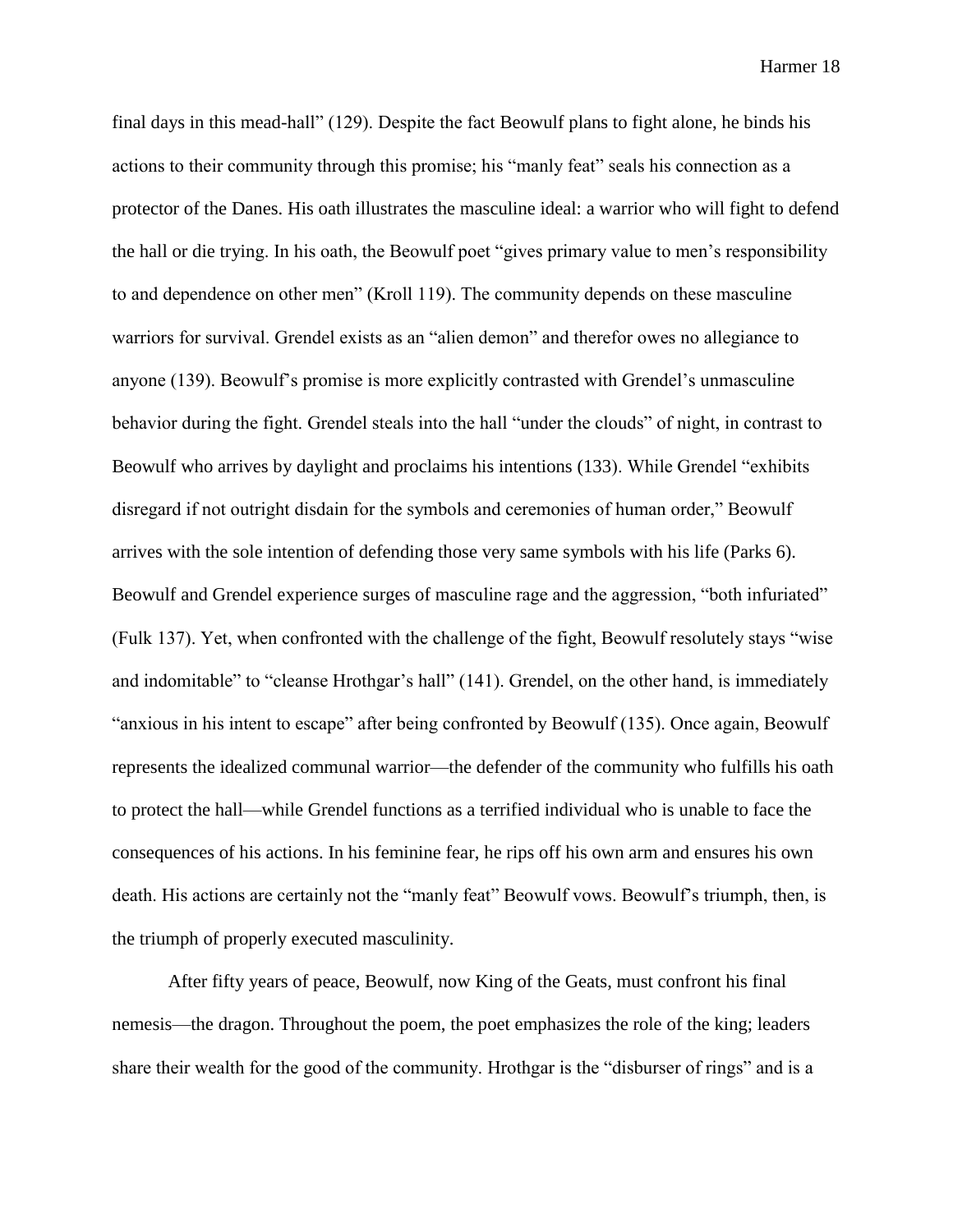final days in this mead-hall" (129). Despite the fact Beowulf plans to fight alone, he binds his actions to their community through this promise; his "manly feat" seals his connection as a protector of the Danes. His oath illustrates the masculine ideal: a warrior who will fight to defend the hall or die trying. In his oath, the Beowulf poet "gives primary value to men's responsibility to and dependence on other men" (Kroll 119). The community depends on these masculine warriors for survival. Grendel exists as an "alien demon" and therefor owes no allegiance to anyone (139). Beowulf's promise is more explicitly contrasted with Grendel's unmasculine behavior during the fight. Grendel steals into the hall "under the clouds" of night, in contrast to Beowulf who arrives by daylight and proclaims his intentions (133). While Grendel "exhibits disregard if not outright disdain for the symbols and ceremonies of human order," Beowulf arrives with the sole intention of defending those very same symbols with his life (Parks 6). Beowulf and Grendel experience surges of masculine rage and the aggression, "both infuriated" (Fulk 137). Yet, when confronted with the challenge of the fight, Beowulf resolutely stays "wise and indomitable" to "cleanse Hrothgar's hall" (141). Grendel, on the other hand, is immediately "anxious in his intent to escape" after being confronted by Beowulf (135). Once again, Beowulf represents the idealized communal warrior—the defender of the community who fulfills his oath to protect the hall—while Grendel functions as a terrified individual who is unable to face the consequences of his actions. In his feminine fear, he rips off his own arm and ensures his own death. His actions are certainly not the "manly feat" Beowulf vows. Beowulf's triumph, then, is the triumph of properly executed masculinity.

After fifty years of peace, Beowulf, now King of the Geats, must confront his final nemesis—the dragon. Throughout the poem, the poet emphasizes the role of the king; leaders share their wealth for the good of the community. Hrothgar is the "disburser of rings" and is a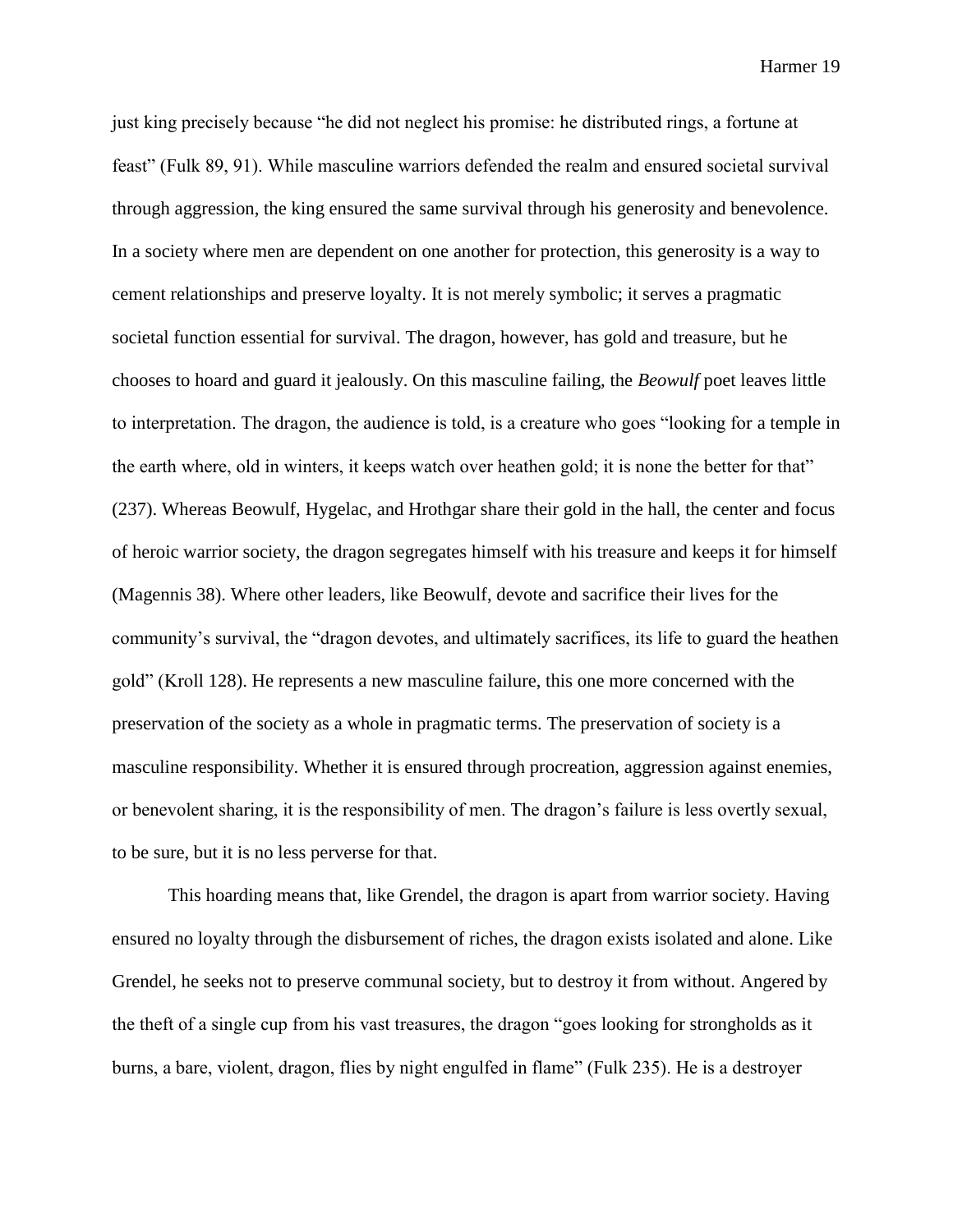just king precisely because "he did not neglect his promise: he distributed rings, a fortune at feast" (Fulk 89, 91). While masculine warriors defended the realm and ensured societal survival through aggression, the king ensured the same survival through his generosity and benevolence. In a society where men are dependent on one another for protection, this generosity is a way to cement relationships and preserve loyalty. It is not merely symbolic; it serves a pragmatic societal function essential for survival. The dragon, however, has gold and treasure, but he chooses to hoard and guard it jealously. On this masculine failing, the *Beowulf* poet leaves little to interpretation. The dragon, the audience is told, is a creature who goes "looking for a temple in the earth where, old in winters, it keeps watch over heathen gold; it is none the better for that" (237). Whereas Beowulf, Hygelac, and Hrothgar share their gold in the hall, the center and focus of heroic warrior society, the dragon segregates himself with his treasure and keeps it for himself (Magennis 38). Where other leaders, like Beowulf, devote and sacrifice their lives for the community's survival, the "dragon devotes, and ultimately sacrifices, its life to guard the heathen gold" (Kroll 128). He represents a new masculine failure, this one more concerned with the preservation of the society as a whole in pragmatic terms. The preservation of society is a masculine responsibility. Whether it is ensured through procreation, aggression against enemies, or benevolent sharing, it is the responsibility of men. The dragon's failure is less overtly sexual, to be sure, but it is no less perverse for that.

This hoarding means that, like Grendel, the dragon is apart from warrior society. Having ensured no loyalty through the disbursement of riches, the dragon exists isolated and alone. Like Grendel, he seeks not to preserve communal society, but to destroy it from without. Angered by the theft of a single cup from his vast treasures, the dragon "goes looking for strongholds as it burns, a bare, violent, dragon, flies by night engulfed in flame" (Fulk 235). He is a destroyer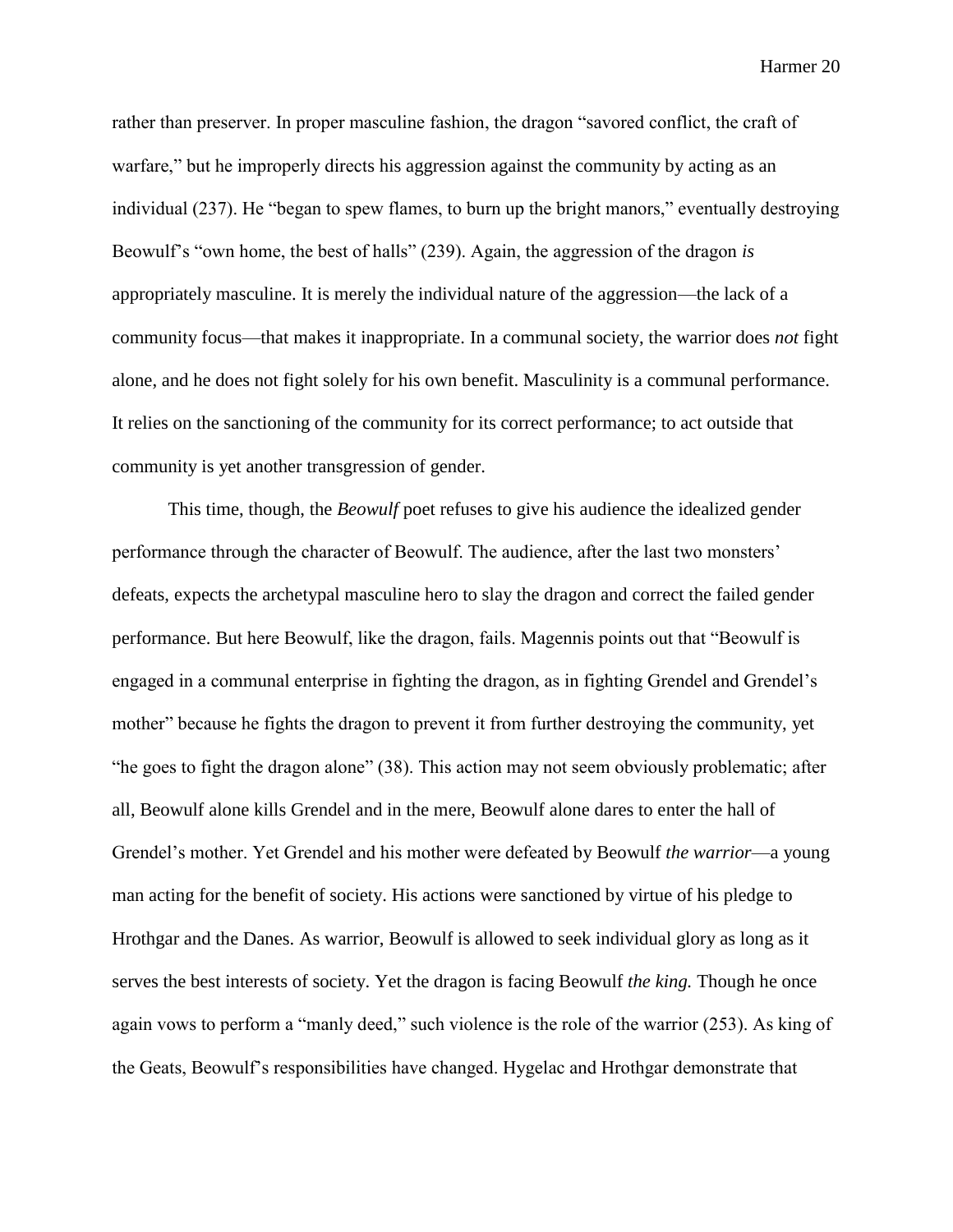rather than preserver. In proper masculine fashion, the dragon "savored conflict, the craft of warfare," but he improperly directs his aggression against the community by acting as an individual (237). He "began to spew flames, to burn up the bright manors," eventually destroying Beowulf's "own home, the best of halls" (239). Again, the aggression of the dragon *is*  appropriately masculine. It is merely the individual nature of the aggression—the lack of a community focus—that makes it inappropriate. In a communal society, the warrior does *not* fight alone, and he does not fight solely for his own benefit. Masculinity is a communal performance. It relies on the sanctioning of the community for its correct performance; to act outside that community is yet another transgression of gender.

This time, though, the *Beowulf* poet refuses to give his audience the idealized gender performance through the character of Beowulf. The audience, after the last two monsters' defeats, expects the archetypal masculine hero to slay the dragon and correct the failed gender performance. But here Beowulf, like the dragon, fails. Magennis points out that "Beowulf is engaged in a communal enterprise in fighting the dragon, as in fighting Grendel and Grendel's mother" because he fights the dragon to prevent it from further destroying the community, yet "he goes to fight the dragon alone" (38). This action may not seem obviously problematic; after all, Beowulf alone kills Grendel and in the mere, Beowulf alone dares to enter the hall of Grendel's mother. Yet Grendel and his mother were defeated by Beowulf *the warrior*—a young man acting for the benefit of society. His actions were sanctioned by virtue of his pledge to Hrothgar and the Danes. As warrior, Beowulf is allowed to seek individual glory as long as it serves the best interests of society. Yet the dragon is facing Beowulf *the king.* Though he once again vows to perform a "manly deed," such violence is the role of the warrior (253). As king of the Geats, Beowulf's responsibilities have changed. Hygelac and Hrothgar demonstrate that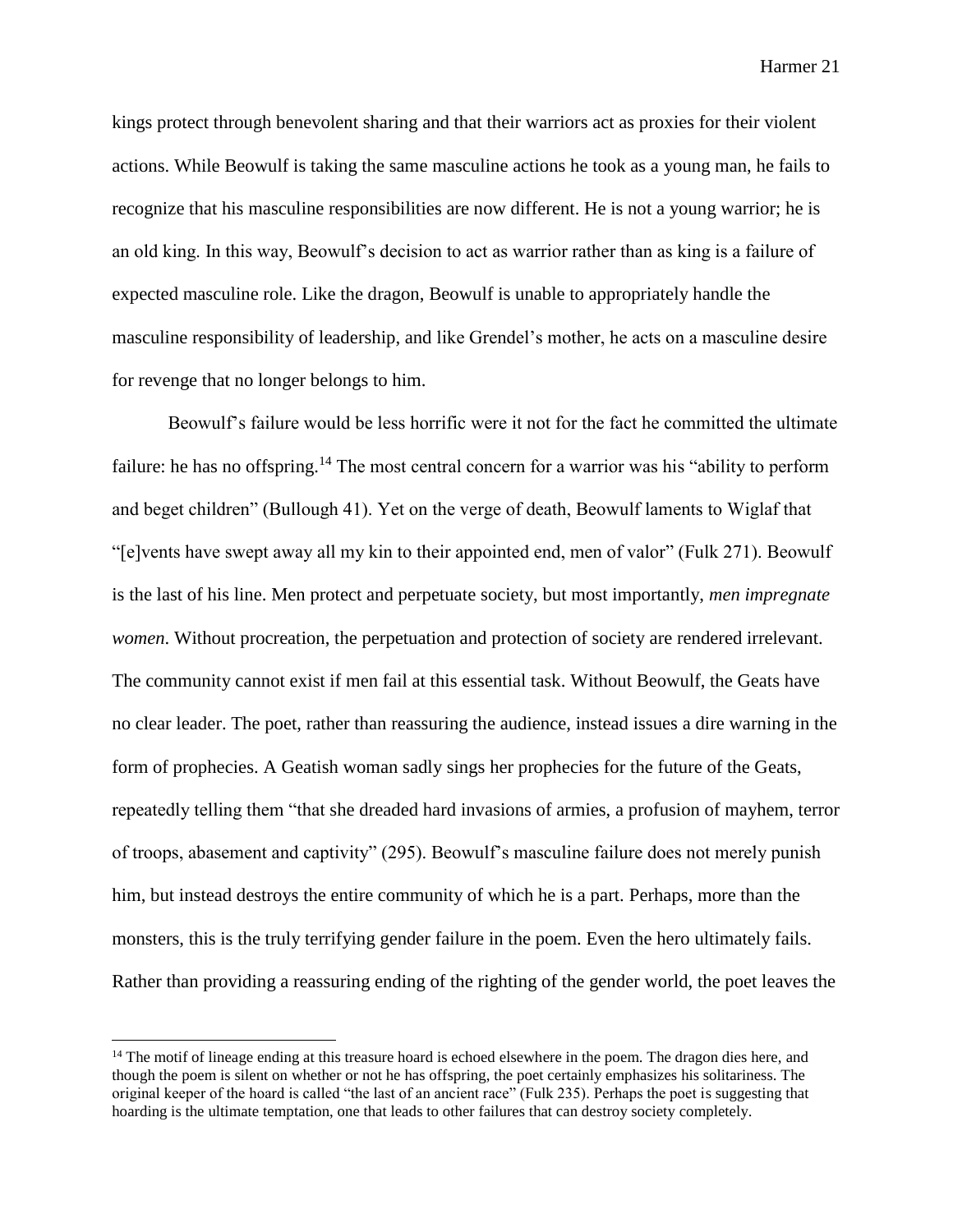kings protect through benevolent sharing and that their warriors act as proxies for their violent actions. While Beowulf is taking the same masculine actions he took as a young man, he fails to recognize that his masculine responsibilities are now different. He is not a young warrior; he is an old king. In this way, Beowulf's decision to act as warrior rather than as king is a failure of expected masculine role. Like the dragon, Beowulf is unable to appropriately handle the masculine responsibility of leadership, and like Grendel's mother, he acts on a masculine desire for revenge that no longer belongs to him.

Beowulf's failure would be less horrific were it not for the fact he committed the ultimate failure: he has no offspring.<sup>14</sup> The most central concern for a warrior was his "ability to perform and beget children" (Bullough 41). Yet on the verge of death, Beowulf laments to Wiglaf that "[e]vents have swept away all my kin to their appointed end, men of valor" (Fulk 271). Beowulf is the last of his line. Men protect and perpetuate society, but most importantly, *men impregnate women*. Without procreation, the perpetuation and protection of society are rendered irrelevant. The community cannot exist if men fail at this essential task. Without Beowulf, the Geats have no clear leader. The poet, rather than reassuring the audience, instead issues a dire warning in the form of prophecies. A Geatish woman sadly sings her prophecies for the future of the Geats, repeatedly telling them "that she dreaded hard invasions of armies, a profusion of mayhem, terror of troops, abasement and captivity" (295). Beowulf's masculine failure does not merely punish him, but instead destroys the entire community of which he is a part. Perhaps, more than the monsters, this is the truly terrifying gender failure in the poem. Even the hero ultimately fails. Rather than providing a reassuring ending of the righting of the gender world, the poet leaves the

<sup>&</sup>lt;sup>14</sup> The motif of lineage ending at this treasure hoard is echoed elsewhere in the poem. The dragon dies here, and though the poem is silent on whether or not he has offspring, the poet certainly emphasizes his solitariness. The original keeper of the hoard is called "the last of an ancient race" (Fulk 235). Perhaps the poet is suggesting that hoarding is the ultimate temptation, one that leads to other failures that can destroy society completely.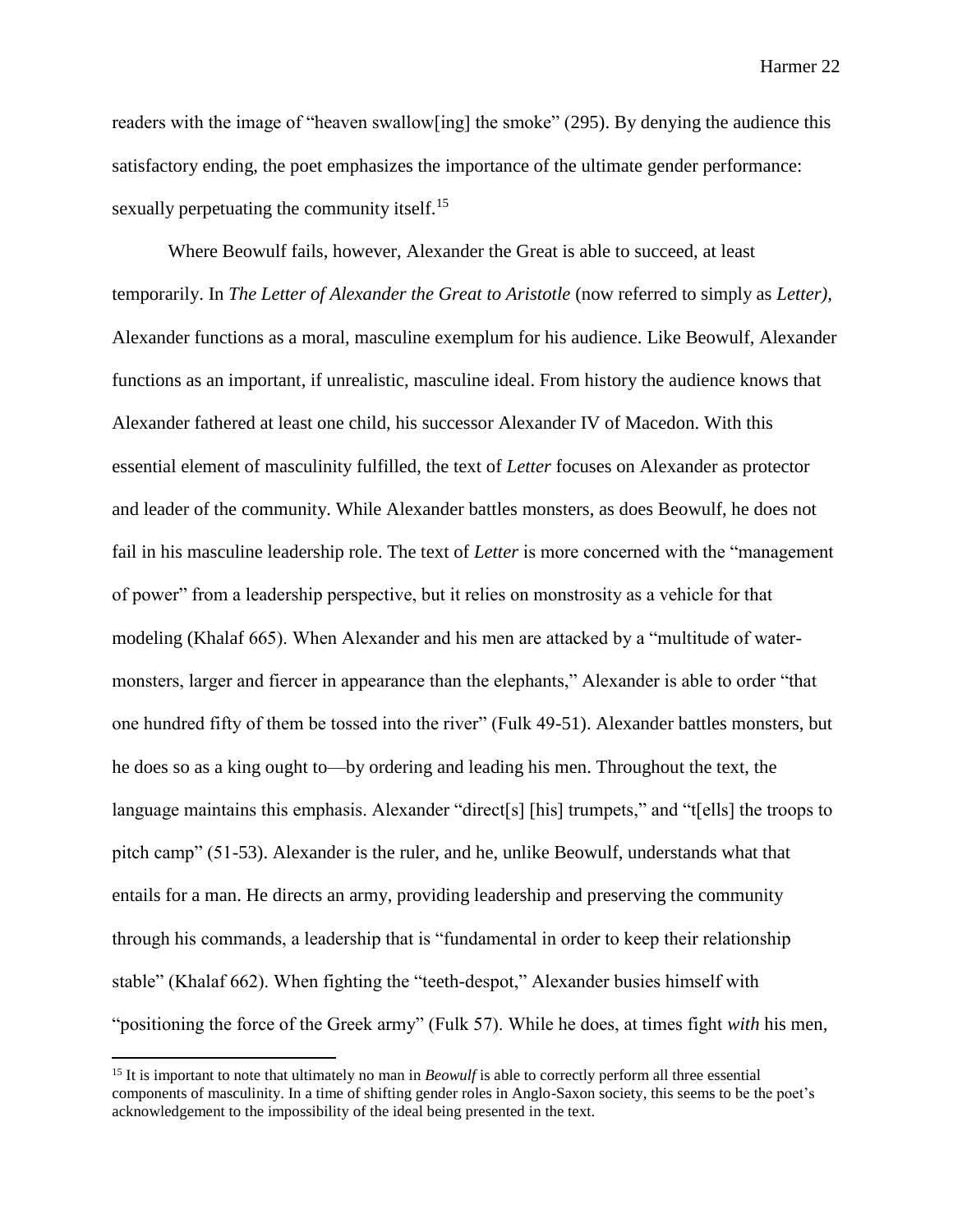readers with the image of "heaven swallow[ing] the smoke" (295). By denying the audience this satisfactory ending, the poet emphasizes the importance of the ultimate gender performance: sexually perpetuating the community itself.<sup>15</sup>

Where Beowulf fails, however, Alexander the Great is able to succeed, at least temporarily. In *The Letter of Alexander the Great to Aristotle* (now referred to simply as *Letter),*  Alexander functions as a moral, masculine exemplum for his audience. Like Beowulf, Alexander functions as an important, if unrealistic, masculine ideal. From history the audience knows that Alexander fathered at least one child, his successor Alexander IV of Macedon. With this essential element of masculinity fulfilled, the text of *Letter* focuses on Alexander as protector and leader of the community. While Alexander battles monsters, as does Beowulf, he does not fail in his masculine leadership role. The text of *Letter* is more concerned with the "management of power" from a leadership perspective, but it relies on monstrosity as a vehicle for that modeling (Khalaf 665). When Alexander and his men are attacked by a "multitude of watermonsters, larger and fiercer in appearance than the elephants," Alexander is able to order "that one hundred fifty of them be tossed into the river" (Fulk 49-51). Alexander battles monsters, but he does so as a king ought to—by ordering and leading his men. Throughout the text, the language maintains this emphasis. Alexander "direct[s] [his] trumpets," and "t[ells] the troops to pitch camp" (51-53). Alexander is the ruler, and he, unlike Beowulf, understands what that entails for a man. He directs an army, providing leadership and preserving the community through his commands, a leadership that is "fundamental in order to keep their relationship stable" (Khalaf 662). When fighting the "teeth-despot," Alexander busies himself with "positioning the force of the Greek army" (Fulk 57). While he does, at times fight *with* his men,

<sup>&</sup>lt;sup>15</sup> It is important to note that ultimately no man in *Beowulf* is able to correctly perform all three essential components of masculinity. In a time of shifting gender roles in Anglo-Saxon society, this seems to be the poet's acknowledgement to the impossibility of the ideal being presented in the text.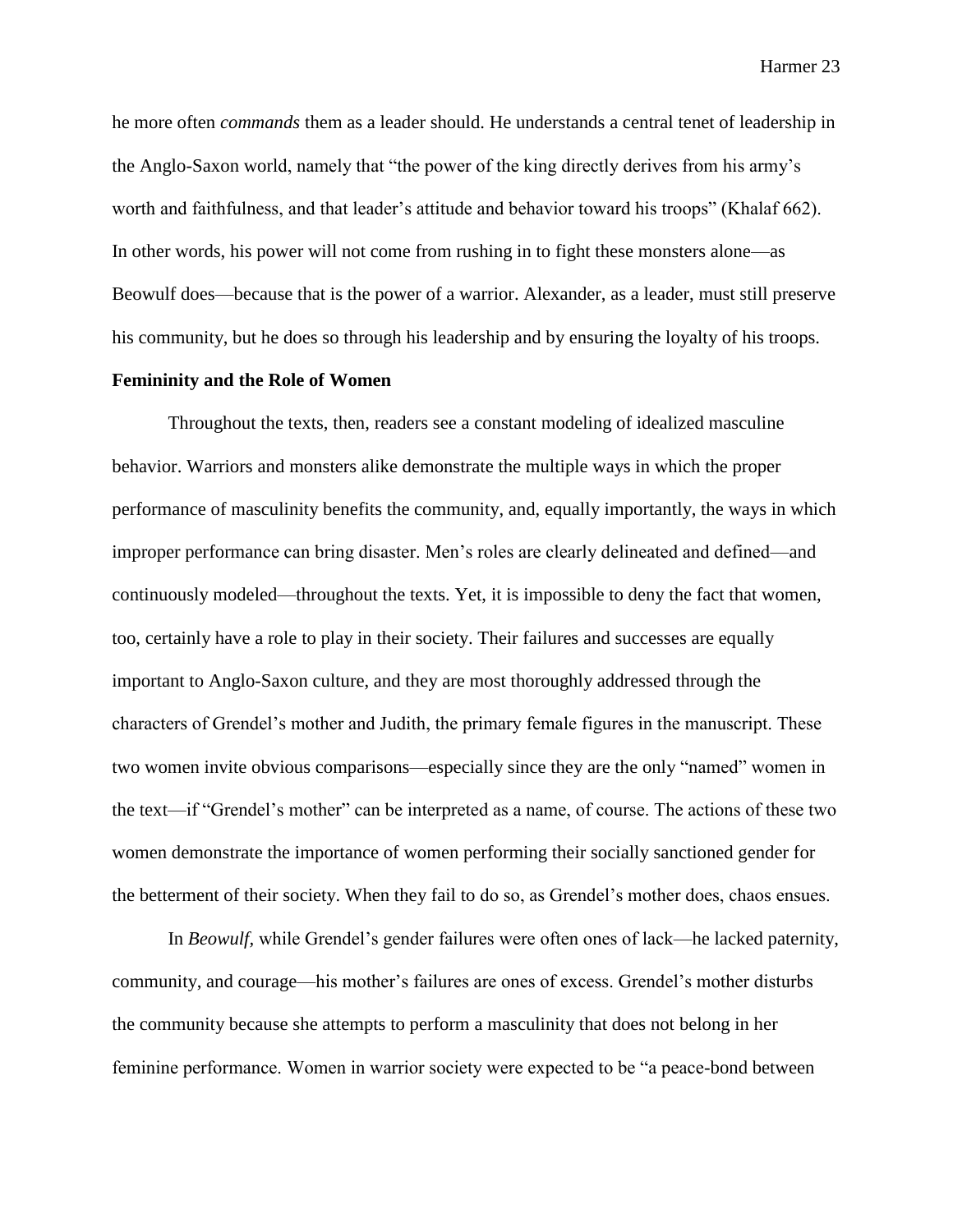he more often *commands* them as a leader should. He understands a central tenet of leadership in the Anglo-Saxon world, namely that "the power of the king directly derives from his army's worth and faithfulness, and that leader's attitude and behavior toward his troops" (Khalaf 662). In other words, his power will not come from rushing in to fight these monsters alone—as Beowulf does—because that is the power of a warrior. Alexander, as a leader, must still preserve his community, but he does so through his leadership and by ensuring the loyalty of his troops.

### **Femininity and the Role of Women**

Throughout the texts, then, readers see a constant modeling of idealized masculine behavior. Warriors and monsters alike demonstrate the multiple ways in which the proper performance of masculinity benefits the community, and, equally importantly, the ways in which improper performance can bring disaster. Men's roles are clearly delineated and defined—and continuously modeled—throughout the texts. Yet, it is impossible to deny the fact that women, too, certainly have a role to play in their society. Their failures and successes are equally important to Anglo-Saxon culture, and they are most thoroughly addressed through the characters of Grendel's mother and Judith, the primary female figures in the manuscript. These two women invite obvious comparisons—especially since they are the only "named" women in the text—if "Grendel's mother" can be interpreted as a name, of course. The actions of these two women demonstrate the importance of women performing their socially sanctioned gender for the betterment of their society. When they fail to do so, as Grendel's mother does, chaos ensues.

In *Beowulf,* while Grendel's gender failures were often ones of lack—he lacked paternity, community, and courage—his mother's failures are ones of excess. Grendel's mother disturbs the community because she attempts to perform a masculinity that does not belong in her feminine performance. Women in warrior society were expected to be "a peace-bond between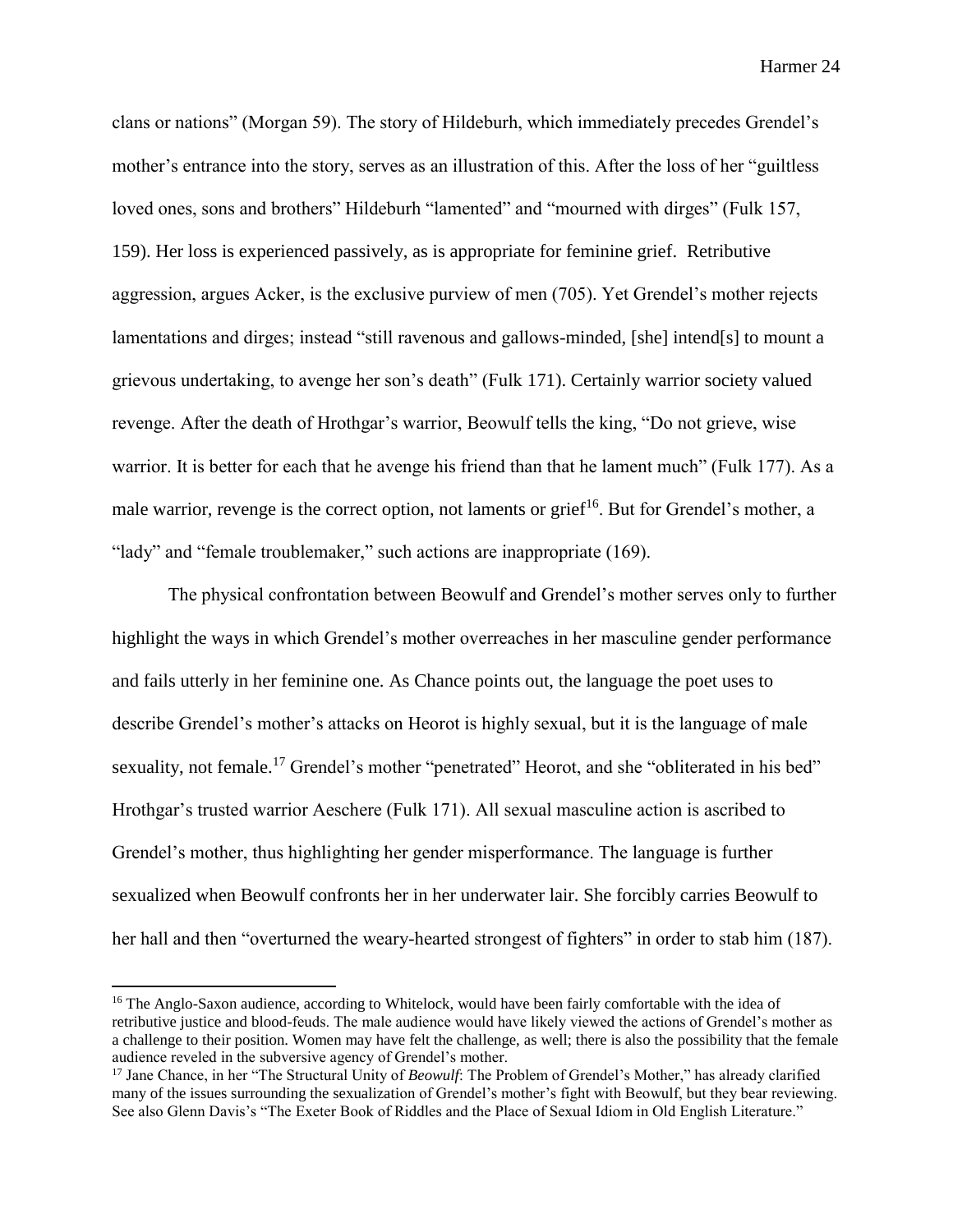clans or nations" (Morgan 59). The story of Hildeburh, which immediately precedes Grendel's mother's entrance into the story, serves as an illustration of this. After the loss of her "guiltless loved ones, sons and brothers" Hildeburh "lamented" and "mourned with dirges" (Fulk 157, 159). Her loss is experienced passively, as is appropriate for feminine grief. Retributive aggression, argues Acker, is the exclusive purview of men (705). Yet Grendel's mother rejects lamentations and dirges; instead "still ravenous and gallows-minded, [she] intend[s] to mount a grievous undertaking, to avenge her son's death" (Fulk 171). Certainly warrior society valued revenge. After the death of Hrothgar's warrior, Beowulf tells the king, "Do not grieve, wise warrior. It is better for each that he avenge his friend than that he lament much" (Fulk 177). As a male warrior, revenge is the correct option, not laments or grief<sup>16</sup>. But for Grendel's mother, a "lady" and "female troublemaker," such actions are inappropriate (169).

The physical confrontation between Beowulf and Grendel's mother serves only to further highlight the ways in which Grendel's mother overreaches in her masculine gender performance and fails utterly in her feminine one. As Chance points out, the language the poet uses to describe Grendel's mother's attacks on Heorot is highly sexual, but it is the language of male sexuality, not female.<sup>17</sup> Grendel's mother "penetrated" Heorot, and she "obliterated in his bed" Hrothgar's trusted warrior Aeschere (Fulk 171). All sexual masculine action is ascribed to Grendel's mother, thus highlighting her gender misperformance. The language is further sexualized when Beowulf confronts her in her underwater lair. She forcibly carries Beowulf to her hall and then "overturned the weary-hearted strongest of fighters" in order to stab him (187).

<sup>&</sup>lt;sup>16</sup> The Anglo-Saxon audience, according to Whitelock, would have been fairly comfortable with the idea of retributive justice and blood-feuds. The male audience would have likely viewed the actions of Grendel's mother as a challenge to their position. Women may have felt the challenge, as well; there is also the possibility that the female audience reveled in the subversive agency of Grendel's mother.

<sup>17</sup> Jane Chance, in her "The Structural Unity of *Beowulf*: The Problem of Grendel's Mother," has already clarified many of the issues surrounding the sexualization of Grendel's mother's fight with Beowulf, but they bear reviewing. See also Glenn Davis's "The Exeter Book of Riddles and the Place of Sexual Idiom in Old English Literature."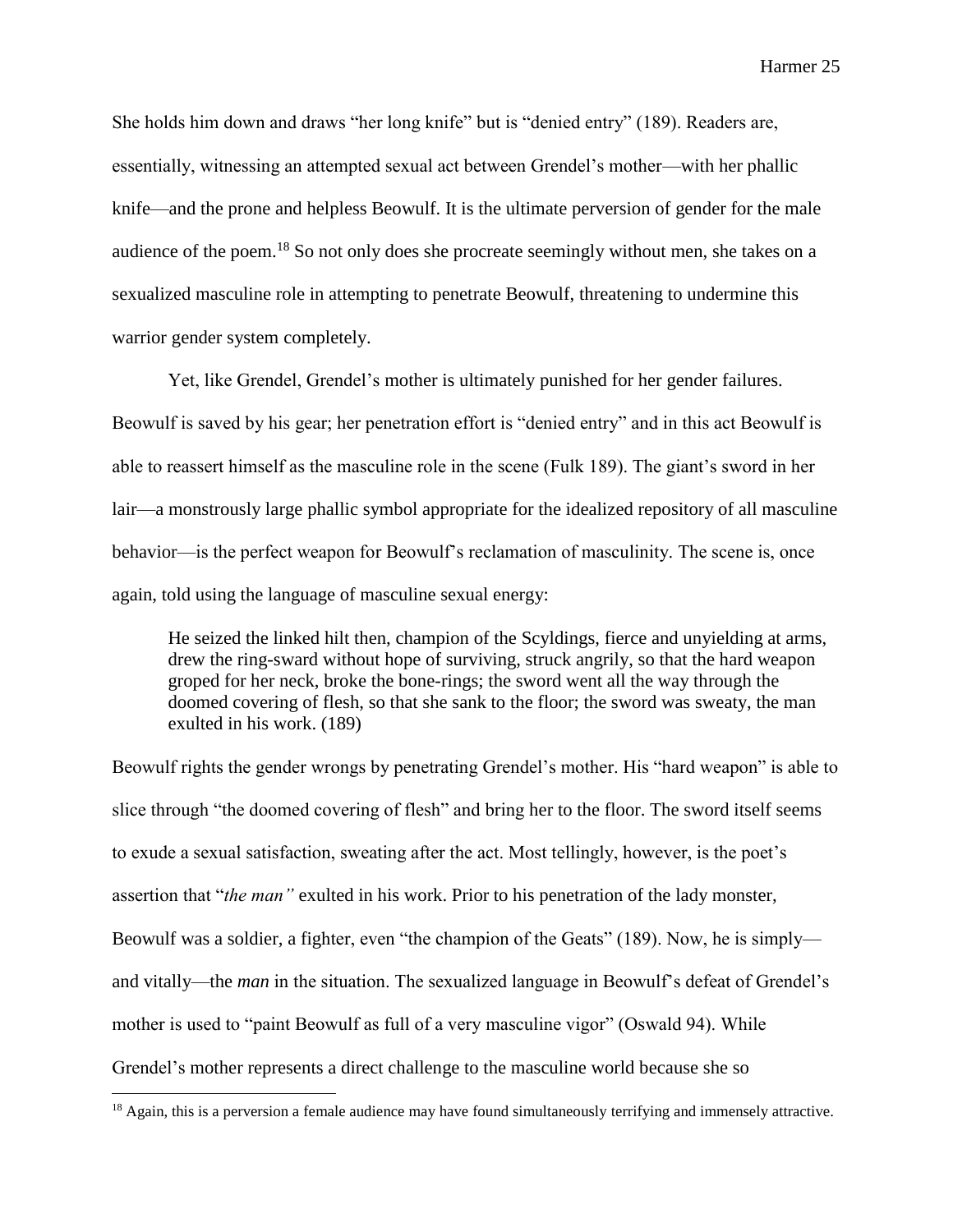She holds him down and draws "her long knife" but is "denied entry" (189). Readers are, essentially, witnessing an attempted sexual act between Grendel's mother—with her phallic knife—and the prone and helpless Beowulf. It is the ultimate perversion of gender for the male audience of the poem.<sup>18</sup> So not only does she procreate seemingly without men, she takes on a sexualized masculine role in attempting to penetrate Beowulf, threatening to undermine this warrior gender system completely.

Yet, like Grendel, Grendel's mother is ultimately punished for her gender failures. Beowulf is saved by his gear; her penetration effort is "denied entry" and in this act Beowulf is able to reassert himself as the masculine role in the scene (Fulk 189). The giant's sword in her lair—a monstrously large phallic symbol appropriate for the idealized repository of all masculine behavior—is the perfect weapon for Beowulf's reclamation of masculinity. The scene is, once again, told using the language of masculine sexual energy:

He seized the linked hilt then, champion of the Scyldings, fierce and unyielding at arms, drew the ring-sward without hope of surviving, struck angrily, so that the hard weapon groped for her neck, broke the bone-rings; the sword went all the way through the doomed covering of flesh, so that she sank to the floor; the sword was sweaty, the man exulted in his work. (189)

Beowulf rights the gender wrongs by penetrating Grendel's mother. His "hard weapon" is able to slice through "the doomed covering of flesh" and bring her to the floor. The sword itself seems to exude a sexual satisfaction, sweating after the act. Most tellingly, however, is the poet's assertion that "*the man"* exulted in his work. Prior to his penetration of the lady monster, Beowulf was a soldier, a fighter, even "the champion of the Geats" (189). Now, he is simply and vitally—the *man* in the situation. The sexualized language in Beowulf's defeat of Grendel's mother is used to "paint Beowulf as full of a very masculine vigor" (Oswald 94). While Grendel's mother represents a direct challenge to the masculine world because she so

<sup>&</sup>lt;sup>18</sup> Again, this is a perversion a female audience may have found simultaneously terrifying and immensely attractive.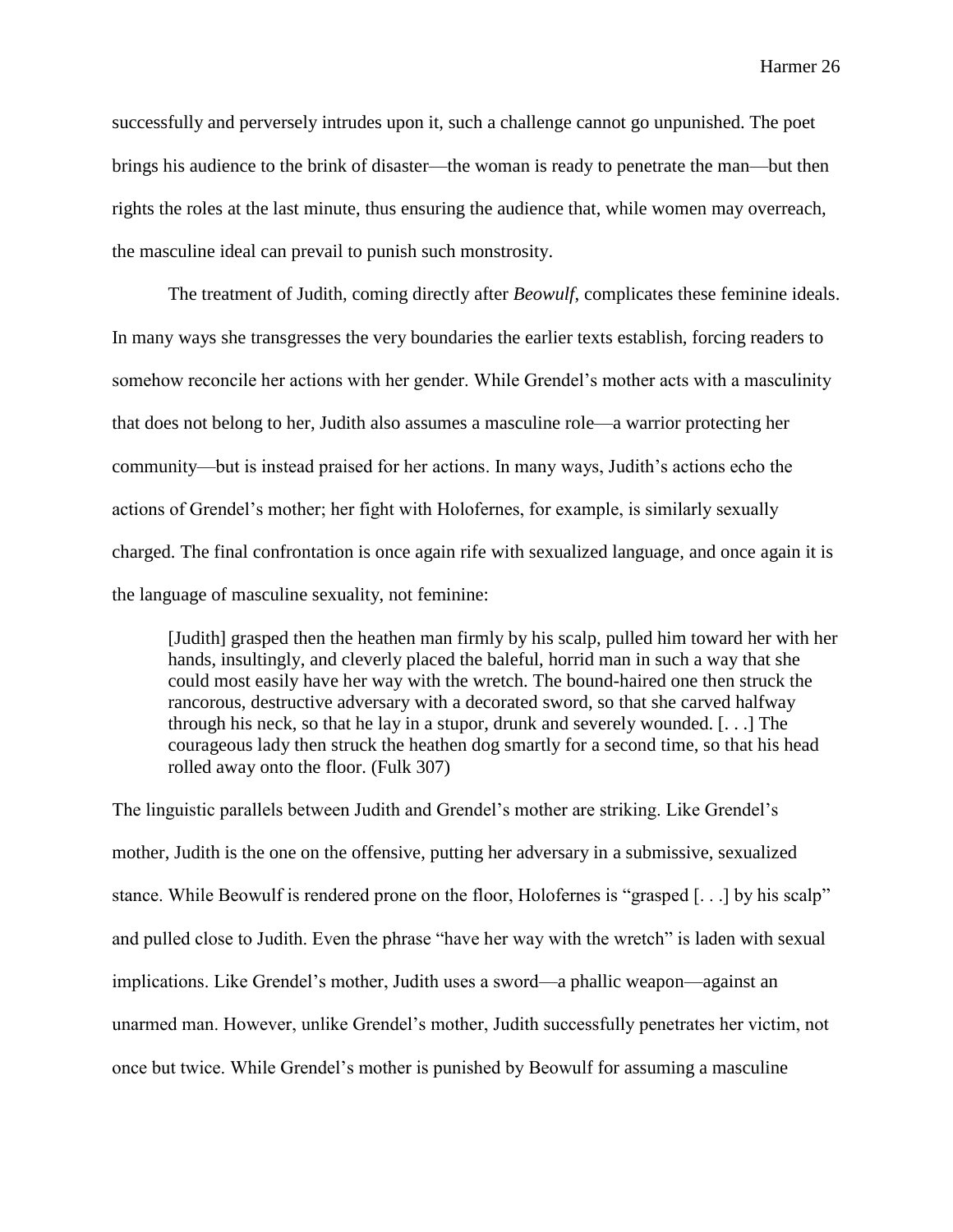successfully and perversely intrudes upon it, such a challenge cannot go unpunished. The poet brings his audience to the brink of disaster—the woman is ready to penetrate the man—but then rights the roles at the last minute, thus ensuring the audience that, while women may overreach, the masculine ideal can prevail to punish such monstrosity.

The treatment of Judith, coming directly after *Beowulf*, complicates these feminine ideals. In many ways she transgresses the very boundaries the earlier texts establish, forcing readers to somehow reconcile her actions with her gender. While Grendel's mother acts with a masculinity that does not belong to her, Judith also assumes a masculine role—a warrior protecting her community—but is instead praised for her actions. In many ways, Judith's actions echo the actions of Grendel's mother; her fight with Holofernes, for example, is similarly sexually charged. The final confrontation is once again rife with sexualized language, and once again it is the language of masculine sexuality, not feminine:

[Judith] grasped then the heathen man firmly by his scalp, pulled him toward her with her hands, insultingly, and cleverly placed the baleful, horrid man in such a way that she could most easily have her way with the wretch. The bound-haired one then struck the rancorous, destructive adversary with a decorated sword, so that she carved halfway through his neck, so that he lay in a stupor, drunk and severely wounded. [. . .] The courageous lady then struck the heathen dog smartly for a second time, so that his head rolled away onto the floor. (Fulk 307)

The linguistic parallels between Judith and Grendel's mother are striking. Like Grendel's mother, Judith is the one on the offensive, putting her adversary in a submissive, sexualized stance. While Beowulf is rendered prone on the floor, Holofernes is "grasped [. . .] by his scalp" and pulled close to Judith. Even the phrase "have her way with the wretch" is laden with sexual implications. Like Grendel's mother, Judith uses a sword—a phallic weapon—against an unarmed man. However, unlike Grendel's mother, Judith successfully penetrates her victim, not once but twice. While Grendel's mother is punished by Beowulf for assuming a masculine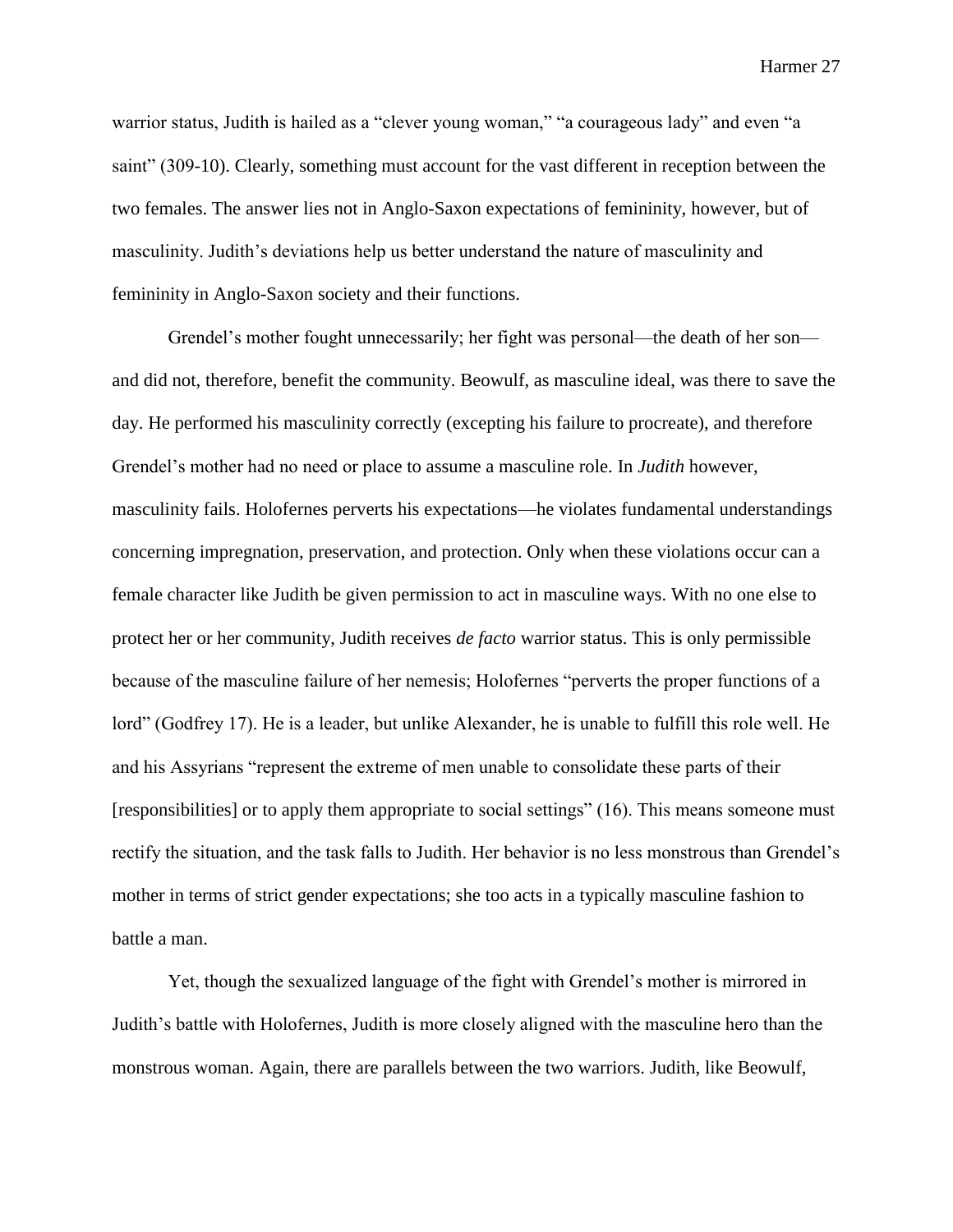warrior status, Judith is hailed as a "clever young woman," "a courageous lady" and even "a saint" (309-10). Clearly, something must account for the vast different in reception between the two females. The answer lies not in Anglo-Saxon expectations of femininity, however, but of masculinity. Judith's deviations help us better understand the nature of masculinity and femininity in Anglo-Saxon society and their functions.

Grendel's mother fought unnecessarily; her fight was personal—the death of her son and did not, therefore, benefit the community. Beowulf, as masculine ideal, was there to save the day. He performed his masculinity correctly (excepting his failure to procreate), and therefore Grendel's mother had no need or place to assume a masculine role. In *Judith* however, masculinity fails. Holofernes perverts his expectations—he violates fundamental understandings concerning impregnation, preservation, and protection. Only when these violations occur can a female character like Judith be given permission to act in masculine ways. With no one else to protect her or her community, Judith receives *de facto* warrior status. This is only permissible because of the masculine failure of her nemesis; Holofernes "perverts the proper functions of a lord" (Godfrey 17). He is a leader, but unlike Alexander, he is unable to fulfill this role well. He and his Assyrians "represent the extreme of men unable to consolidate these parts of their [responsibilities] or to apply them appropriate to social settings" (16). This means someone must rectify the situation, and the task falls to Judith. Her behavior is no less monstrous than Grendel's mother in terms of strict gender expectations; she too acts in a typically masculine fashion to battle a man.

Yet, though the sexualized language of the fight with Grendel's mother is mirrored in Judith's battle with Holofernes, Judith is more closely aligned with the masculine hero than the monstrous woman. Again, there are parallels between the two warriors. Judith, like Beowulf,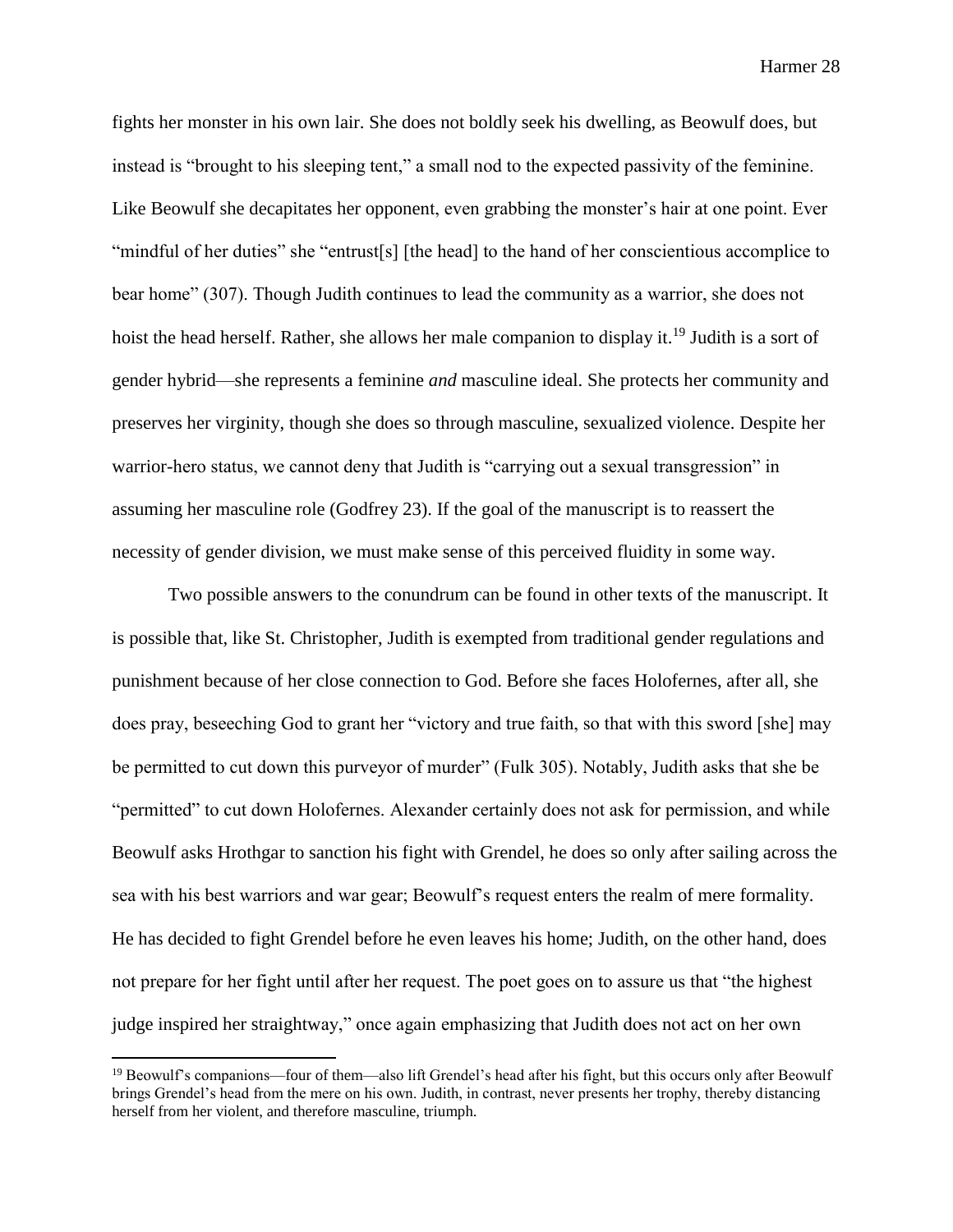fights her monster in his own lair. She does not boldly seek his dwelling, as Beowulf does, but instead is "brought to his sleeping tent," a small nod to the expected passivity of the feminine. Like Beowulf she decapitates her opponent, even grabbing the monster's hair at one point. Ever "mindful of her duties" she "entrust[s] [the head] to the hand of her conscientious accomplice to bear home" (307). Though Judith continues to lead the community as a warrior, she does not hoist the head herself. Rather, she allows her male companion to display it.<sup>19</sup> Judith is a sort of gender hybrid—she represents a feminine *and* masculine ideal. She protects her community and preserves her virginity, though she does so through masculine, sexualized violence. Despite her warrior-hero status, we cannot deny that Judith is "carrying out a sexual transgression" in assuming her masculine role (Godfrey 23). If the goal of the manuscript is to reassert the necessity of gender division, we must make sense of this perceived fluidity in some way.

Two possible answers to the conundrum can be found in other texts of the manuscript. It is possible that, like St. Christopher, Judith is exempted from traditional gender regulations and punishment because of her close connection to God. Before she faces Holofernes, after all, she does pray, beseeching God to grant her "victory and true faith, so that with this sword [she] may be permitted to cut down this purveyor of murder" (Fulk 305). Notably, Judith asks that she be "permitted" to cut down Holofernes. Alexander certainly does not ask for permission, and while Beowulf asks Hrothgar to sanction his fight with Grendel, he does so only after sailing across the sea with his best warriors and war gear; Beowulf's request enters the realm of mere formality. He has decided to fight Grendel before he even leaves his home; Judith, on the other hand, does not prepare for her fight until after her request. The poet goes on to assure us that "the highest judge inspired her straightway," once again emphasizing that Judith does not act on her own

<sup>&</sup>lt;sup>19</sup> Beowulf's companions—four of them—also lift Grendel's head after his fight, but this occurs only after Beowulf brings Grendel's head from the mere on his own. Judith, in contrast, never presents her trophy, thereby distancing herself from her violent, and therefore masculine, triumph.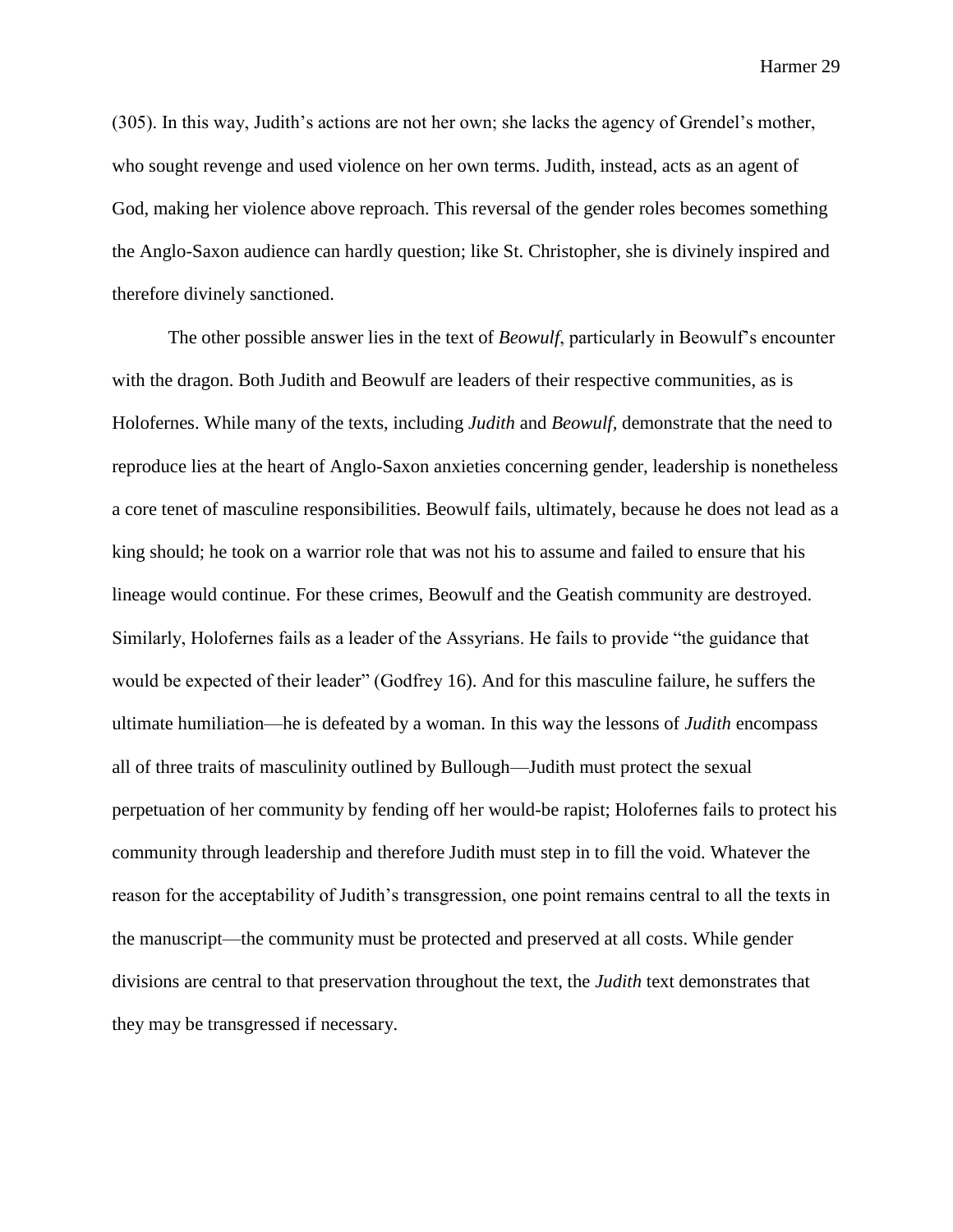(305). In this way, Judith's actions are not her own; she lacks the agency of Grendel's mother, who sought revenge and used violence on her own terms. Judith, instead, acts as an agent of God, making her violence above reproach. This reversal of the gender roles becomes something the Anglo-Saxon audience can hardly question; like St. Christopher, she is divinely inspired and therefore divinely sanctioned.

The other possible answer lies in the text of *Beowulf*, particularly in Beowulf's encounter with the dragon. Both Judith and Beowulf are leaders of their respective communities, as is Holofernes. While many of the texts, including *Judith* and *Beowulf,* demonstrate that the need to reproduce lies at the heart of Anglo-Saxon anxieties concerning gender, leadership is nonetheless a core tenet of masculine responsibilities. Beowulf fails, ultimately, because he does not lead as a king should; he took on a warrior role that was not his to assume and failed to ensure that his lineage would continue. For these crimes, Beowulf and the Geatish community are destroyed. Similarly, Holofernes fails as a leader of the Assyrians. He fails to provide "the guidance that would be expected of their leader" (Godfrey 16). And for this masculine failure, he suffers the ultimate humiliation—he is defeated by a woman. In this way the lessons of *Judith* encompass all of three traits of masculinity outlined by Bullough—Judith must protect the sexual perpetuation of her community by fending off her would-be rapist; Holofernes fails to protect his community through leadership and therefore Judith must step in to fill the void. Whatever the reason for the acceptability of Judith's transgression, one point remains central to all the texts in the manuscript—the community must be protected and preserved at all costs. While gender divisions are central to that preservation throughout the text, the *Judith* text demonstrates that they may be transgressed if necessary.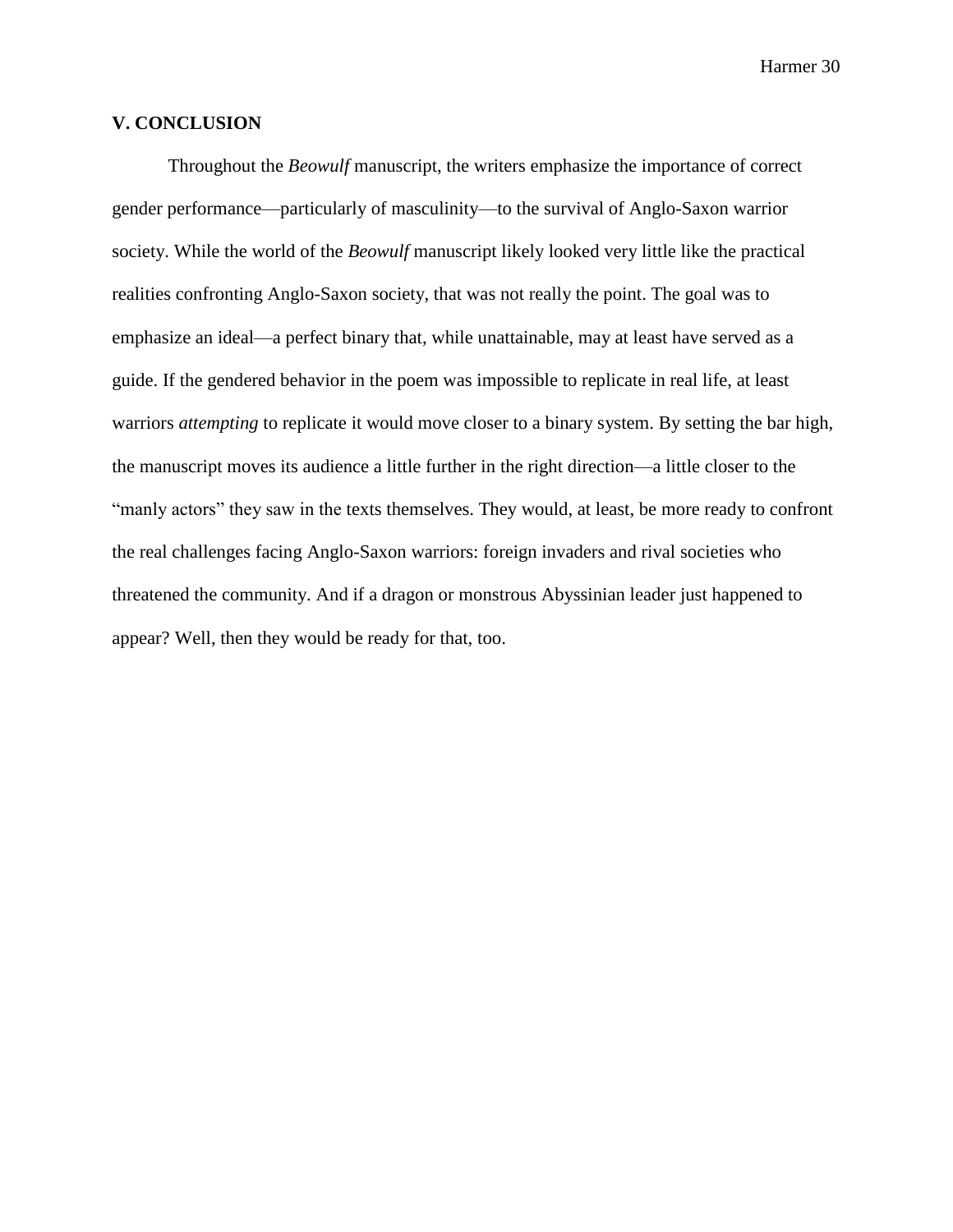## **V. CONCLUSION**

Throughout the *Beowulf* manuscript, the writers emphasize the importance of correct gender performance—particularly of masculinity—to the survival of Anglo-Saxon warrior society. While the world of the *Beowulf* manuscript likely looked very little like the practical realities confronting Anglo-Saxon society, that was not really the point. The goal was to emphasize an ideal—a perfect binary that, while unattainable, may at least have served as a guide. If the gendered behavior in the poem was impossible to replicate in real life, at least warriors *attempting* to replicate it would move closer to a binary system. By setting the bar high, the manuscript moves its audience a little further in the right direction—a little closer to the "manly actors" they saw in the texts themselves. They would, at least, be more ready to confront the real challenges facing Anglo-Saxon warriors: foreign invaders and rival societies who threatened the community. And if a dragon or monstrous Abyssinian leader just happened to appear? Well, then they would be ready for that, too.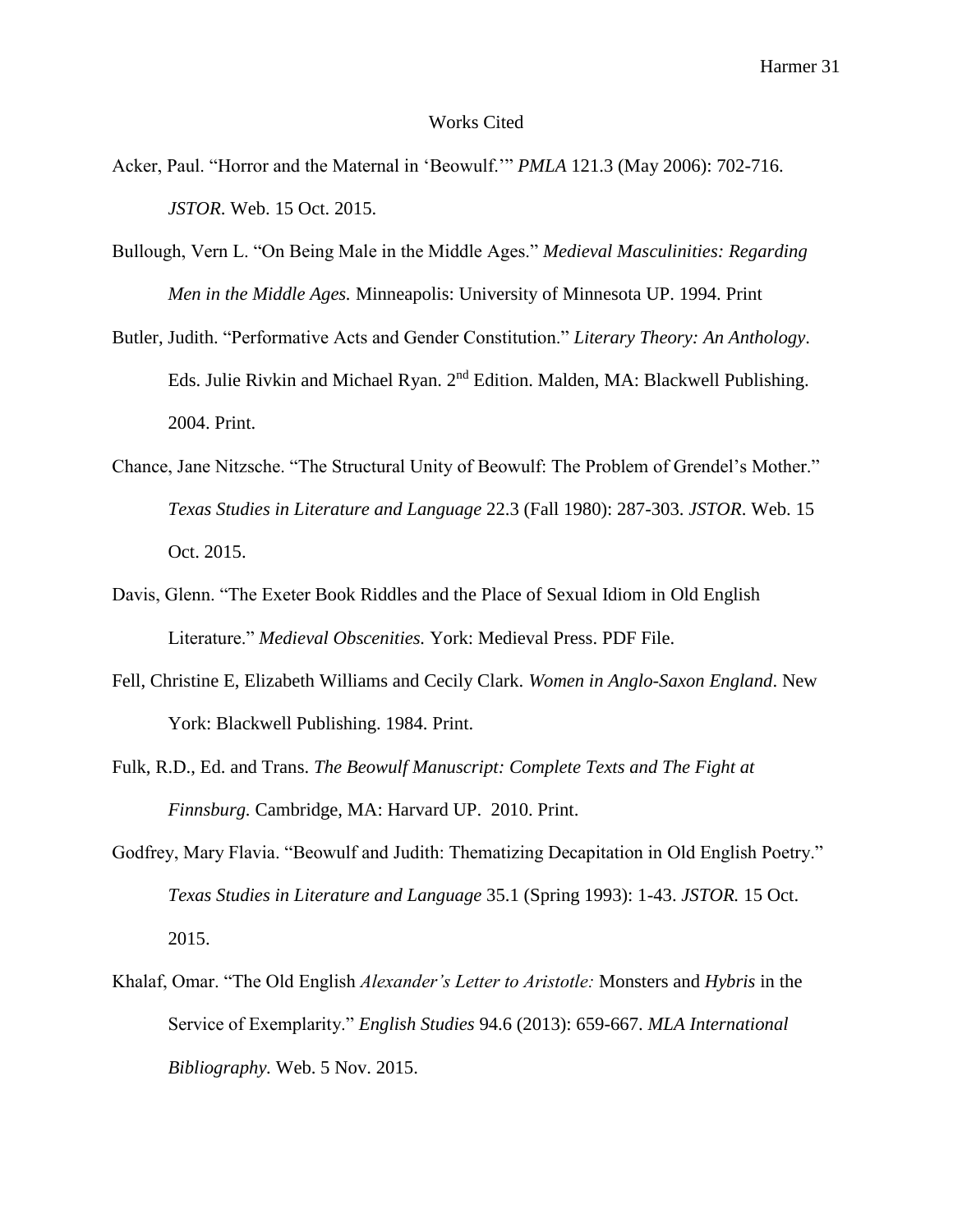#### Works Cited

- Acker, Paul. "Horror and the Maternal in 'Beowulf.'" *PMLA* 121.3 (May 2006): 702-716. *JSTOR*. Web. 15 Oct. 2015.
- Bullough, Vern L. "On Being Male in the Middle Ages." *Medieval Masculinities: Regarding Men in the Middle Ages.* Minneapolis: University of Minnesota UP. 1994. Print
- Butler, Judith. "Performative Acts and Gender Constitution." *Literary Theory: An Anthology*. Eds. Julie Rivkin and Michael Ryan. 2nd Edition. Malden, MA: Blackwell Publishing. 2004. Print.
- Chance, Jane Nitzsche. "The Structural Unity of Beowulf: The Problem of Grendel's Mother." *Texas Studies in Literature and Language* 22.3 (Fall 1980): 287-303. *JSTOR*. Web. 15 Oct. 2015.
- Davis, Glenn. "The Exeter Book Riddles and the Place of Sexual Idiom in Old English Literature." *Medieval Obscenities.* York: Medieval Press. PDF File.
- Fell, Christine E, Elizabeth Williams and Cecily Clark. *Women in Anglo-Saxon England*. New York: Blackwell Publishing. 1984. Print.
- Fulk, R.D., Ed. and Trans. *The Beowulf Manuscript: Complete Texts and The Fight at Finnsburg.* Cambridge, MA: Harvard UP. 2010. Print.
- Godfrey, Mary Flavia. "Beowulf and Judith: Thematizing Decapitation in Old English Poetry." *Texas Studies in Literature and Language* 35.1 (Spring 1993): 1-43. *JSTOR.* 15 Oct. 2015.
- Khalaf, Omar. "The Old English *Alexander's Letter to Aristotle:* Monsters and *Hybris* in the Service of Exemplarity." *English Studies* 94.6 (2013): 659-667. *MLA International Bibliography.* Web. 5 Nov. 2015.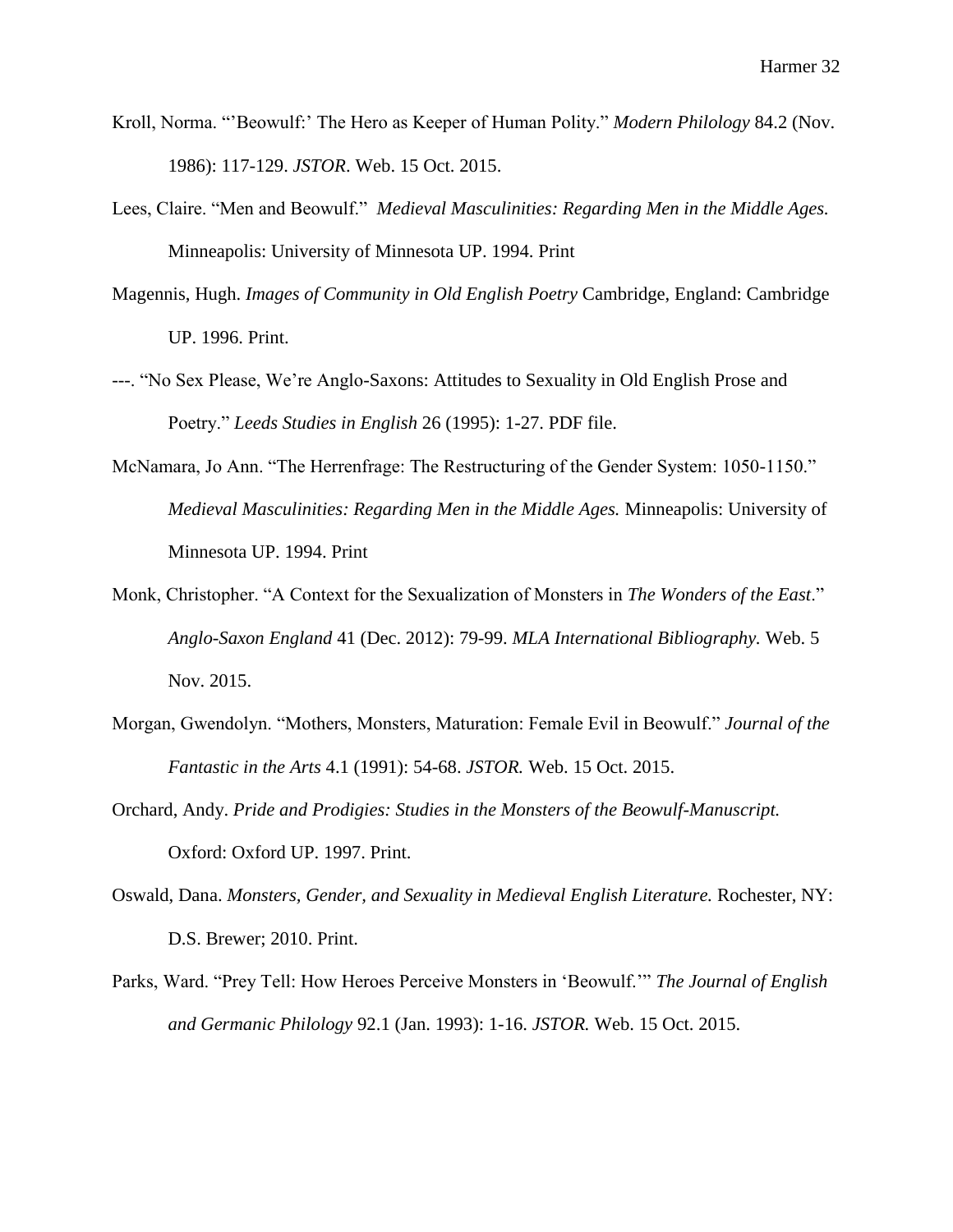- Kroll, Norma. "'Beowulf:' The Hero as Keeper of Human Polity." *Modern Philology* 84.2 (Nov. 1986): 117-129. *JSTOR*. Web. 15 Oct. 2015.
- Lees, Claire. "Men and Beowulf." *Medieval Masculinities: Regarding Men in the Middle Ages.*  Minneapolis: University of Minnesota UP. 1994. Print
- Magennis, Hugh. *Images of Community in Old English Poetry* Cambridge, England: Cambridge UP. 1996. Print.
- ---. "No Sex Please, We're Anglo-Saxons: Attitudes to Sexuality in Old English Prose and Poetry." *Leeds Studies in English* 26 (1995): 1-27. PDF file.
- McNamara, Jo Ann. "The Herrenfrage: The Restructuring of the Gender System: 1050-1150." *Medieval Masculinities: Regarding Men in the Middle Ages.* Minneapolis: University of Minnesota UP. 1994. Print
- Monk, Christopher. "A Context for the Sexualization of Monsters in *The Wonders of the East*." *Anglo-Saxon England* 41 (Dec. 2012): 79-99. *MLA International Bibliography.* Web. 5 Nov. 2015.
- Morgan, Gwendolyn. "Mothers, Monsters, Maturation: Female Evil in Beowulf." *Journal of the Fantastic in the Arts* 4.1 (1991): 54-68. *JSTOR.* Web. 15 Oct. 2015.
- Orchard, Andy. *Pride and Prodigies: Studies in the Monsters of the Beowulf-Manuscript.*  Oxford: Oxford UP. 1997. Print.
- Oswald, Dana. *Monsters, Gender, and Sexuality in Medieval English Literature.* Rochester, NY: D.S. Brewer; 2010. Print.
- Parks, Ward. "Prey Tell: How Heroes Perceive Monsters in 'Beowulf.'" *The Journal of English and Germanic Philology* 92.1 (Jan. 1993): 1-16. *JSTOR.* Web. 15 Oct. 2015.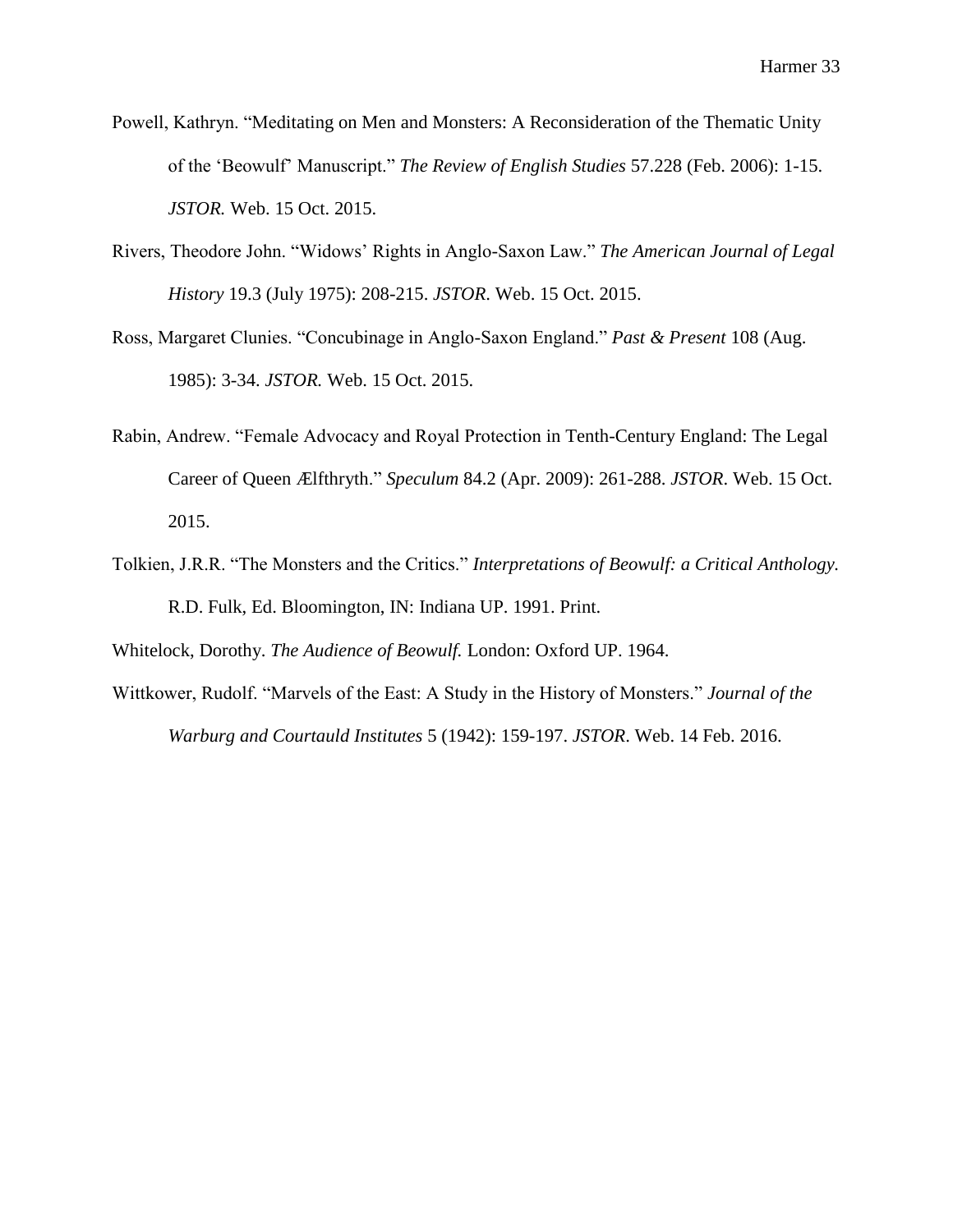- Powell, Kathryn. "Meditating on Men and Monsters: A Reconsideration of the Thematic Unity of the 'Beowulf' Manuscript." *The Review of English Studies* 57.228 (Feb. 2006): 1-15. *JSTOR.* Web. 15 Oct. 2015.
- Rivers, Theodore John. "Widows' Rights in Anglo-Saxon Law." *The American Journal of Legal History* 19.3 (July 1975): 208-215. *JSTOR*. Web. 15 Oct. 2015.
- Ross, Margaret Clunies. "Concubinage in Anglo-Saxon England." *Past & Present* 108 (Aug. 1985): 3-34. *JSTOR.* Web. 15 Oct. 2015.
- Rabin, Andrew. "Female Advocacy and Royal Protection in Tenth-Century England: The Legal Career of Queen Ælfthryth." *Speculum* 84.2 (Apr. 2009): 261-288. *JSTOR*. Web. 15 Oct. 2015.
- Tolkien, J.R.R. "The Monsters and the Critics." *Interpretations of Beowulf: a Critical Anthology.*  R.D. Fulk, Ed. Bloomington, IN: Indiana UP. 1991. Print.

Whitelock, Dorothy. *The Audience of Beowulf.* London: Oxford UP. 1964.

Wittkower, Rudolf. "Marvels of the East: A Study in the History of Monsters." *Journal of the Warburg and Courtauld Institutes* 5 (1942): 159-197. *JSTOR*. Web. 14 Feb. 2016.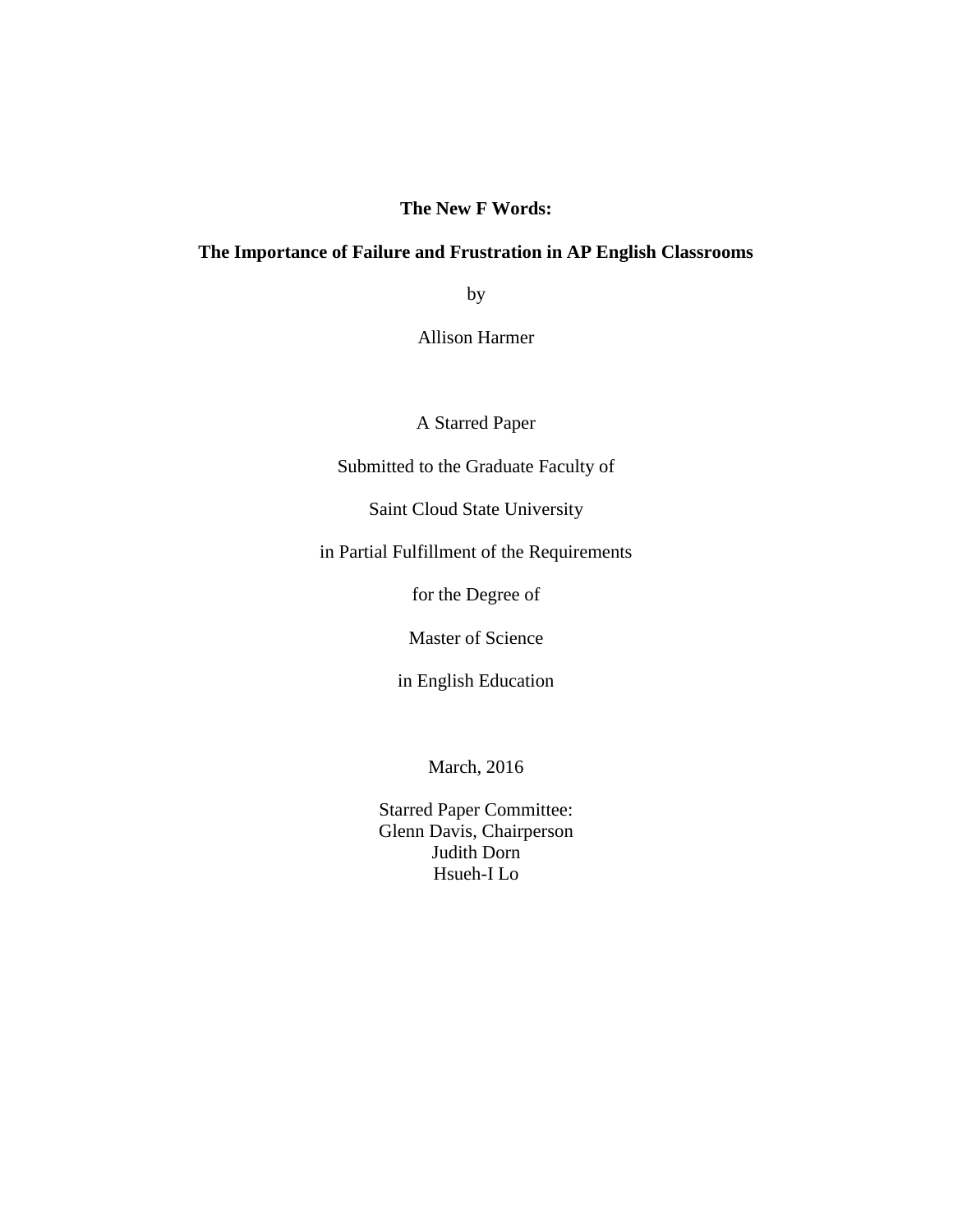## **The New F Words:**

## **The Importance of Failure and Frustration in AP English Classrooms**

by

Allison Harmer

A Starred Paper

Submitted to the Graduate Faculty of

Saint Cloud State University

in Partial Fulfillment of the Requirements

for the Degree of

Master of Science

in English Education

March, 2016

Starred Paper Committee: Glenn Davis, Chairperson Judith Dorn Hsueh-I Lo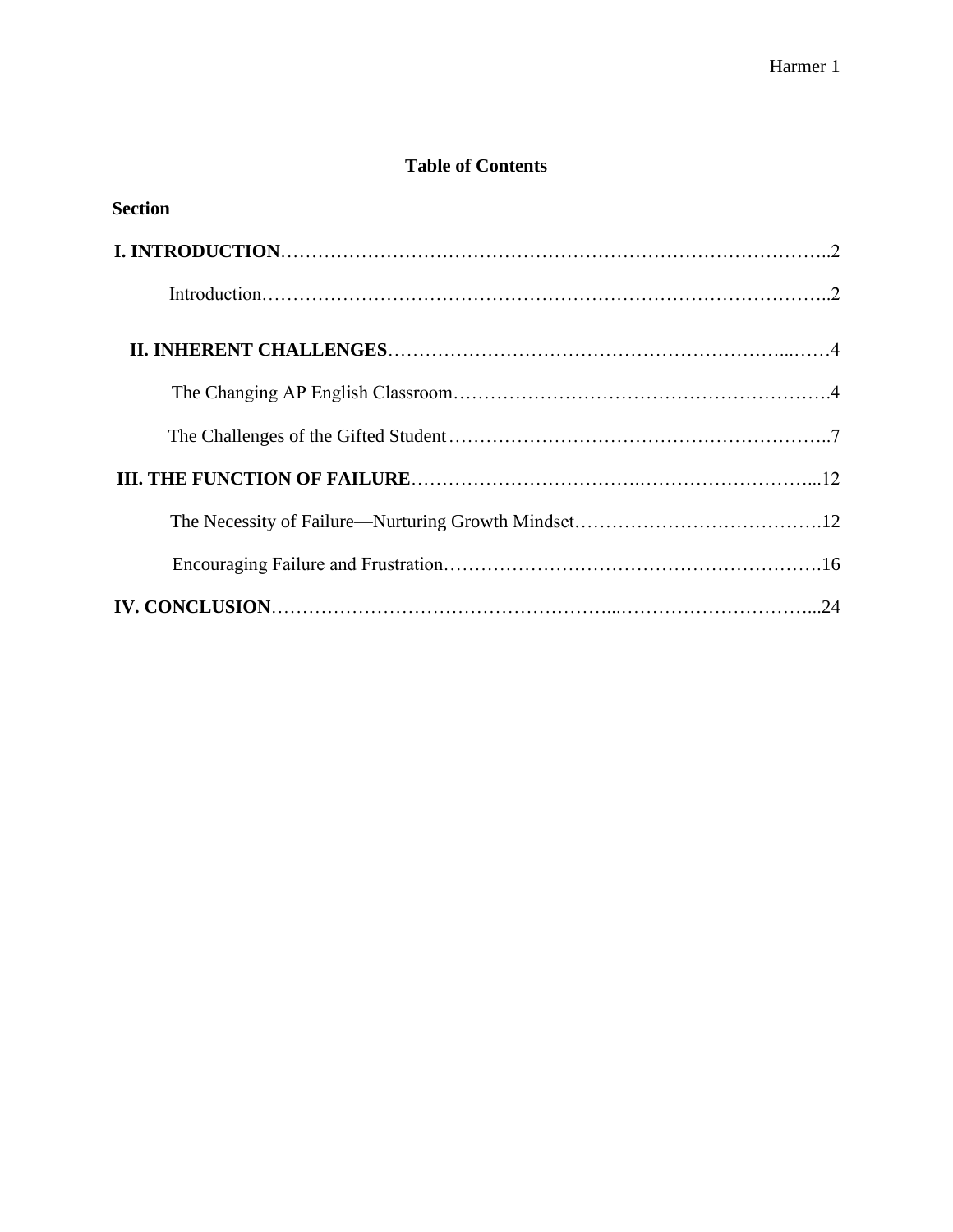# **Table of Contents**

| <b>Section</b> |  |
|----------------|--|
|                |  |
|                |  |
|                |  |
|                |  |
|                |  |
|                |  |
|                |  |
|                |  |
|                |  |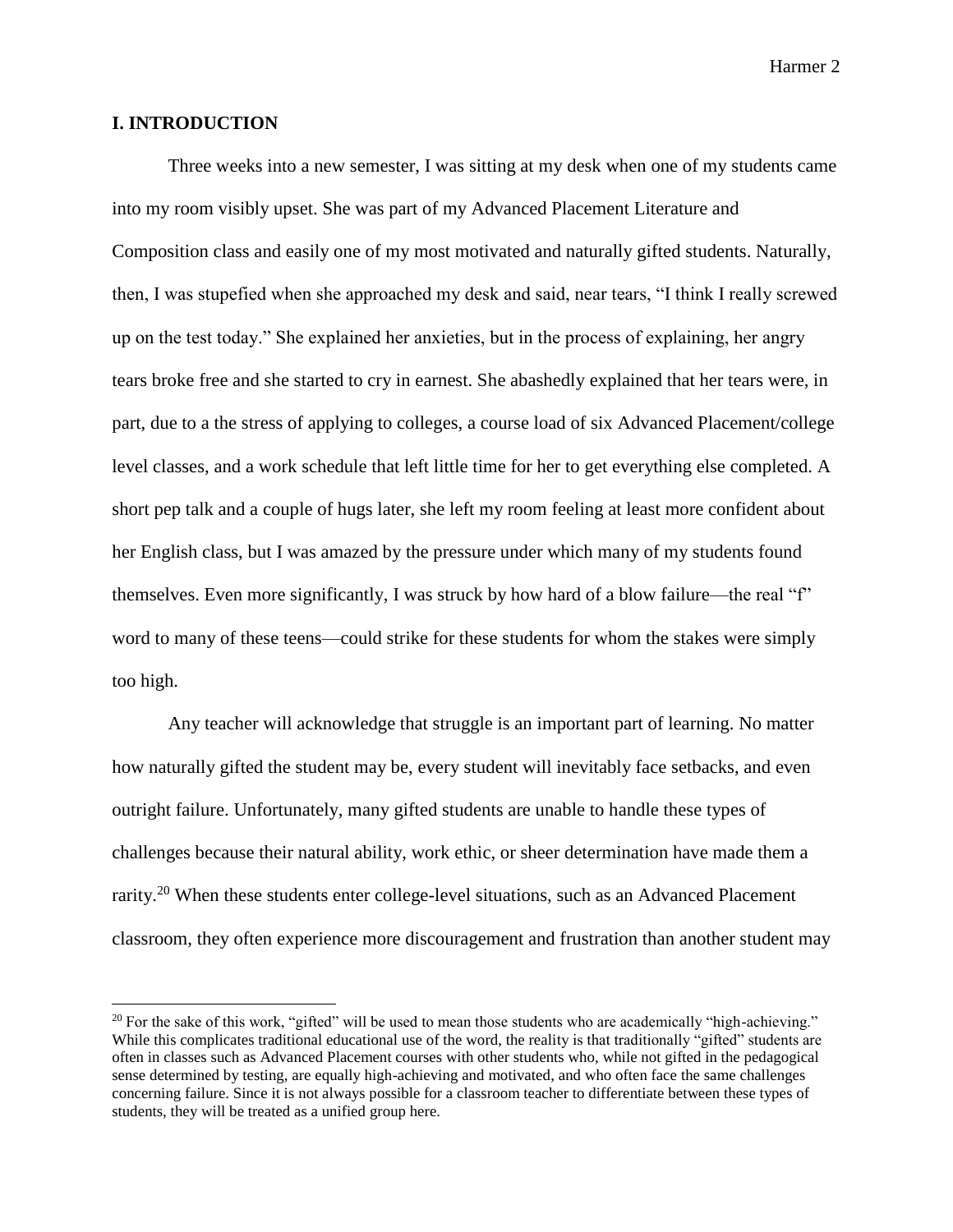#### **I. INTRODUCTION**

l

Three weeks into a new semester, I was sitting at my desk when one of my students came into my room visibly upset. She was part of my Advanced Placement Literature and Composition class and easily one of my most motivated and naturally gifted students. Naturally, then, I was stupefied when she approached my desk and said, near tears, "I think I really screwed up on the test today." She explained her anxieties, but in the process of explaining, her angry tears broke free and she started to cry in earnest. She abashedly explained that her tears were, in part, due to a the stress of applying to colleges, a course load of six Advanced Placement/college level classes, and a work schedule that left little time for her to get everything else completed. A short pep talk and a couple of hugs later, she left my room feeling at least more confident about her English class, but I was amazed by the pressure under which many of my students found themselves. Even more significantly, I was struck by how hard of a blow failure—the real "f" word to many of these teens—could strike for these students for whom the stakes were simply too high.

Any teacher will acknowledge that struggle is an important part of learning. No matter how naturally gifted the student may be, every student will inevitably face setbacks, and even outright failure. Unfortunately, many gifted students are unable to handle these types of challenges because their natural ability, work ethic, or sheer determination have made them a rarity.<sup>20</sup> When these students enter college-level situations, such as an Advanced Placement classroom, they often experience more discouragement and frustration than another student may

 $20$  For the sake of this work, "gifted" will be used to mean those students who are academically "high-achieving." While this complicates traditional educational use of the word, the reality is that traditionally "gifted" students are often in classes such as Advanced Placement courses with other students who, while not gifted in the pedagogical sense determined by testing, are equally high-achieving and motivated, and who often face the same challenges concerning failure. Since it is not always possible for a classroom teacher to differentiate between these types of students, they will be treated as a unified group here.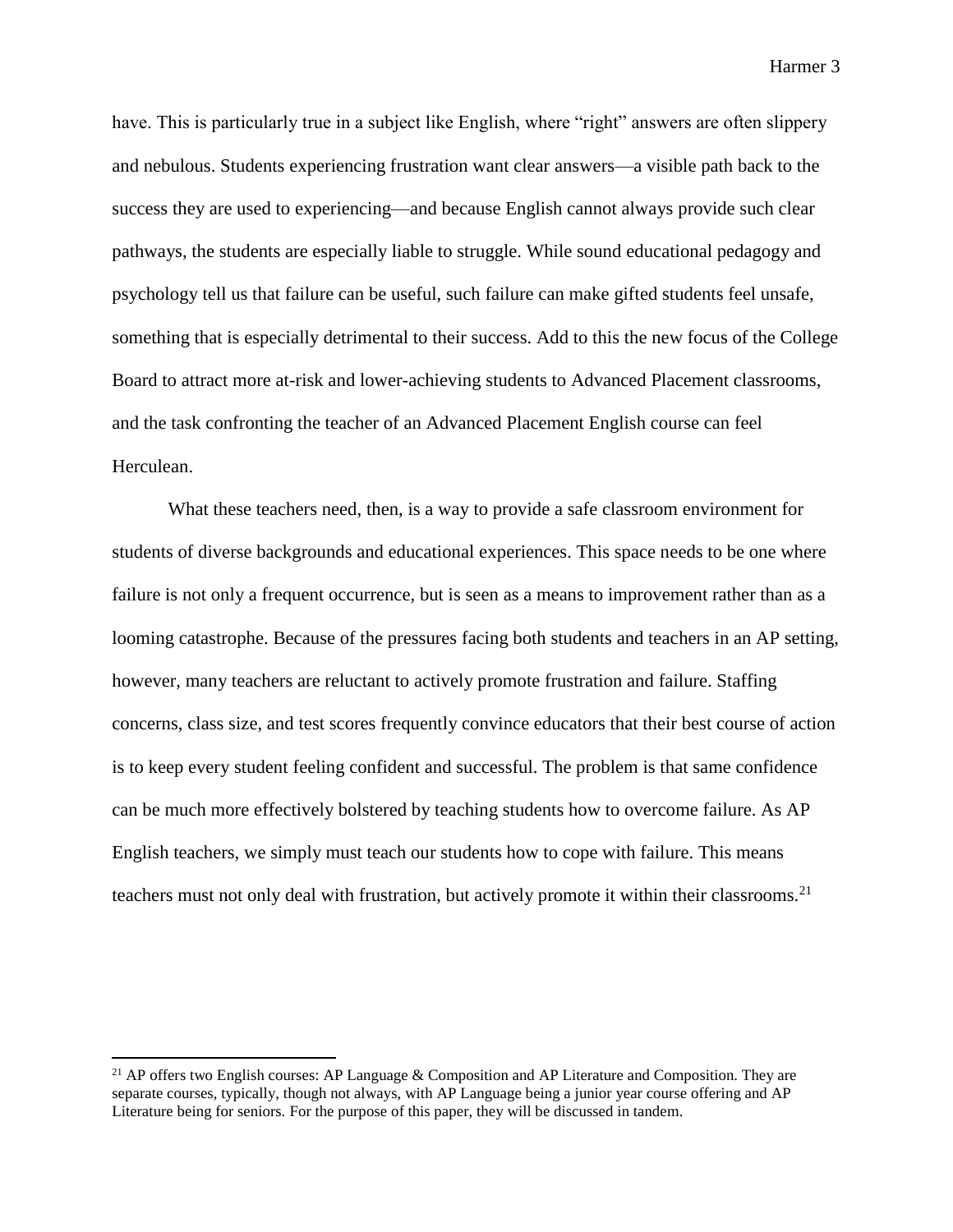have. This is particularly true in a subject like English, where "right" answers are often slippery and nebulous. Students experiencing frustration want clear answers—a visible path back to the success they are used to experiencing—and because English cannot always provide such clear pathways, the students are especially liable to struggle. While sound educational pedagogy and psychology tell us that failure can be useful, such failure can make gifted students feel unsafe, something that is especially detrimental to their success. Add to this the new focus of the College Board to attract more at-risk and lower-achieving students to Advanced Placement classrooms, and the task confronting the teacher of an Advanced Placement English course can feel Herculean.

What these teachers need, then, is a way to provide a safe classroom environment for students of diverse backgrounds and educational experiences. This space needs to be one where failure is not only a frequent occurrence, but is seen as a means to improvement rather than as a looming catastrophe. Because of the pressures facing both students and teachers in an AP setting, however, many teachers are reluctant to actively promote frustration and failure. Staffing concerns, class size, and test scores frequently convince educators that their best course of action is to keep every student feeling confident and successful. The problem is that same confidence can be much more effectively bolstered by teaching students how to overcome failure. As AP English teachers, we simply must teach our students how to cope with failure. This means teachers must not only deal with frustration, but actively promote it within their classrooms.<sup>21</sup>

<sup>&</sup>lt;sup>21</sup> AP offers two English courses: AP Language & Composition and AP Literature and Composition. They are separate courses, typically, though not always, with AP Language being a junior year course offering and AP Literature being for seniors. For the purpose of this paper, they will be discussed in tandem.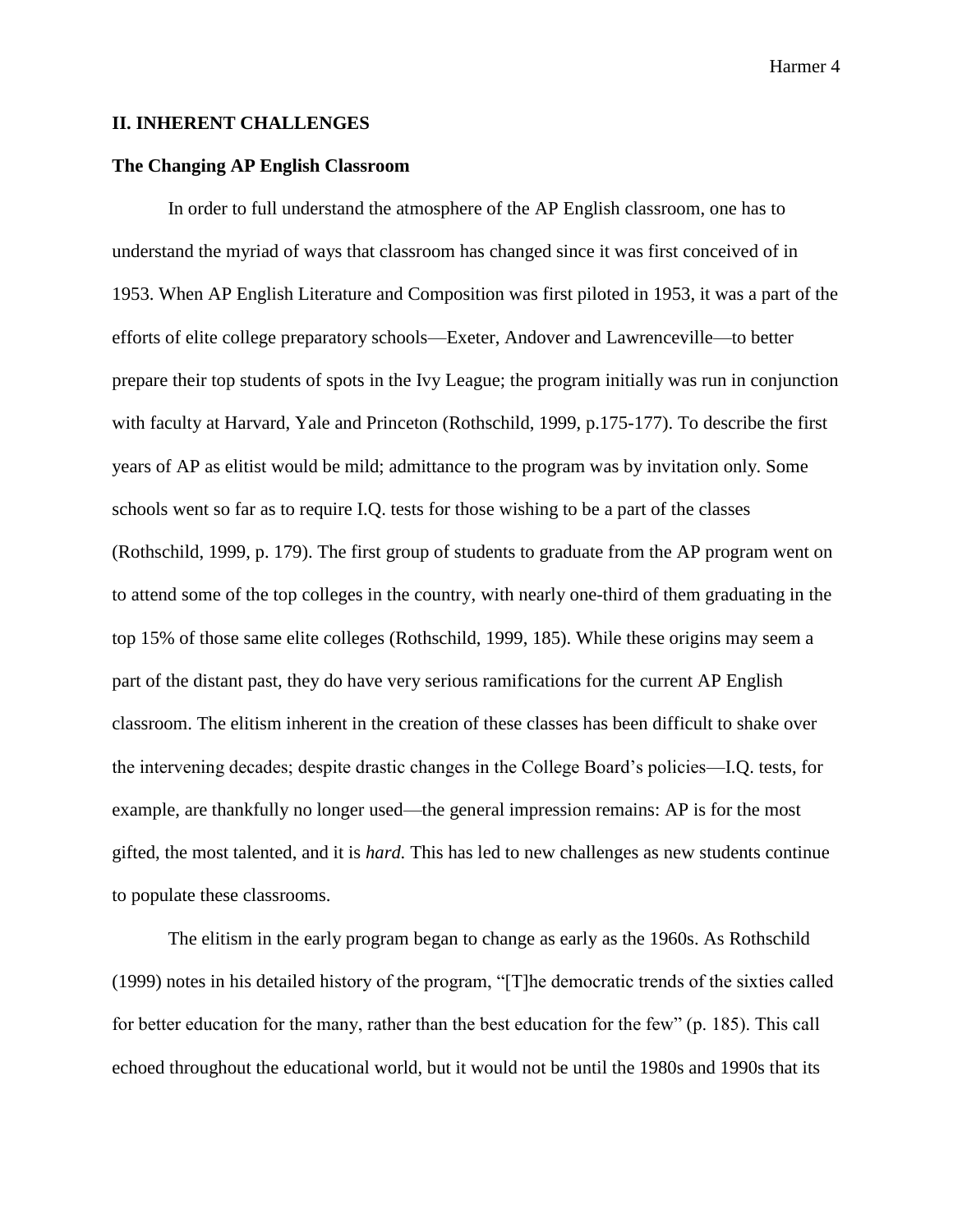#### **II. INHERENT CHALLENGES**

## **The Changing AP English Classroom**

In order to full understand the atmosphere of the AP English classroom, one has to understand the myriad of ways that classroom has changed since it was first conceived of in 1953. When AP English Literature and Composition was first piloted in 1953, it was a part of the efforts of elite college preparatory schools—Exeter, Andover and Lawrenceville—to better prepare their top students of spots in the Ivy League; the program initially was run in conjunction with faculty at Harvard, Yale and Princeton (Rothschild, 1999, p.175-177). To describe the first years of AP as elitist would be mild; admittance to the program was by invitation only. Some schools went so far as to require I.Q. tests for those wishing to be a part of the classes (Rothschild, 1999, p. 179). The first group of students to graduate from the AP program went on to attend some of the top colleges in the country, with nearly one-third of them graduating in the top 15% of those same elite colleges (Rothschild, 1999, 185). While these origins may seem a part of the distant past, they do have very serious ramifications for the current AP English classroom. The elitism inherent in the creation of these classes has been difficult to shake over the intervening decades; despite drastic changes in the College Board's policies—I.Q. tests, for example, are thankfully no longer used—the general impression remains: AP is for the most gifted, the most talented, and it is *hard.* This has led to new challenges as new students continue to populate these classrooms.

The elitism in the early program began to change as early as the 1960s. As Rothschild (1999) notes in his detailed history of the program, "[T]he democratic trends of the sixties called for better education for the many, rather than the best education for the few" (p. 185). This call echoed throughout the educational world, but it would not be until the 1980s and 1990s that its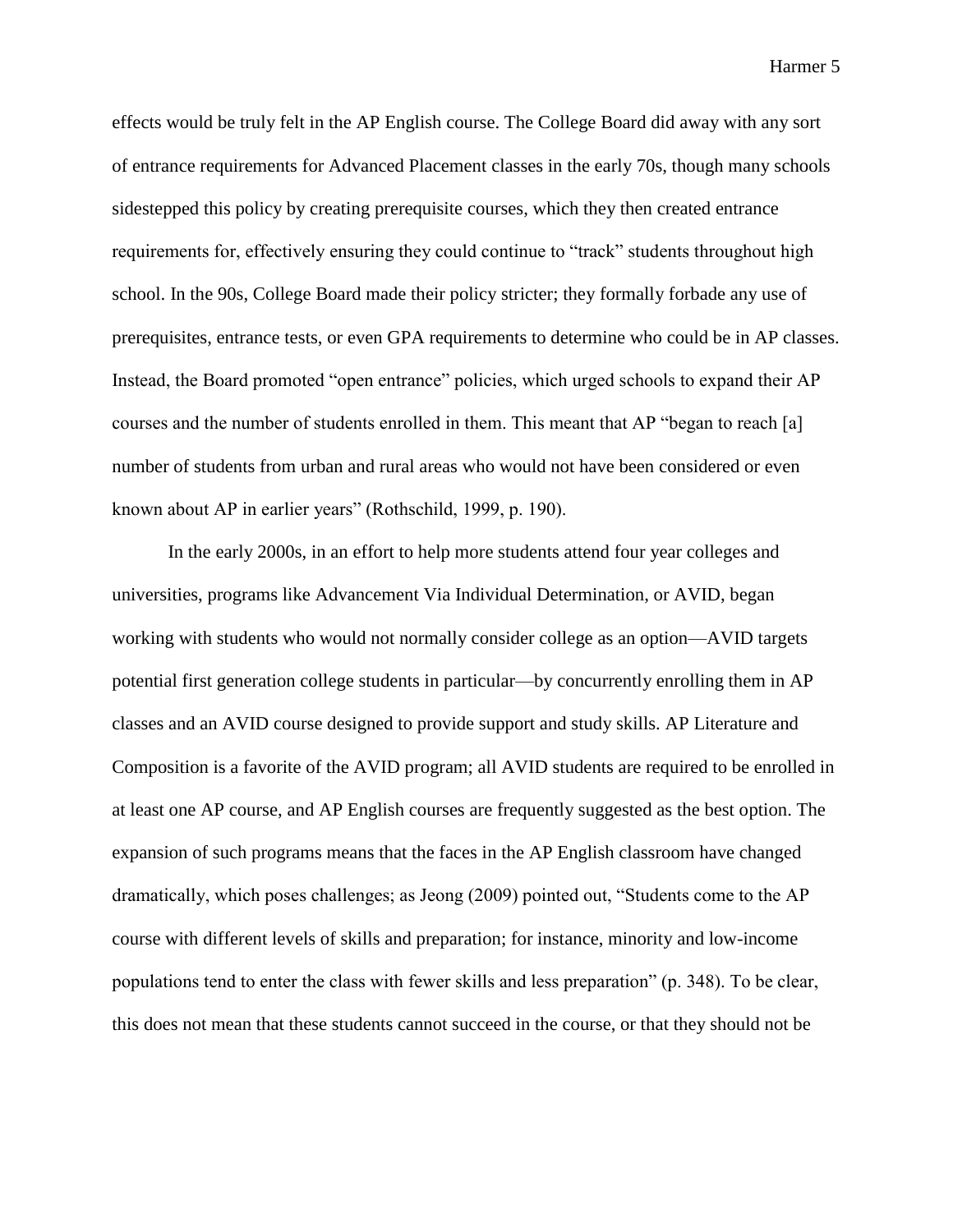effects would be truly felt in the AP English course. The College Board did away with any sort of entrance requirements for Advanced Placement classes in the early 70s, though many schools sidestepped this policy by creating prerequisite courses, which they then created entrance requirements for, effectively ensuring they could continue to "track" students throughout high school. In the 90s, College Board made their policy stricter; they formally forbade any use of prerequisites, entrance tests, or even GPA requirements to determine who could be in AP classes. Instead, the Board promoted "open entrance" policies, which urged schools to expand their AP courses and the number of students enrolled in them. This meant that AP "began to reach [a] number of students from urban and rural areas who would not have been considered or even known about AP in earlier years" (Rothschild, 1999, p. 190).

In the early 2000s, in an effort to help more students attend four year colleges and universities, programs like Advancement Via Individual Determination, or AVID, began working with students who would not normally consider college as an option—AVID targets potential first generation college students in particular—by concurrently enrolling them in AP classes and an AVID course designed to provide support and study skills. AP Literature and Composition is a favorite of the AVID program; all AVID students are required to be enrolled in at least one AP course, and AP English courses are frequently suggested as the best option. The expansion of such programs means that the faces in the AP English classroom have changed dramatically, which poses challenges; as Jeong (2009) pointed out, "Students come to the AP course with different levels of skills and preparation; for instance, minority and low-income populations tend to enter the class with fewer skills and less preparation" (p. 348). To be clear, this does not mean that these students cannot succeed in the course, or that they should not be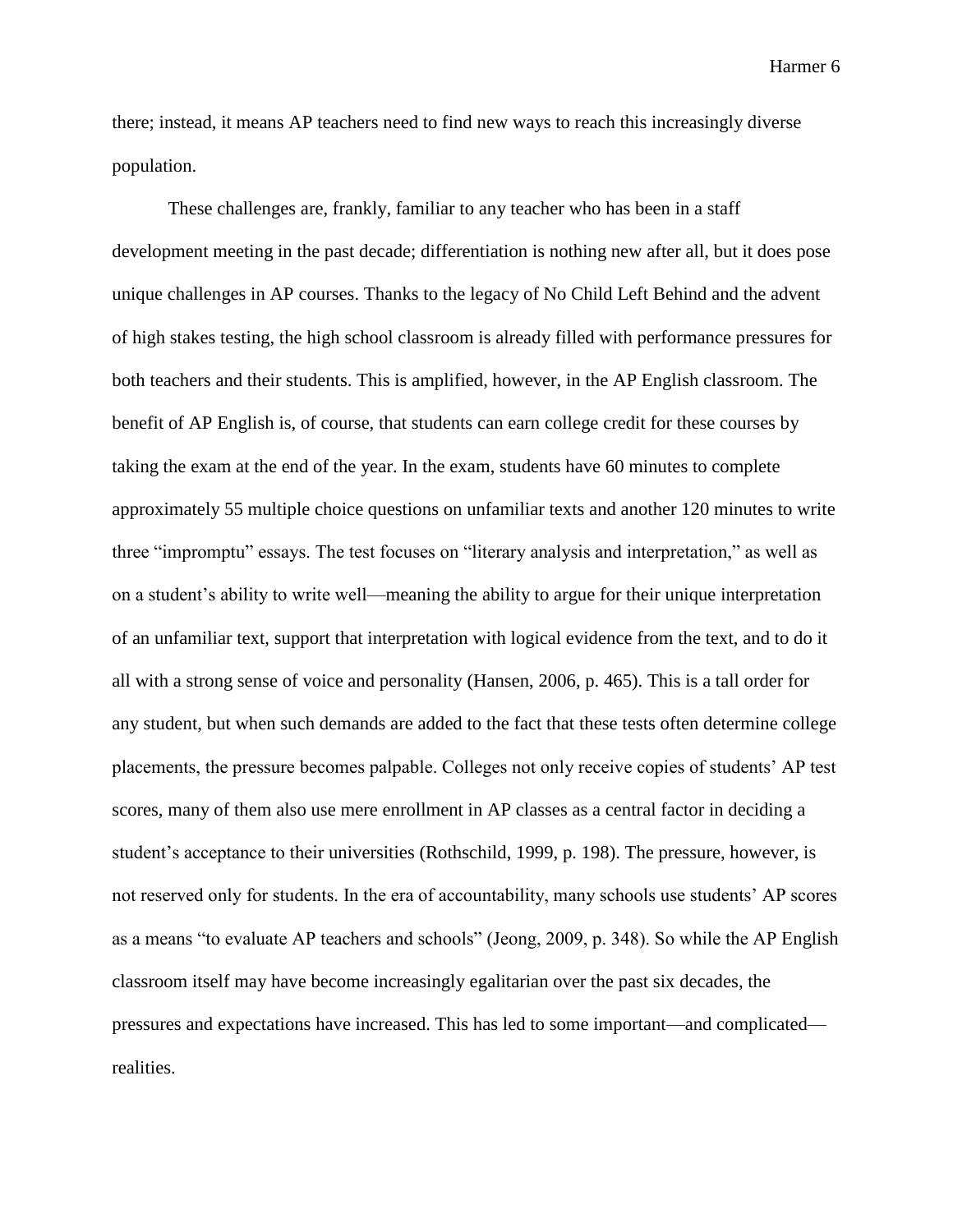there; instead, it means AP teachers need to find new ways to reach this increasingly diverse population.

These challenges are, frankly, familiar to any teacher who has been in a staff development meeting in the past decade; differentiation is nothing new after all, but it does pose unique challenges in AP courses. Thanks to the legacy of No Child Left Behind and the advent of high stakes testing, the high school classroom is already filled with performance pressures for both teachers and their students. This is amplified, however, in the AP English classroom. The benefit of AP English is, of course, that students can earn college credit for these courses by taking the exam at the end of the year. In the exam, students have 60 minutes to complete approximately 55 multiple choice questions on unfamiliar texts and another 120 minutes to write three "impromptu" essays. The test focuses on "literary analysis and interpretation," as well as on a student's ability to write well—meaning the ability to argue for their unique interpretation of an unfamiliar text, support that interpretation with logical evidence from the text, and to do it all with a strong sense of voice and personality (Hansen, 2006, p. 465). This is a tall order for any student, but when such demands are added to the fact that these tests often determine college placements, the pressure becomes palpable. Colleges not only receive copies of students' AP test scores, many of them also use mere enrollment in AP classes as a central factor in deciding a student's acceptance to their universities (Rothschild, 1999, p. 198). The pressure, however, is not reserved only for students. In the era of accountability, many schools use students' AP scores as a means "to evaluate AP teachers and schools" (Jeong, 2009, p. 348). So while the AP English classroom itself may have become increasingly egalitarian over the past six decades, the pressures and expectations have increased. This has led to some important—and complicated realities.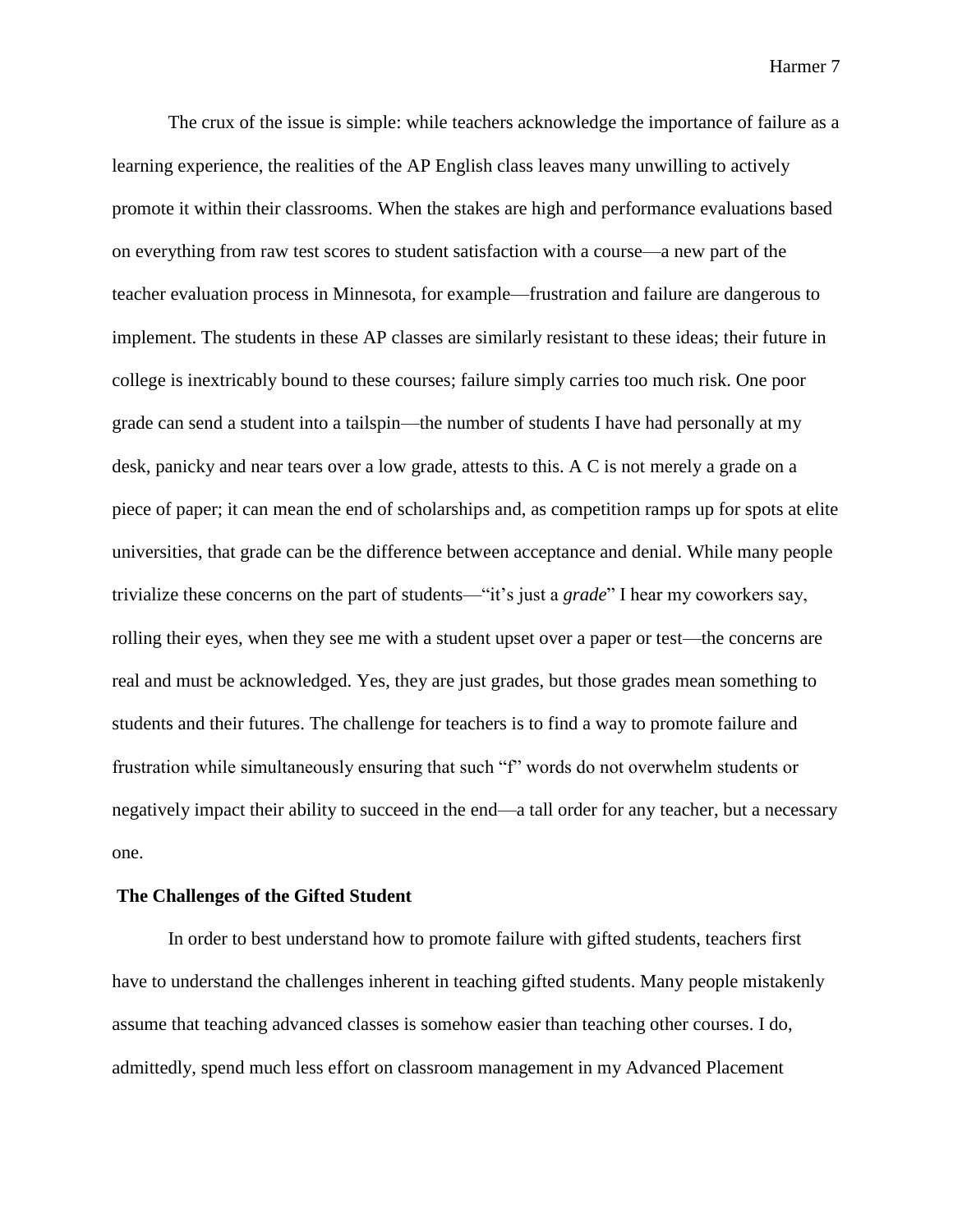The crux of the issue is simple: while teachers acknowledge the importance of failure as a learning experience, the realities of the AP English class leaves many unwilling to actively promote it within their classrooms. When the stakes are high and performance evaluations based on everything from raw test scores to student satisfaction with a course—a new part of the teacher evaluation process in Minnesota, for example—frustration and failure are dangerous to implement. The students in these AP classes are similarly resistant to these ideas; their future in college is inextricably bound to these courses; failure simply carries too much risk. One poor grade can send a student into a tailspin—the number of students I have had personally at my desk, panicky and near tears over a low grade, attests to this. A C is not merely a grade on a piece of paper; it can mean the end of scholarships and, as competition ramps up for spots at elite universities, that grade can be the difference between acceptance and denial. While many people trivialize these concerns on the part of students—"it's just a *grade*" I hear my coworkers say, rolling their eyes, when they see me with a student upset over a paper or test—the concerns are real and must be acknowledged. Yes, they are just grades, but those grades mean something to students and their futures. The challenge for teachers is to find a way to promote failure and frustration while simultaneously ensuring that such "f" words do not overwhelm students or negatively impact their ability to succeed in the end—a tall order for any teacher, but a necessary one.

#### **The Challenges of the Gifted Student**

In order to best understand how to promote failure with gifted students, teachers first have to understand the challenges inherent in teaching gifted students. Many people mistakenly assume that teaching advanced classes is somehow easier than teaching other courses. I do, admittedly, spend much less effort on classroom management in my Advanced Placement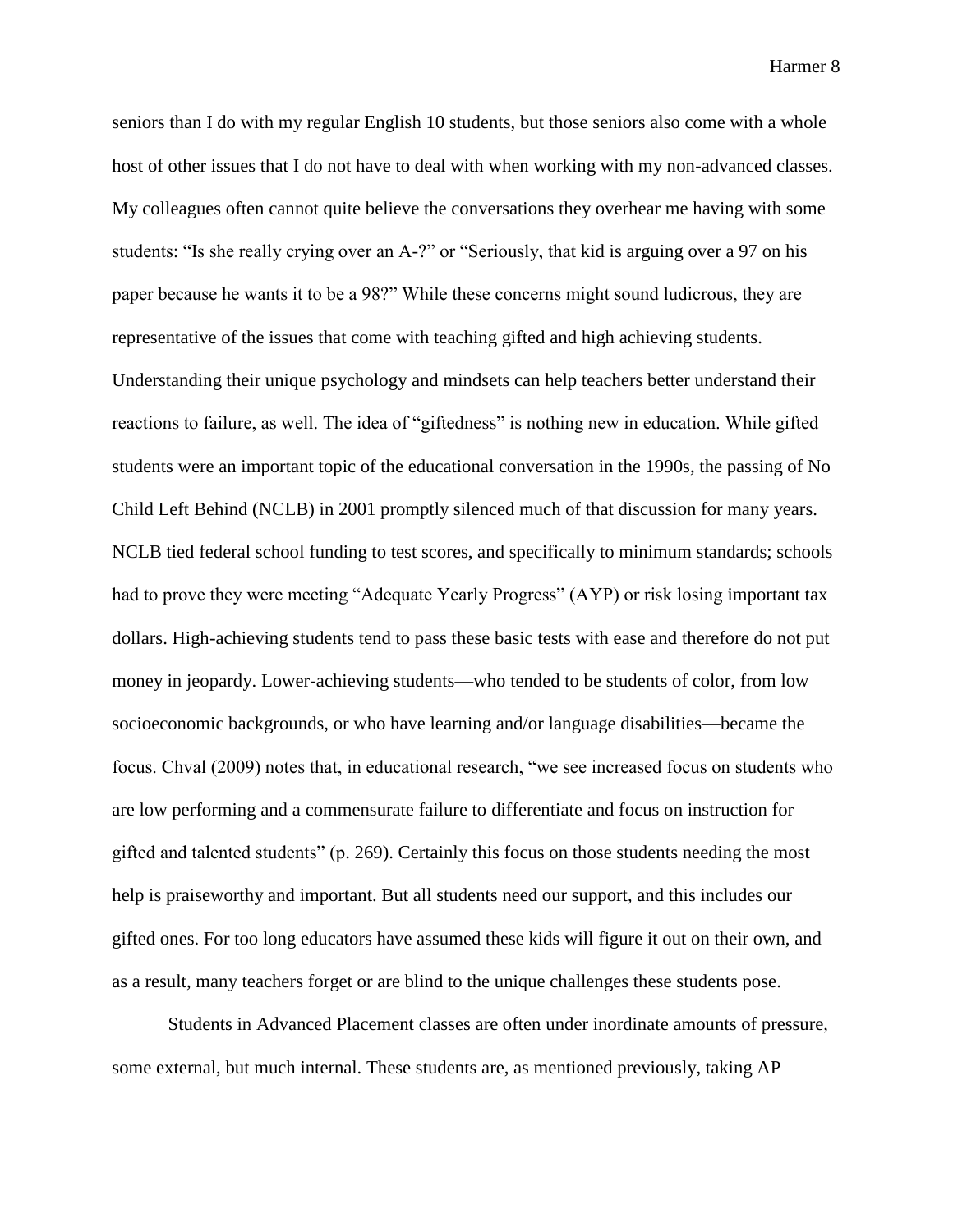seniors than I do with my regular English 10 students, but those seniors also come with a whole host of other issues that I do not have to deal with when working with my non-advanced classes. My colleagues often cannot quite believe the conversations they overhear me having with some students: "Is she really crying over an A-?" or "Seriously, that kid is arguing over a 97 on his paper because he wants it to be a 98?" While these concerns might sound ludicrous, they are representative of the issues that come with teaching gifted and high achieving students. Understanding their unique psychology and mindsets can help teachers better understand their reactions to failure, as well. The idea of "giftedness" is nothing new in education. While gifted students were an important topic of the educational conversation in the 1990s, the passing of No Child Left Behind (NCLB) in 2001 promptly silenced much of that discussion for many years. NCLB tied federal school funding to test scores, and specifically to minimum standards; schools had to prove they were meeting "Adequate Yearly Progress" (AYP) or risk losing important tax dollars. High-achieving students tend to pass these basic tests with ease and therefore do not put money in jeopardy. Lower-achieving students—who tended to be students of color, from low socioeconomic backgrounds, or who have learning and/or language disabilities—became the focus. Chval (2009) notes that, in educational research, "we see increased focus on students who are low performing and a commensurate failure to differentiate and focus on instruction for gifted and talented students" (p. 269). Certainly this focus on those students needing the most help is praiseworthy and important. But all students need our support, and this includes our gifted ones. For too long educators have assumed these kids will figure it out on their own, and as a result, many teachers forget or are blind to the unique challenges these students pose.

Students in Advanced Placement classes are often under inordinate amounts of pressure, some external, but much internal. These students are, as mentioned previously, taking AP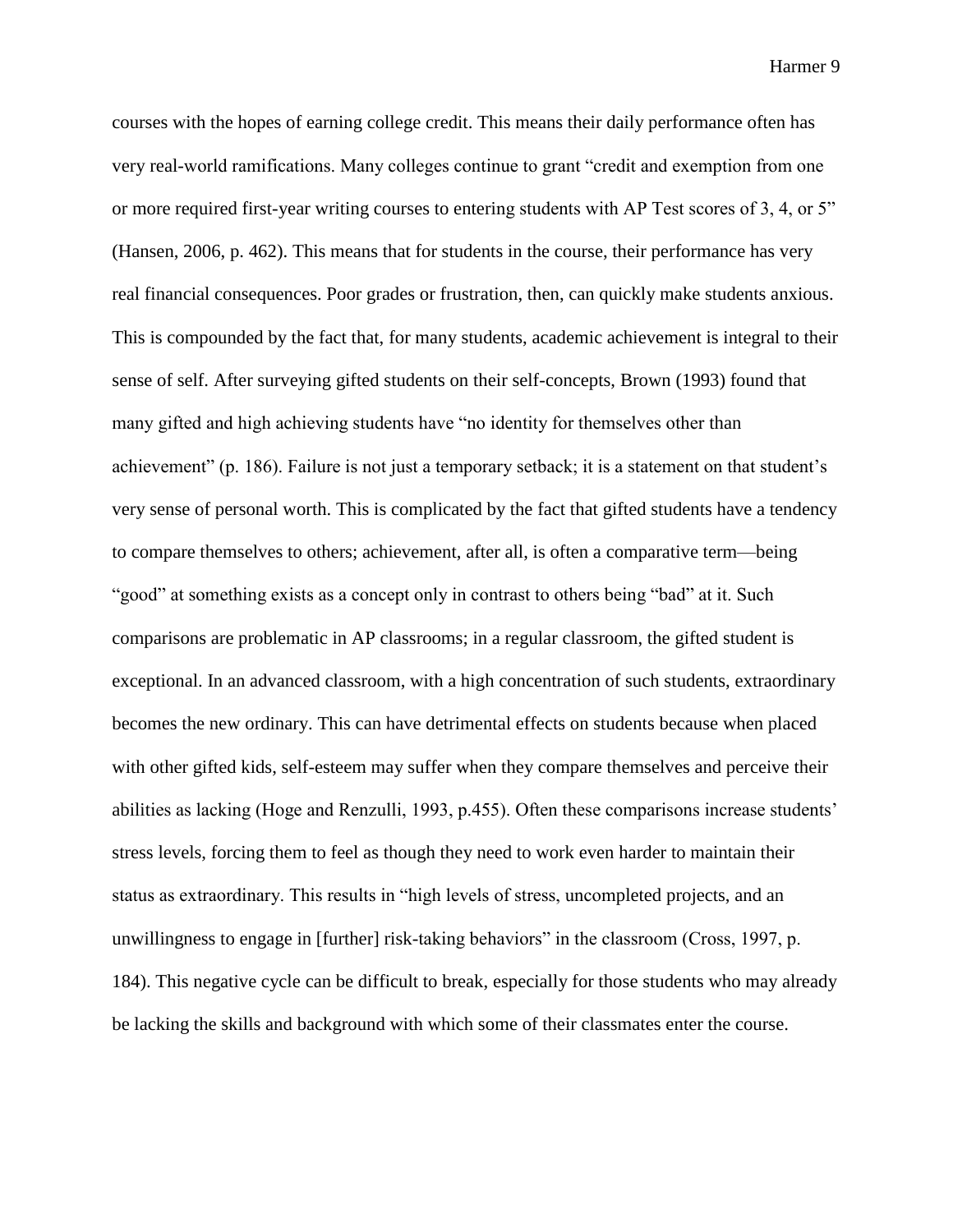courses with the hopes of earning college credit. This means their daily performance often has very real-world ramifications. Many colleges continue to grant "credit and exemption from one or more required first-year writing courses to entering students with AP Test scores of 3, 4, or 5" (Hansen, 2006, p. 462). This means that for students in the course, their performance has very real financial consequences. Poor grades or frustration, then, can quickly make students anxious. This is compounded by the fact that, for many students, academic achievement is integral to their sense of self. After surveying gifted students on their self-concepts, Brown (1993) found that many gifted and high achieving students have "no identity for themselves other than achievement" (p. 186). Failure is not just a temporary setback; it is a statement on that student's very sense of personal worth. This is complicated by the fact that gifted students have a tendency to compare themselves to others; achievement, after all, is often a comparative term—being "good" at something exists as a concept only in contrast to others being "bad" at it. Such comparisons are problematic in AP classrooms; in a regular classroom, the gifted student is exceptional. In an advanced classroom, with a high concentration of such students, extraordinary becomes the new ordinary. This can have detrimental effects on students because when placed with other gifted kids, self-esteem may suffer when they compare themselves and perceive their abilities as lacking (Hoge and Renzulli, 1993, p.455). Often these comparisons increase students' stress levels, forcing them to feel as though they need to work even harder to maintain their status as extraordinary. This results in "high levels of stress, uncompleted projects, and an unwillingness to engage in [further] risk-taking behaviors" in the classroom (Cross, 1997, p. 184). This negative cycle can be difficult to break, especially for those students who may already be lacking the skills and background with which some of their classmates enter the course.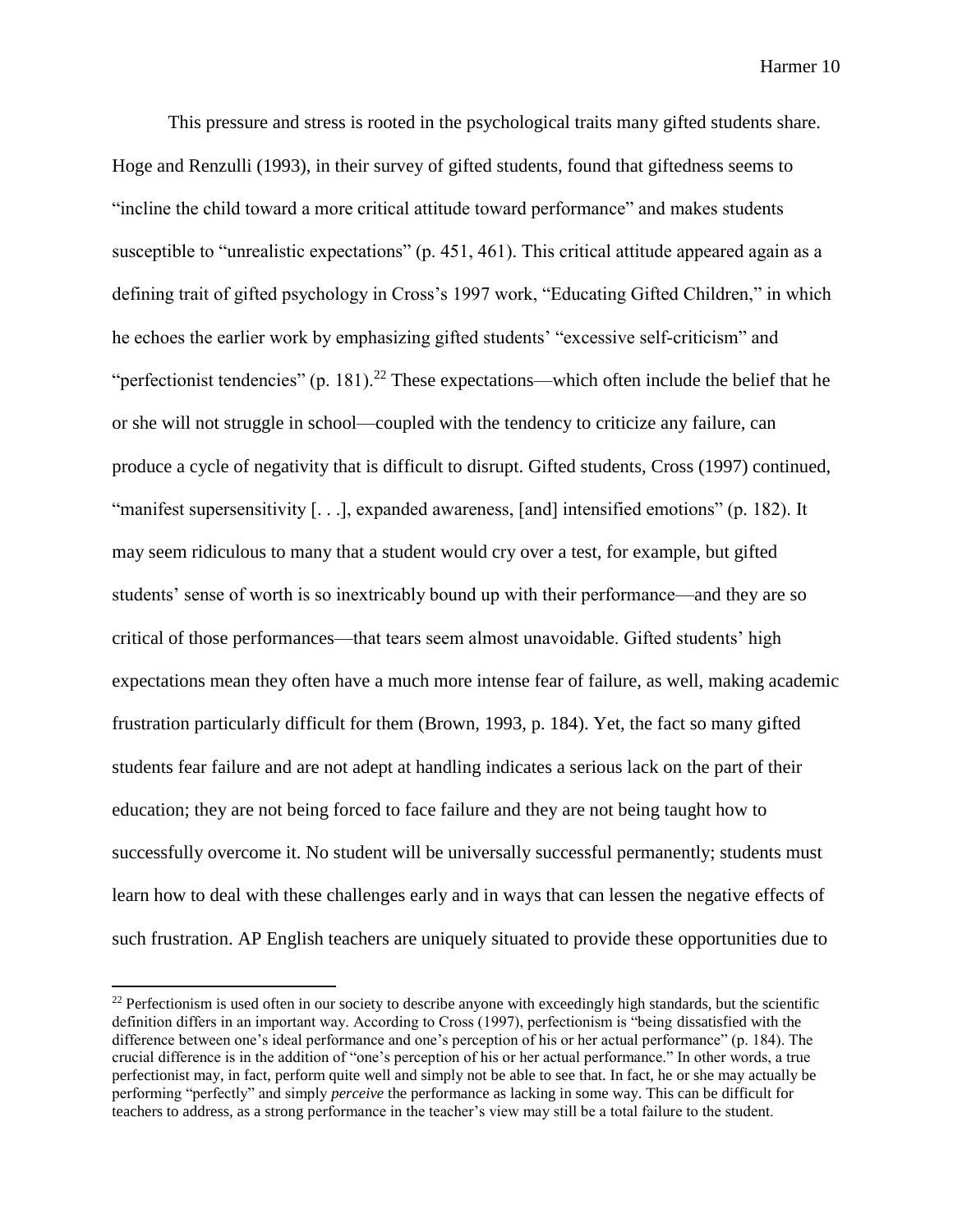This pressure and stress is rooted in the psychological traits many gifted students share. Hoge and Renzulli (1993), in their survey of gifted students, found that giftedness seems to "incline the child toward a more critical attitude toward performance" and makes students susceptible to "unrealistic expectations" (p. 451, 461). This critical attitude appeared again as a defining trait of gifted psychology in Cross's 1997 work, "Educating Gifted Children," in which he echoes the earlier work by emphasizing gifted students' "excessive self-criticism" and "perfectionist tendencies" (p. 181).<sup>22</sup> These expectations—which often include the belief that he or she will not struggle in school—coupled with the tendency to criticize any failure, can produce a cycle of negativity that is difficult to disrupt. Gifted students, Cross (1997) continued, "manifest supersensitivity [. . .], expanded awareness, [and] intensified emotions" (p. 182). It may seem ridiculous to many that a student would cry over a test, for example, but gifted students' sense of worth is so inextricably bound up with their performance—and they are so critical of those performances—that tears seem almost unavoidable. Gifted students' high expectations mean they often have a much more intense fear of failure, as well, making academic frustration particularly difficult for them (Brown, 1993, p. 184). Yet, the fact so many gifted students fear failure and are not adept at handling indicates a serious lack on the part of their education; they are not being forced to face failure and they are not being taught how to successfully overcome it. No student will be universally successful permanently; students must learn how to deal with these challenges early and in ways that can lessen the negative effects of such frustration. AP English teachers are uniquely situated to provide these opportunities due to

 $22$  Perfectionism is used often in our society to describe anyone with exceedingly high standards, but the scientific definition differs in an important way. According to Cross (1997), perfectionism is "being dissatisfied with the difference between one's ideal performance and one's perception of his or her actual performance" (p. 184). The crucial difference is in the addition of "one's perception of his or her actual performance." In other words, a true perfectionist may, in fact, perform quite well and simply not be able to see that. In fact, he or she may actually be performing "perfectly" and simply *perceive* the performance as lacking in some way. This can be difficult for teachers to address, as a strong performance in the teacher's view may still be a total failure to the student.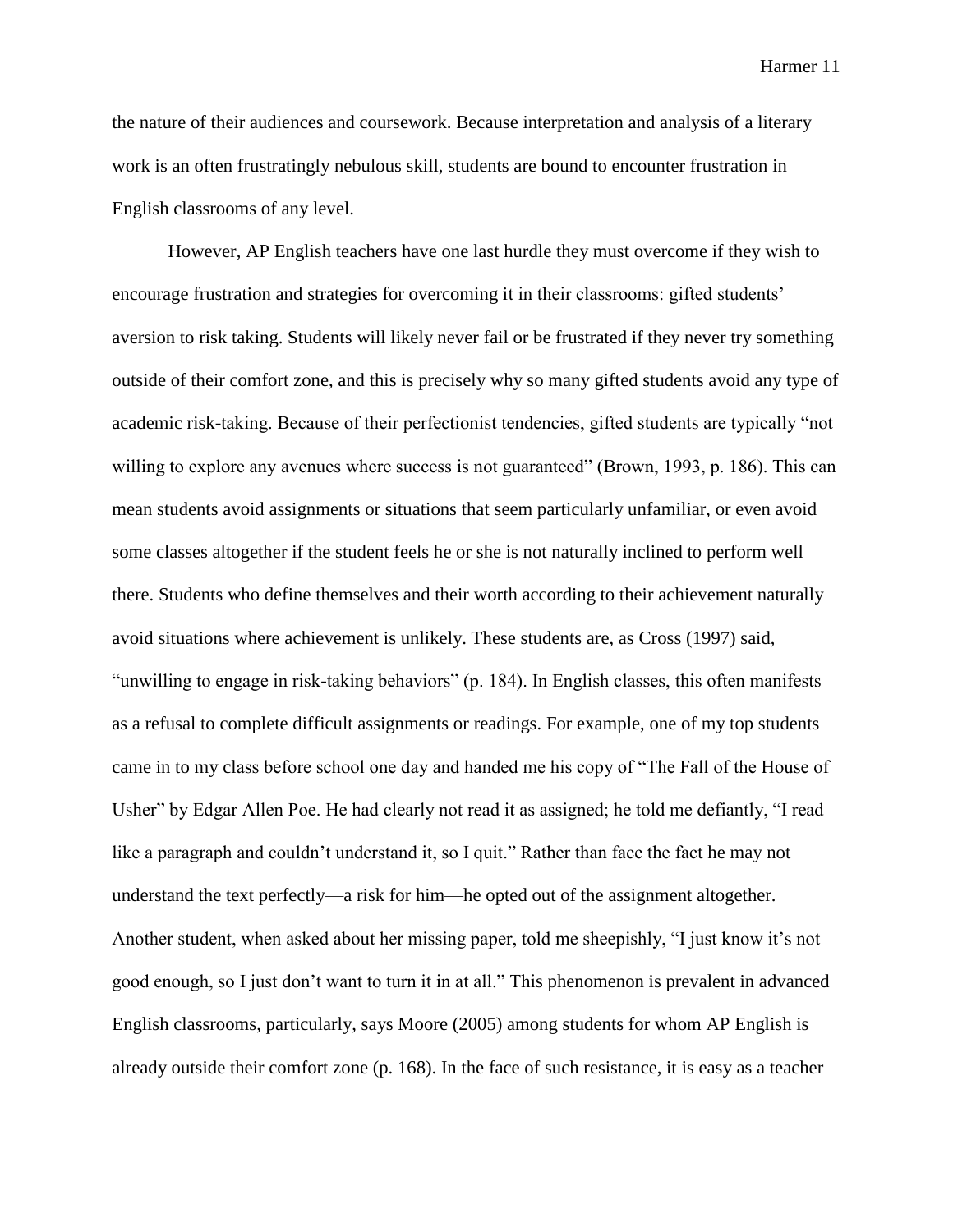the nature of their audiences and coursework. Because interpretation and analysis of a literary work is an often frustratingly nebulous skill, students are bound to encounter frustration in English classrooms of any level.

However, AP English teachers have one last hurdle they must overcome if they wish to encourage frustration and strategies for overcoming it in their classrooms: gifted students' aversion to risk taking. Students will likely never fail or be frustrated if they never try something outside of their comfort zone, and this is precisely why so many gifted students avoid any type of academic risk-taking. Because of their perfectionist tendencies, gifted students are typically "not willing to explore any avenues where success is not guaranteed" (Brown, 1993, p. 186). This can mean students avoid assignments or situations that seem particularly unfamiliar, or even avoid some classes altogether if the student feels he or she is not naturally inclined to perform well there. Students who define themselves and their worth according to their achievement naturally avoid situations where achievement is unlikely. These students are, as Cross (1997) said, "unwilling to engage in risk-taking behaviors" (p. 184). In English classes, this often manifests as a refusal to complete difficult assignments or readings. For example, one of my top students came in to my class before school one day and handed me his copy of "The Fall of the House of Usher" by Edgar Allen Poe. He had clearly not read it as assigned; he told me defiantly, "I read like a paragraph and couldn't understand it, so I quit." Rather than face the fact he may not understand the text perfectly—a risk for him—he opted out of the assignment altogether. Another student, when asked about her missing paper, told me sheepishly, "I just know it's not good enough, so I just don't want to turn it in at all." This phenomenon is prevalent in advanced English classrooms, particularly, says Moore (2005) among students for whom AP English is already outside their comfort zone (p. 168). In the face of such resistance, it is easy as a teacher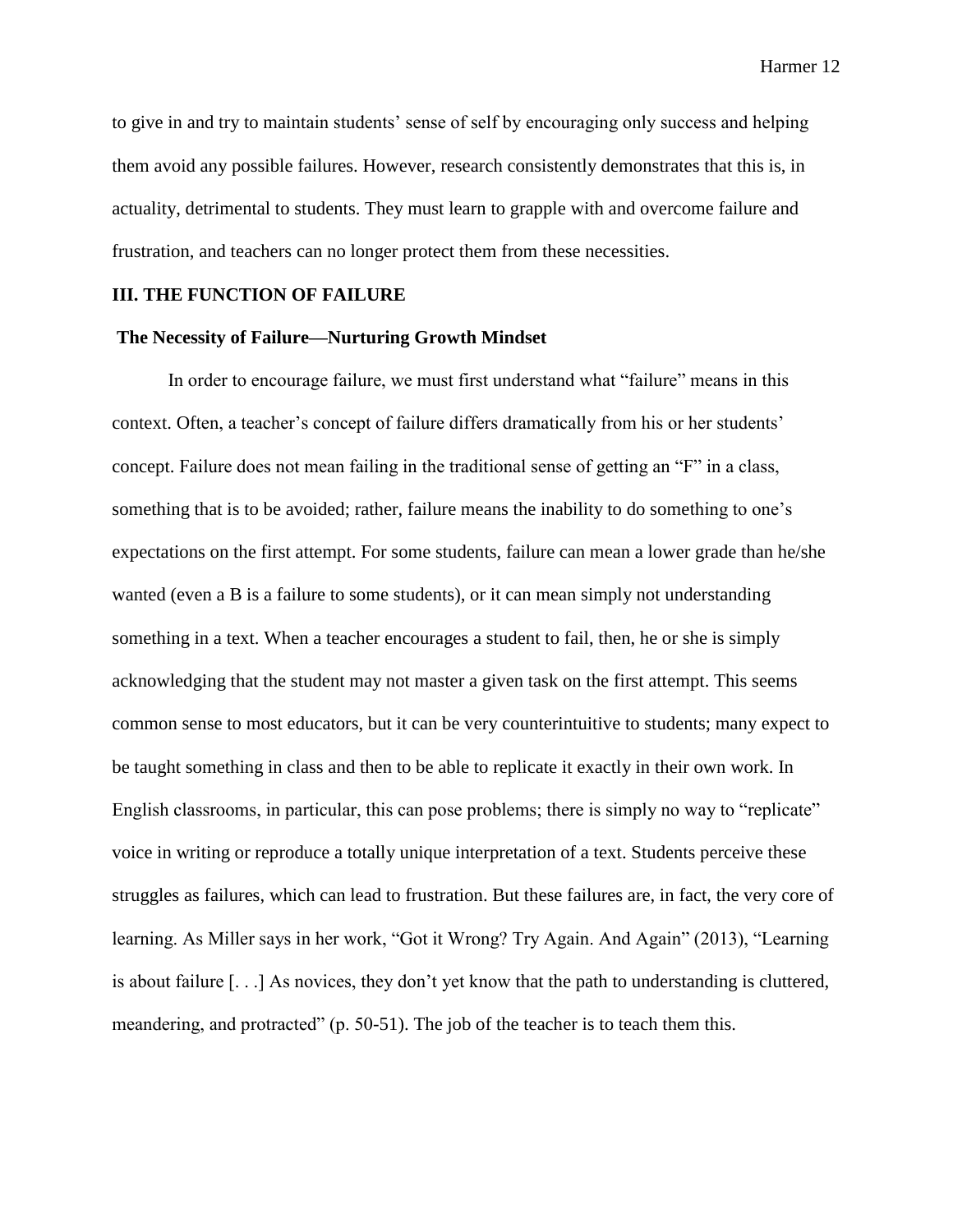to give in and try to maintain students' sense of self by encouraging only success and helping them avoid any possible failures. However, research consistently demonstrates that this is, in actuality, detrimental to students. They must learn to grapple with and overcome failure and frustration, and teachers can no longer protect them from these necessities.

## **III. THE FUNCTION OF FAILURE**

## **The Necessity of Failure—Nurturing Growth Mindset**

In order to encourage failure, we must first understand what "failure" means in this context. Often, a teacher's concept of failure differs dramatically from his or her students' concept. Failure does not mean failing in the traditional sense of getting an "F" in a class, something that is to be avoided; rather, failure means the inability to do something to one's expectations on the first attempt. For some students, failure can mean a lower grade than he/she wanted (even a B is a failure to some students), or it can mean simply not understanding something in a text. When a teacher encourages a student to fail, then, he or she is simply acknowledging that the student may not master a given task on the first attempt. This seems common sense to most educators, but it can be very counterintuitive to students; many expect to be taught something in class and then to be able to replicate it exactly in their own work. In English classrooms, in particular, this can pose problems; there is simply no way to "replicate" voice in writing or reproduce a totally unique interpretation of a text. Students perceive these struggles as failures, which can lead to frustration. But these failures are, in fact, the very core of learning. As Miller says in her work, "Got it Wrong? Try Again. And Again" (2013), "Learning is about failure [. . .] As novices, they don't yet know that the path to understanding is cluttered, meandering, and protracted" (p. 50-51). The job of the teacher is to teach them this.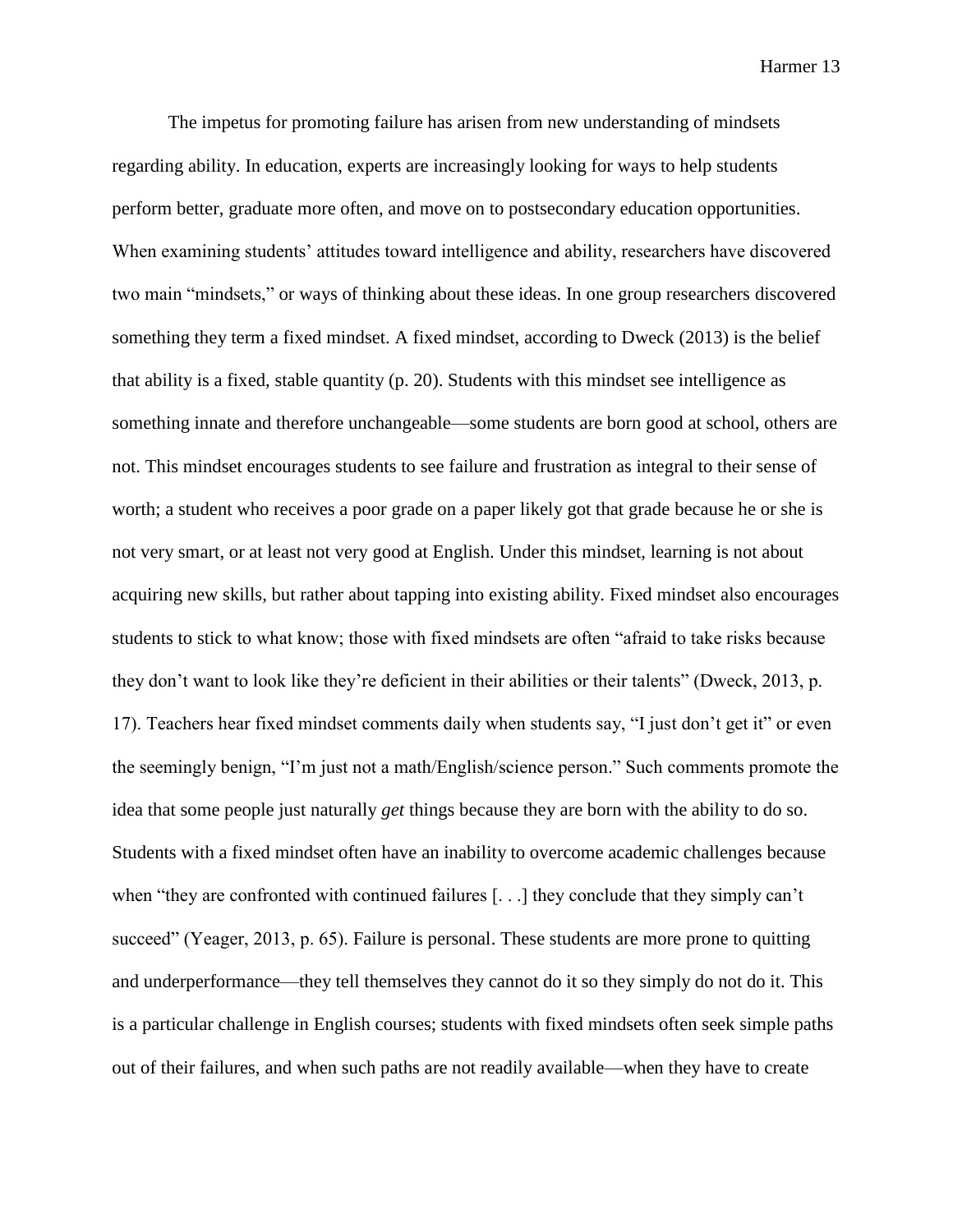The impetus for promoting failure has arisen from new understanding of mindsets regarding ability. In education, experts are increasingly looking for ways to help students perform better, graduate more often, and move on to postsecondary education opportunities. When examining students' attitudes toward intelligence and ability, researchers have discovered two main "mindsets," or ways of thinking about these ideas. In one group researchers discovered something they term a fixed mindset. A fixed mindset, according to Dweck (2013) is the belief that ability is a fixed, stable quantity (p. 20). Students with this mindset see intelligence as something innate and therefore unchangeable—some students are born good at school, others are not. This mindset encourages students to see failure and frustration as integral to their sense of worth; a student who receives a poor grade on a paper likely got that grade because he or she is not very smart, or at least not very good at English. Under this mindset, learning is not about acquiring new skills, but rather about tapping into existing ability. Fixed mindset also encourages students to stick to what know; those with fixed mindsets are often "afraid to take risks because they don't want to look like they're deficient in their abilities or their talents" (Dweck, 2013, p. 17). Teachers hear fixed mindset comments daily when students say, "I just don't get it" or even the seemingly benign, "I'm just not a math/English/science person." Such comments promote the idea that some people just naturally *get* things because they are born with the ability to do so. Students with a fixed mindset often have an inability to overcome academic challenges because when "they are confronted with continued failures [...] they conclude that they simply can't succeed" (Yeager, 2013, p. 65). Failure is personal. These students are more prone to quitting and underperformance—they tell themselves they cannot do it so they simply do not do it. This is a particular challenge in English courses; students with fixed mindsets often seek simple paths out of their failures, and when such paths are not readily available—when they have to create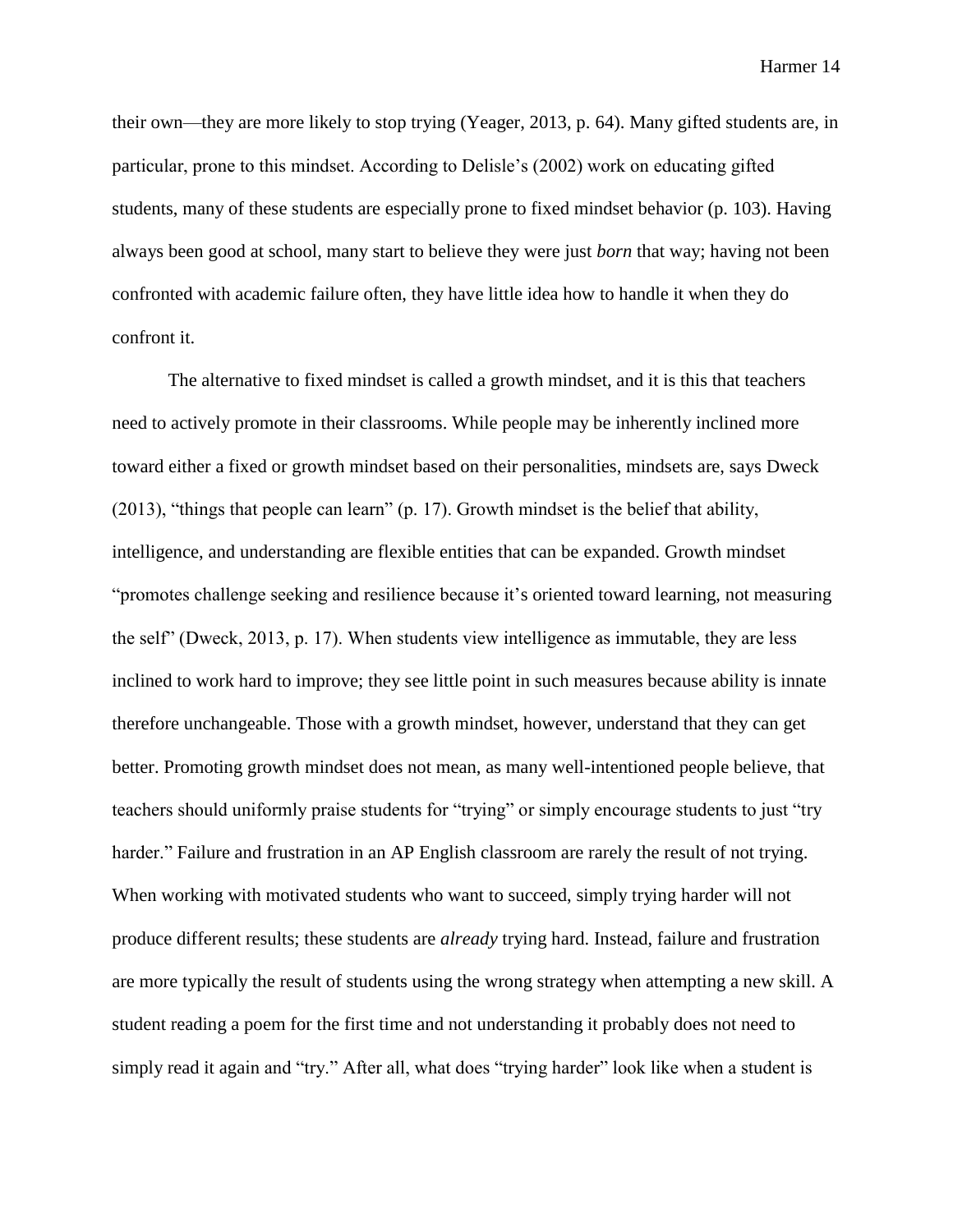their own—they are more likely to stop trying (Yeager, 2013, p. 64). Many gifted students are, in particular, prone to this mindset. According to Delisle's (2002) work on educating gifted students, many of these students are especially prone to fixed mindset behavior (p. 103). Having always been good at school, many start to believe they were just *born* that way; having not been confronted with academic failure often, they have little idea how to handle it when they do confront it.

The alternative to fixed mindset is called a growth mindset, and it is this that teachers need to actively promote in their classrooms. While people may be inherently inclined more toward either a fixed or growth mindset based on their personalities, mindsets are, says Dweck (2013), "things that people can learn" (p. 17). Growth mindset is the belief that ability, intelligence, and understanding are flexible entities that can be expanded. Growth mindset "promotes challenge seeking and resilience because it's oriented toward learning, not measuring the self" (Dweck, 2013, p. 17). When students view intelligence as immutable, they are less inclined to work hard to improve; they see little point in such measures because ability is innate therefore unchangeable. Those with a growth mindset, however, understand that they can get better. Promoting growth mindset does not mean, as many well-intentioned people believe, that teachers should uniformly praise students for "trying" or simply encourage students to just "try harder." Failure and frustration in an AP English classroom are rarely the result of not trying. When working with motivated students who want to succeed, simply trying harder will not produce different results; these students are *already* trying hard. Instead, failure and frustration are more typically the result of students using the wrong strategy when attempting a new skill. A student reading a poem for the first time and not understanding it probably does not need to simply read it again and "try." After all, what does "trying harder" look like when a student is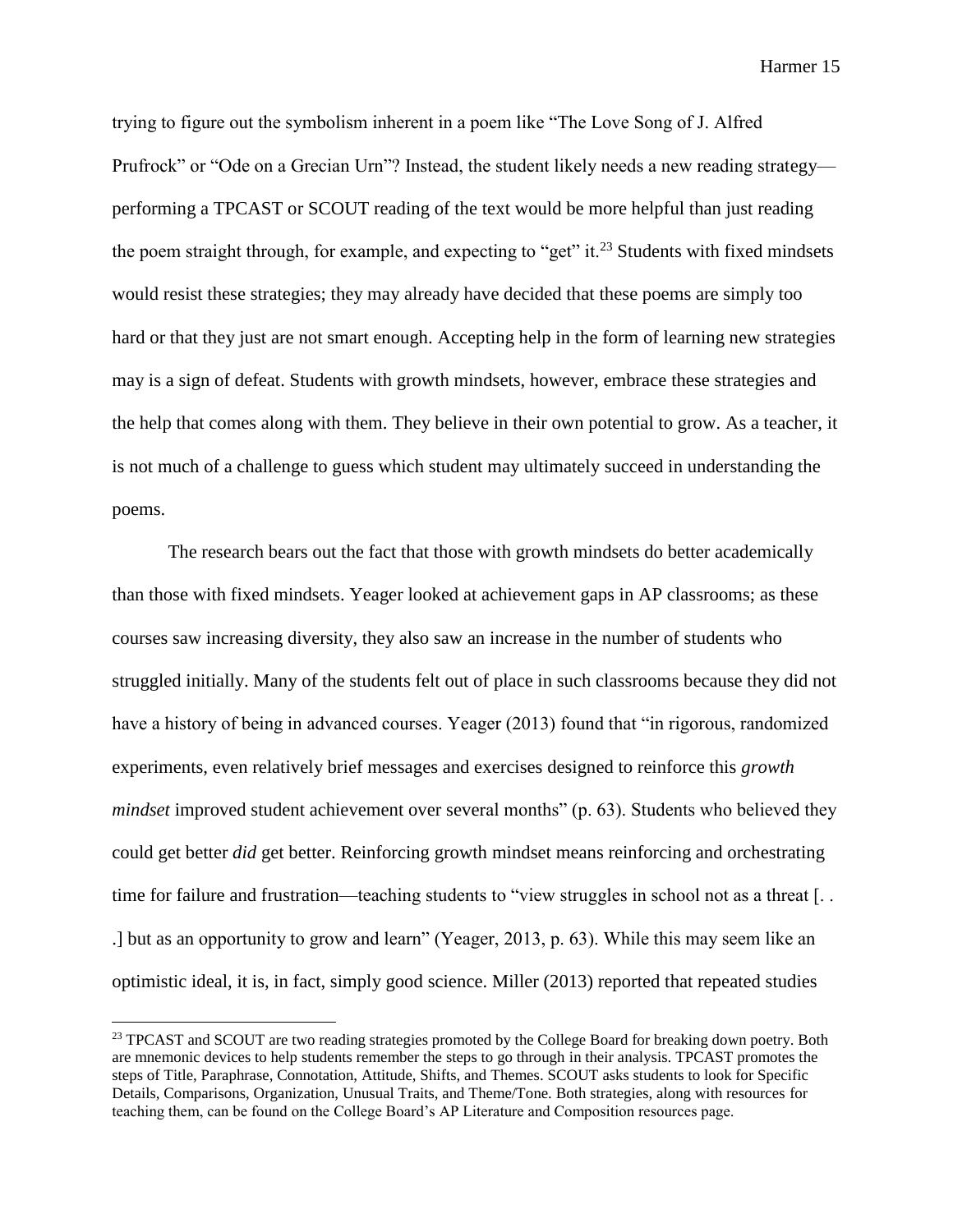trying to figure out the symbolism inherent in a poem like "The Love Song of J. Alfred Prufrock" or "Ode on a Grecian Urn"? Instead, the student likely needs a new reading strategy performing a TPCAST or SCOUT reading of the text would be more helpful than just reading the poem straight through, for example, and expecting to "get" it.<sup>23</sup> Students with fixed mindsets would resist these strategies; they may already have decided that these poems are simply too hard or that they just are not smart enough. Accepting help in the form of learning new strategies may is a sign of defeat. Students with growth mindsets, however, embrace these strategies and the help that comes along with them. They believe in their own potential to grow. As a teacher, it is not much of a challenge to guess which student may ultimately succeed in understanding the poems.

The research bears out the fact that those with growth mindsets do better academically than those with fixed mindsets. Yeager looked at achievement gaps in AP classrooms; as these courses saw increasing diversity, they also saw an increase in the number of students who struggled initially. Many of the students felt out of place in such classrooms because they did not have a history of being in advanced courses. Yeager (2013) found that "in rigorous, randomized experiments, even relatively brief messages and exercises designed to reinforce this *growth mindset* improved student achievement over several months" (p. 63). Students who believed they could get better *did* get better. Reinforcing growth mindset means reinforcing and orchestrating time for failure and frustration—teaching students to "view struggles in school not as a threat [...] .] but as an opportunity to grow and learn" (Yeager, 2013, p. 63). While this may seem like an optimistic ideal, it is, in fact, simply good science. Miller (2013) reported that repeated studies

 $\overline{a}$ 

<sup>&</sup>lt;sup>23</sup> TPCAST and SCOUT are two reading strategies promoted by the College Board for breaking down poetry. Both are mnemonic devices to help students remember the steps to go through in their analysis. TPCAST promotes the steps of Title, Paraphrase, Connotation, Attitude, Shifts, and Themes. SCOUT asks students to look for Specific Details, Comparisons, Organization, Unusual Traits, and Theme/Tone. Both strategies, along with resources for teaching them, can be found on the College Board's AP Literature and Composition resources page.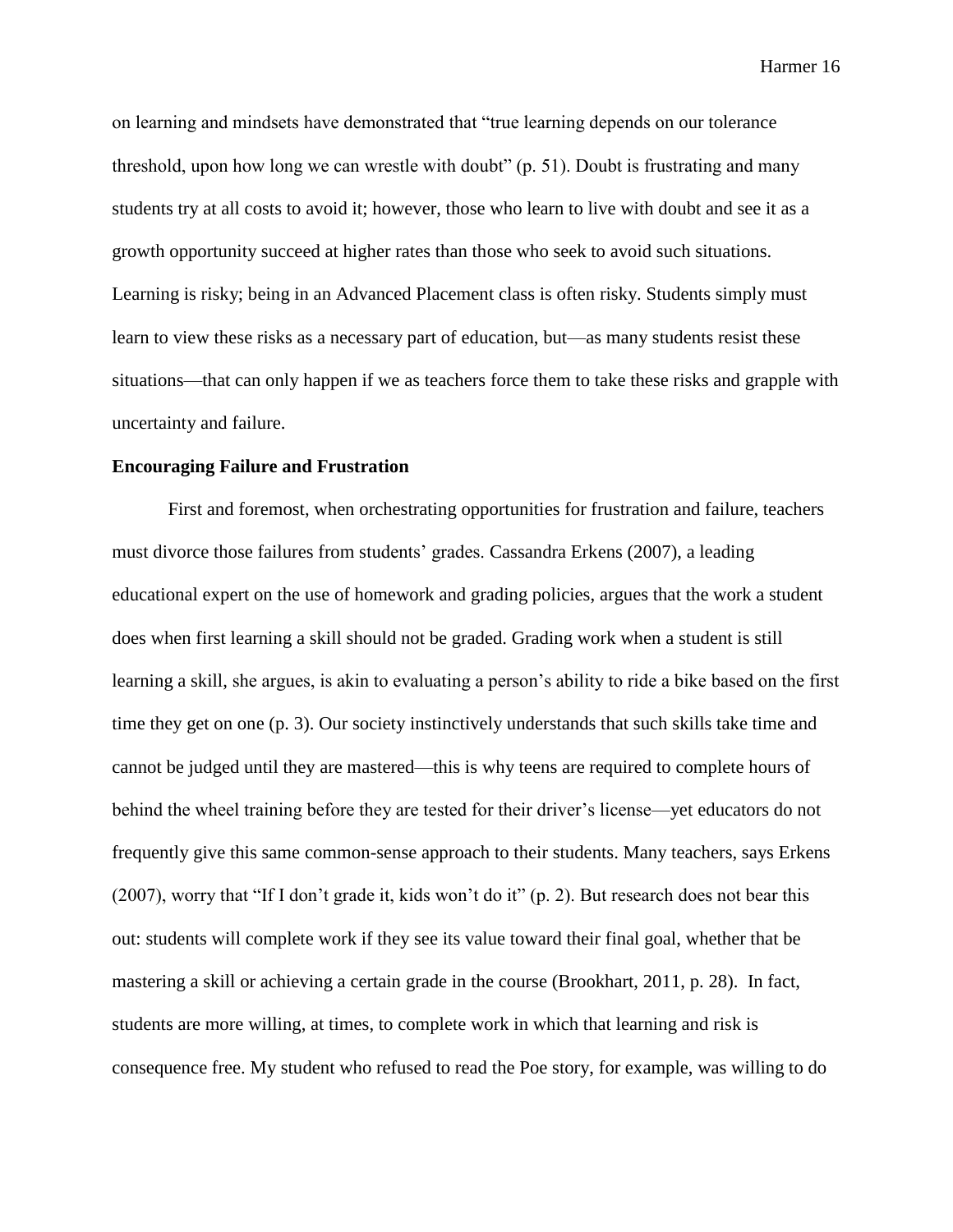on learning and mindsets have demonstrated that "true learning depends on our tolerance threshold, upon how long we can wrestle with doubt" (p. 51). Doubt is frustrating and many students try at all costs to avoid it; however, those who learn to live with doubt and see it as a growth opportunity succeed at higher rates than those who seek to avoid such situations. Learning is risky; being in an Advanced Placement class is often risky. Students simply must learn to view these risks as a necessary part of education, but—as many students resist these situations—that can only happen if we as teachers force them to take these risks and grapple with uncertainty and failure.

#### **Encouraging Failure and Frustration**

First and foremost, when orchestrating opportunities for frustration and failure, teachers must divorce those failures from students' grades. Cassandra Erkens (2007), a leading educational expert on the use of homework and grading policies, argues that the work a student does when first learning a skill should not be graded. Grading work when a student is still learning a skill, she argues, is akin to evaluating a person's ability to ride a bike based on the first time they get on one (p. 3). Our society instinctively understands that such skills take time and cannot be judged until they are mastered—this is why teens are required to complete hours of behind the wheel training before they are tested for their driver's license—yet educators do not frequently give this same common-sense approach to their students. Many teachers, says Erkens (2007), worry that "If I don't grade it, kids won't do it" (p. 2). But research does not bear this out: students will complete work if they see its value toward their final goal, whether that be mastering a skill or achieving a certain grade in the course (Brookhart, 2011, p. 28). In fact, students are more willing, at times, to complete work in which that learning and risk is consequence free. My student who refused to read the Poe story, for example, was willing to do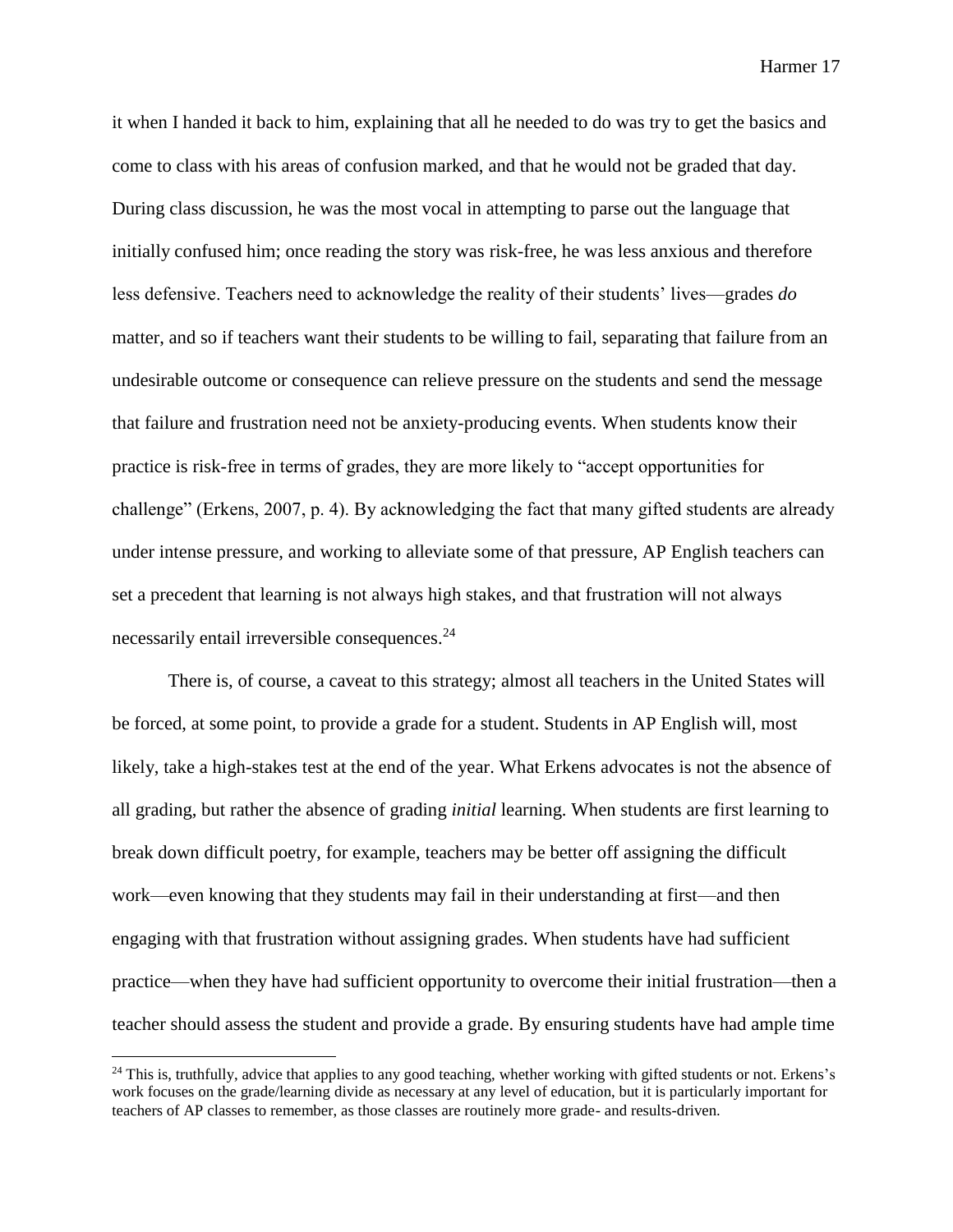it when I handed it back to him, explaining that all he needed to do was try to get the basics and come to class with his areas of confusion marked, and that he would not be graded that day. During class discussion, he was the most vocal in attempting to parse out the language that initially confused him; once reading the story was risk-free, he was less anxious and therefore less defensive. Teachers need to acknowledge the reality of their students' lives—grades *do*  matter, and so if teachers want their students to be willing to fail, separating that failure from an undesirable outcome or consequence can relieve pressure on the students and send the message that failure and frustration need not be anxiety-producing events. When students know their practice is risk-free in terms of grades, they are more likely to "accept opportunities for challenge" (Erkens, 2007, p. 4). By acknowledging the fact that many gifted students are already under intense pressure, and working to alleviate some of that pressure, AP English teachers can set a precedent that learning is not always high stakes, and that frustration will not always necessarily entail irreversible consequences.<sup>24</sup>

There is, of course, a caveat to this strategy; almost all teachers in the United States will be forced, at some point, to provide a grade for a student. Students in AP English will, most likely, take a high-stakes test at the end of the year. What Erkens advocates is not the absence of all grading, but rather the absence of grading *initial* learning. When students are first learning to break down difficult poetry, for example, teachers may be better off assigning the difficult work—even knowing that they students may fail in their understanding at first—and then engaging with that frustration without assigning grades. When students have had sufficient practice—when they have had sufficient opportunity to overcome their initial frustration—then a teacher should assess the student and provide a grade. By ensuring students have had ample time

 $24$  This is, truthfully, advice that applies to any good teaching, whether working with gifted students or not. Erkens's work focuses on the grade/learning divide as necessary at any level of education, but it is particularly important for teachers of AP classes to remember, as those classes are routinely more grade- and results-driven.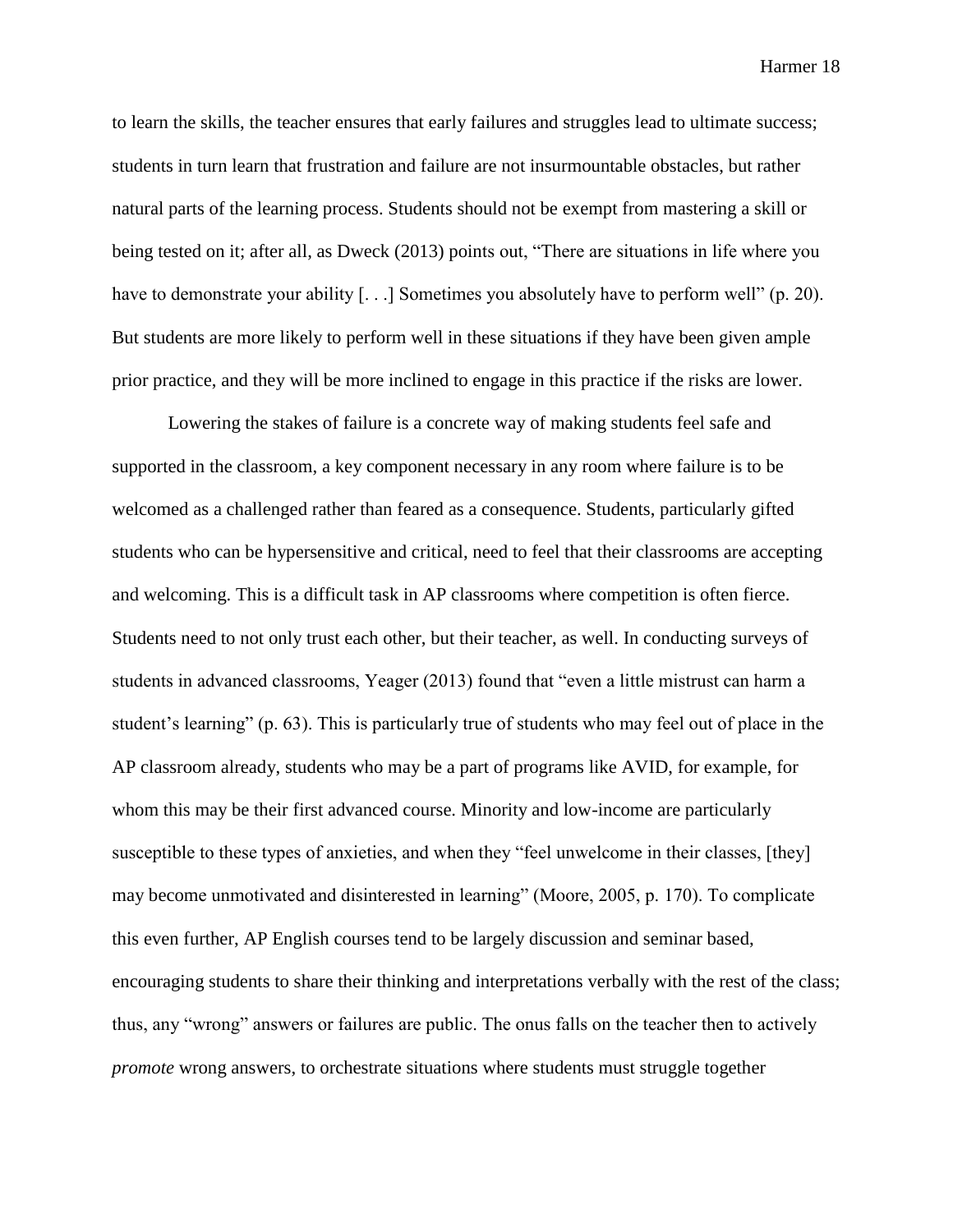to learn the skills, the teacher ensures that early failures and struggles lead to ultimate success; students in turn learn that frustration and failure are not insurmountable obstacles, but rather natural parts of the learning process. Students should not be exempt from mastering a skill or being tested on it; after all, as Dweck (2013) points out, "There are situations in life where you have to demonstrate your ability [...] Sometimes you absolutely have to perform well" (p. 20). But students are more likely to perform well in these situations if they have been given ample prior practice, and they will be more inclined to engage in this practice if the risks are lower.

Lowering the stakes of failure is a concrete way of making students feel safe and supported in the classroom, a key component necessary in any room where failure is to be welcomed as a challenged rather than feared as a consequence. Students, particularly gifted students who can be hypersensitive and critical, need to feel that their classrooms are accepting and welcoming. This is a difficult task in AP classrooms where competition is often fierce. Students need to not only trust each other, but their teacher, as well. In conducting surveys of students in advanced classrooms, Yeager (2013) found that "even a little mistrust can harm a student's learning" (p. 63). This is particularly true of students who may feel out of place in the AP classroom already, students who may be a part of programs like AVID, for example, for whom this may be their first advanced course. Minority and low-income are particularly susceptible to these types of anxieties, and when they "feel unwelcome in their classes, [they] may become unmotivated and disinterested in learning" (Moore, 2005, p. 170). To complicate this even further, AP English courses tend to be largely discussion and seminar based, encouraging students to share their thinking and interpretations verbally with the rest of the class; thus, any "wrong" answers or failures are public. The onus falls on the teacher then to actively *promote* wrong answers, to orchestrate situations where students must struggle together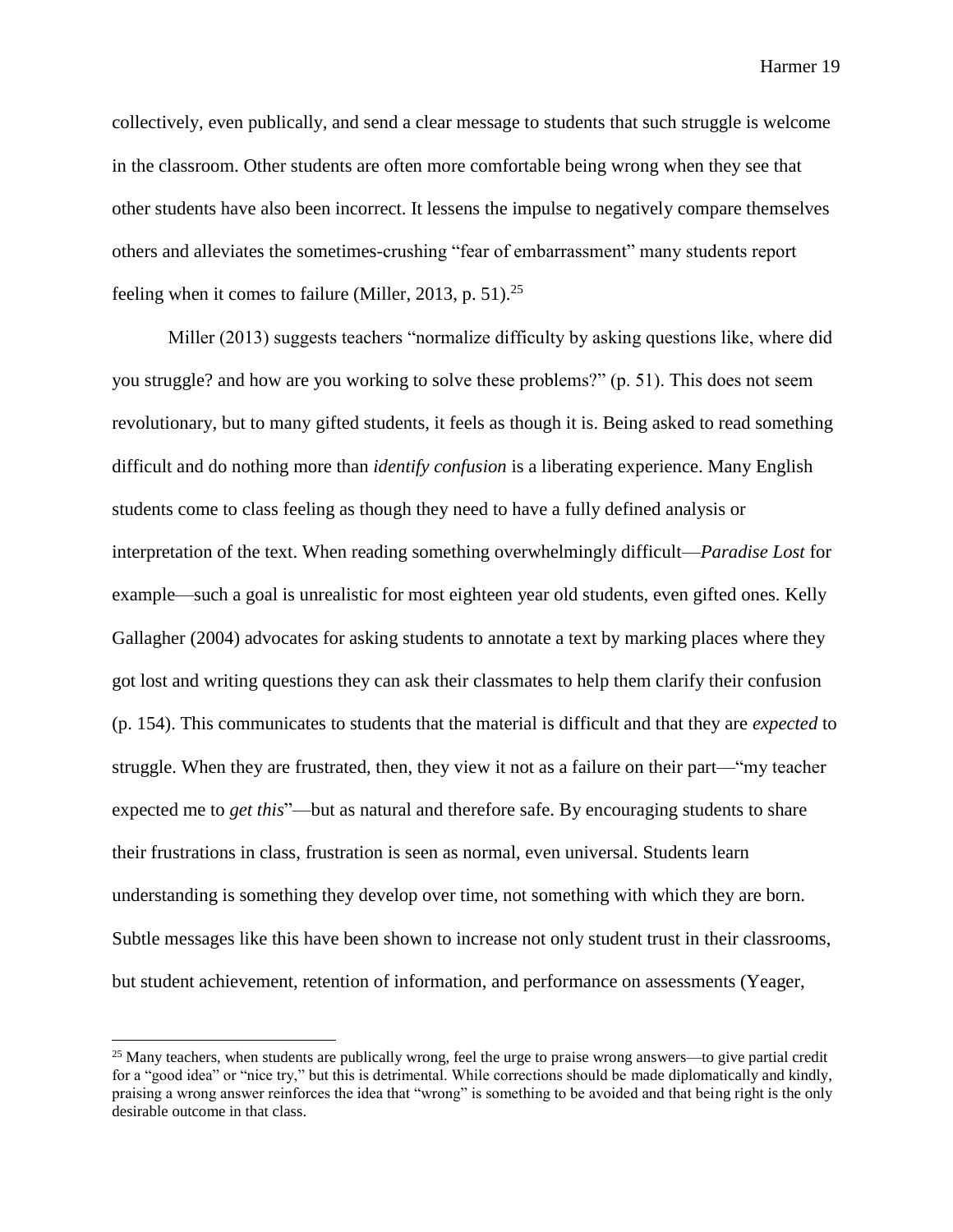collectively, even publically, and send a clear message to students that such struggle is welcome in the classroom. Other students are often more comfortable being wrong when they see that other students have also been incorrect. It lessens the impulse to negatively compare themselves others and alleviates the sometimes-crushing "fear of embarrassment" many students report feeling when it comes to failure (Miller, 2013, p. 51).<sup>25</sup>

Miller (2013) suggests teachers "normalize difficulty by asking questions like, where did you struggle? and how are you working to solve these problems?" (p. 51). This does not seem revolutionary, but to many gifted students, it feels as though it is. Being asked to read something difficult and do nothing more than *identify confusion* is a liberating experience. Many English students come to class feeling as though they need to have a fully defined analysis or interpretation of the text. When reading something overwhelmingly difficult—*Paradise Lost* for example—such a goal is unrealistic for most eighteen year old students, even gifted ones. Kelly Gallagher (2004) advocates for asking students to annotate a text by marking places where they got lost and writing questions they can ask their classmates to help them clarify their confusion (p. 154). This communicates to students that the material is difficult and that they are *expected* to struggle. When they are frustrated, then, they view it not as a failure on their part—"my teacher expected me to *get this*"—but as natural and therefore safe. By encouraging students to share their frustrations in class, frustration is seen as normal, even universal. Students learn understanding is something they develop over time, not something with which they are born. Subtle messages like this have been shown to increase not only student trust in their classrooms, but student achievement, retention of information, and performance on assessments (Yeager,

 $25$  Many teachers, when students are publically wrong, feel the urge to praise wrong answers—to give partial credit for a "good idea" or "nice try," but this is detrimental. While corrections should be made diplomatically and kindly, praising a wrong answer reinforces the idea that "wrong" is something to be avoided and that being right is the only desirable outcome in that class.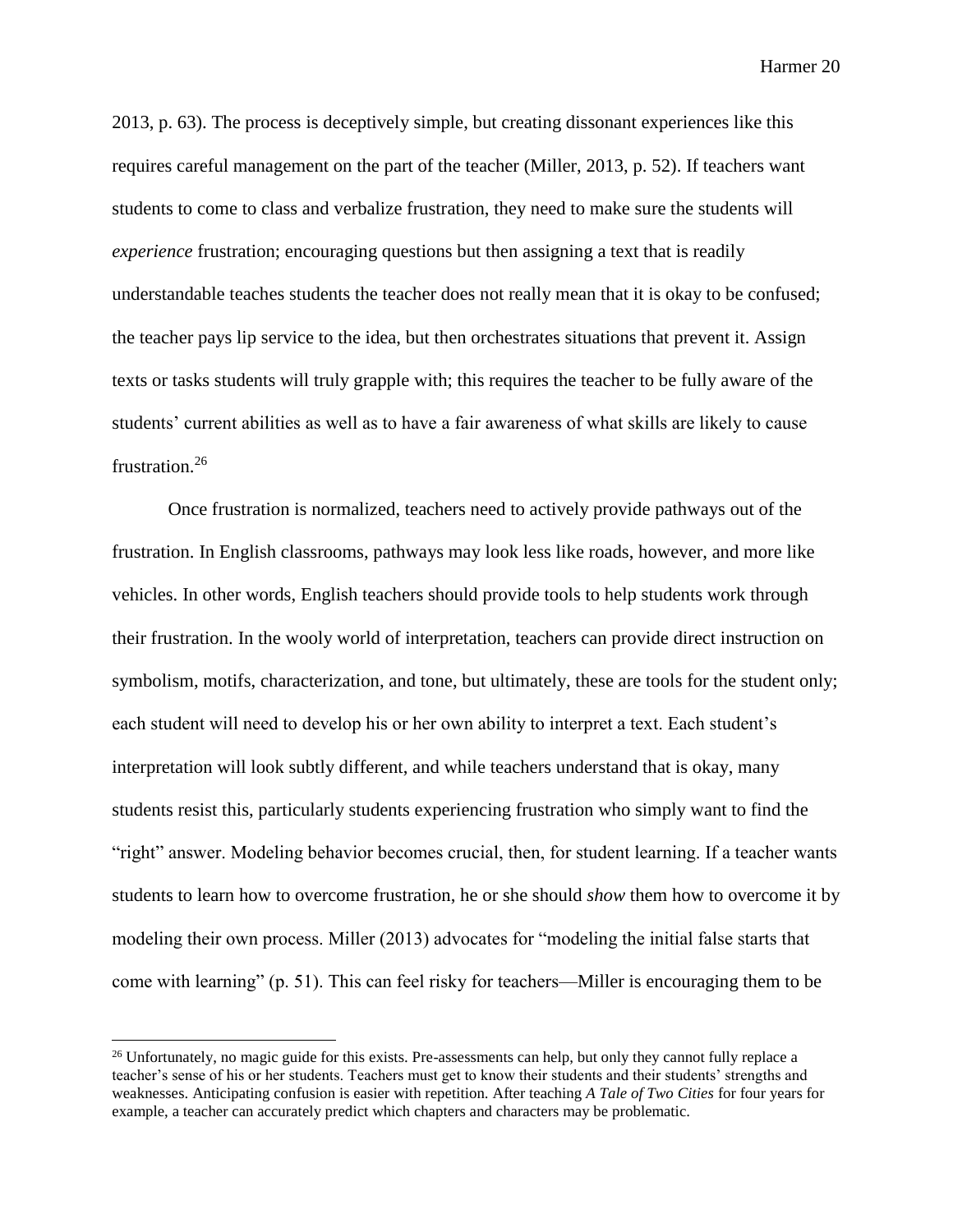2013, p. 63). The process is deceptively simple, but creating dissonant experiences like this requires careful management on the part of the teacher (Miller, 2013, p. 52). If teachers want students to come to class and verbalize frustration, they need to make sure the students will *experience* frustration; encouraging questions but then assigning a text that is readily understandable teaches students the teacher does not really mean that it is okay to be confused; the teacher pays lip service to the idea, but then orchestrates situations that prevent it. Assign texts or tasks students will truly grapple with; this requires the teacher to be fully aware of the students' current abilities as well as to have a fair awareness of what skills are likely to cause frustration.<sup>26</sup>

Once frustration is normalized, teachers need to actively provide pathways out of the frustration. In English classrooms, pathways may look less like roads, however, and more like vehicles. In other words, English teachers should provide tools to help students work through their frustration. In the wooly world of interpretation, teachers can provide direct instruction on symbolism, motifs, characterization, and tone, but ultimately, these are tools for the student only; each student will need to develop his or her own ability to interpret a text. Each student's interpretation will look subtly different, and while teachers understand that is okay, many students resist this, particularly students experiencing frustration who simply want to find the "right" answer. Modeling behavior becomes crucial, then, for student learning. If a teacher wants students to learn how to overcome frustration, he or she should *show* them how to overcome it by modeling their own process. Miller (2013) advocates for "modeling the initial false starts that come with learning" (p. 51). This can feel risky for teachers—Miller is encouraging them to be

 $^{26}$  Unfortunately, no magic guide for this exists. Pre-assessments can help, but only they cannot fully replace a teacher's sense of his or her students. Teachers must get to know their students and their students' strengths and weaknesses. Anticipating confusion is easier with repetition. After teaching *A Tale of Two Cities* for four years for example, a teacher can accurately predict which chapters and characters may be problematic.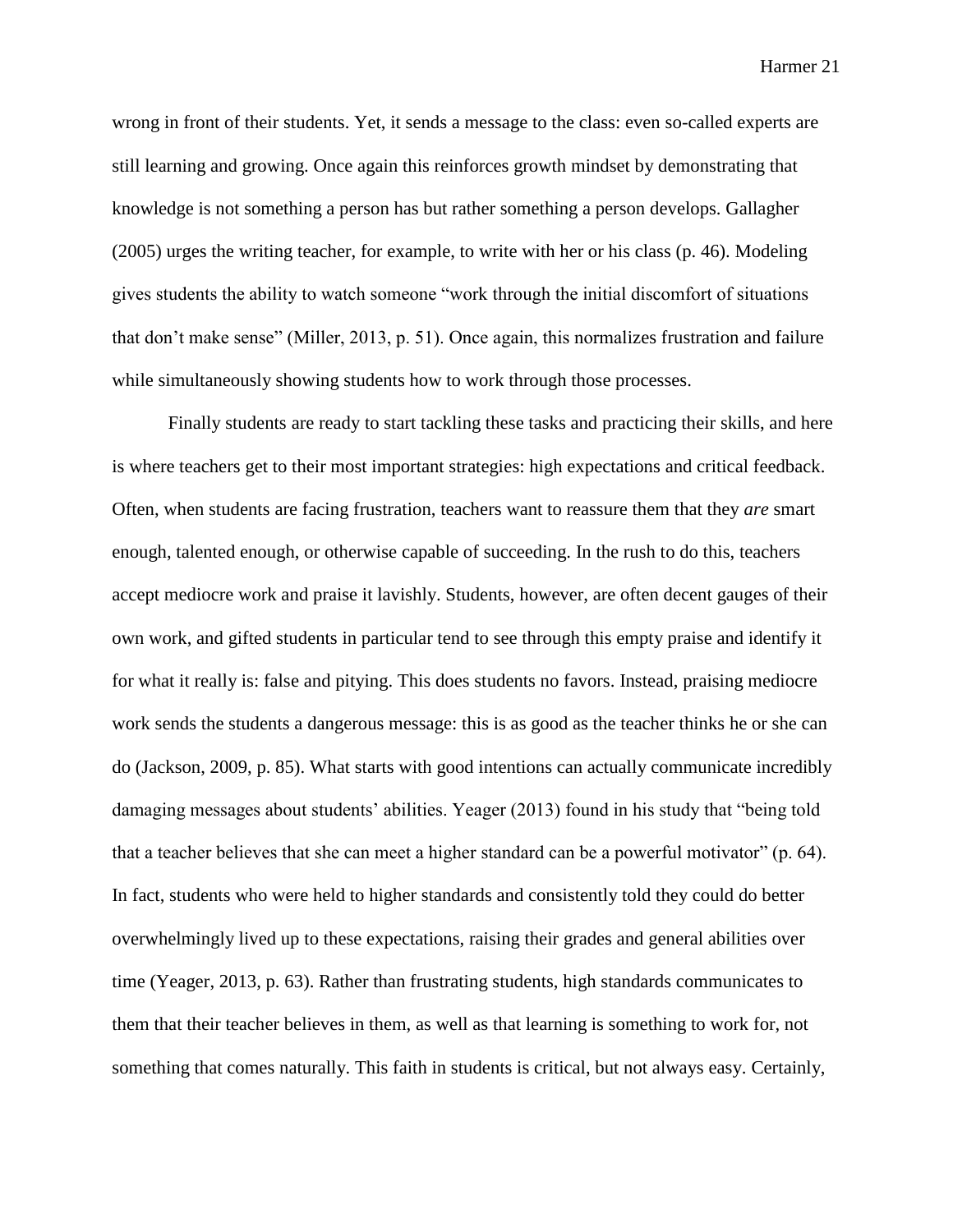wrong in front of their students. Yet, it sends a message to the class: even so-called experts are still learning and growing. Once again this reinforces growth mindset by demonstrating that knowledge is not something a person has but rather something a person develops. Gallagher (2005) urges the writing teacher, for example, to write with her or his class (p. 46). Modeling gives students the ability to watch someone "work through the initial discomfort of situations that don't make sense" (Miller, 2013, p. 51). Once again, this normalizes frustration and failure while simultaneously showing students how to work through those processes.

Finally students are ready to start tackling these tasks and practicing their skills, and here is where teachers get to their most important strategies: high expectations and critical feedback. Often, when students are facing frustration, teachers want to reassure them that they *are* smart enough, talented enough, or otherwise capable of succeeding. In the rush to do this, teachers accept mediocre work and praise it lavishly. Students, however, are often decent gauges of their own work, and gifted students in particular tend to see through this empty praise and identify it for what it really is: false and pitying. This does students no favors. Instead, praising mediocre work sends the students a dangerous message: this is as good as the teacher thinks he or she can do (Jackson, 2009, p. 85). What starts with good intentions can actually communicate incredibly damaging messages about students' abilities. Yeager (2013) found in his study that "being told that a teacher believes that she can meet a higher standard can be a powerful motivator" (p. 64). In fact, students who were held to higher standards and consistently told they could do better overwhelmingly lived up to these expectations, raising their grades and general abilities over time (Yeager, 2013, p. 63). Rather than frustrating students, high standards communicates to them that their teacher believes in them, as well as that learning is something to work for, not something that comes naturally. This faith in students is critical, but not always easy. Certainly,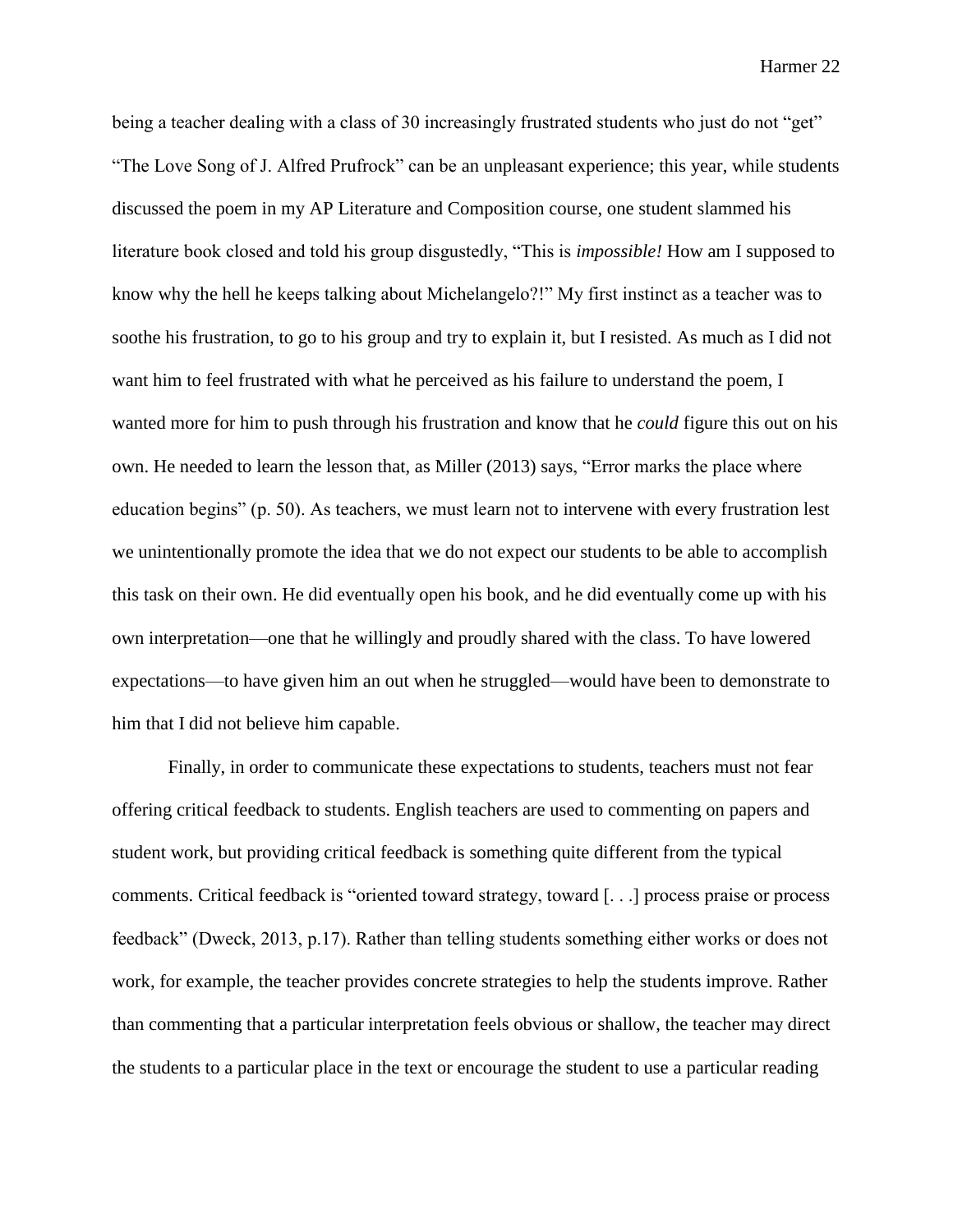being a teacher dealing with a class of 30 increasingly frustrated students who just do not "get" "The Love Song of J. Alfred Prufrock" can be an unpleasant experience; this year, while students discussed the poem in my AP Literature and Composition course, one student slammed his literature book closed and told his group disgustedly, "This is *impossible!* How am I supposed to know why the hell he keeps talking about Michelangelo?!" My first instinct as a teacher was to soothe his frustration, to go to his group and try to explain it, but I resisted. As much as I did not want him to feel frustrated with what he perceived as his failure to understand the poem, I wanted more for him to push through his frustration and know that he *could* figure this out on his own. He needed to learn the lesson that, as Miller (2013) says, "Error marks the place where education begins" (p. 50). As teachers, we must learn not to intervene with every frustration lest we unintentionally promote the idea that we do not expect our students to be able to accomplish this task on their own. He did eventually open his book, and he did eventually come up with his own interpretation—one that he willingly and proudly shared with the class. To have lowered expectations—to have given him an out when he struggled—would have been to demonstrate to him that I did not believe him capable.

Finally, in order to communicate these expectations to students, teachers must not fear offering critical feedback to students. English teachers are used to commenting on papers and student work, but providing critical feedback is something quite different from the typical comments. Critical feedback is "oriented toward strategy, toward [. . .] process praise or process feedback" (Dweck, 2013, p.17). Rather than telling students something either works or does not work, for example, the teacher provides concrete strategies to help the students improve. Rather than commenting that a particular interpretation feels obvious or shallow, the teacher may direct the students to a particular place in the text or encourage the student to use a particular reading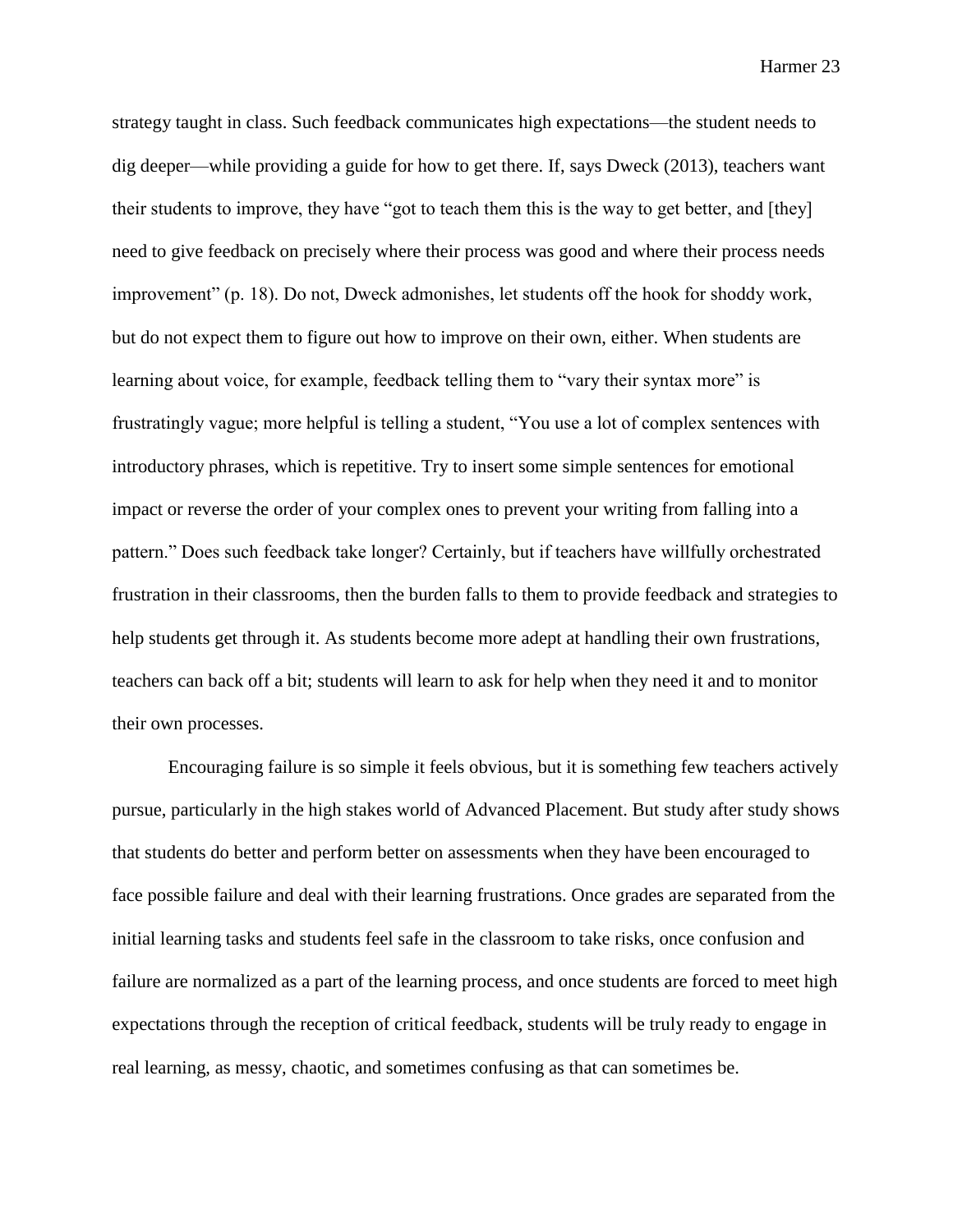strategy taught in class. Such feedback communicates high expectations—the student needs to dig deeper—while providing a guide for how to get there. If, says Dweck (2013), teachers want their students to improve, they have "got to teach them this is the way to get better, and [they] need to give feedback on precisely where their process was good and where their process needs improvement" (p. 18). Do not, Dweck admonishes, let students off the hook for shoddy work, but do not expect them to figure out how to improve on their own, either. When students are learning about voice, for example, feedback telling them to "vary their syntax more" is frustratingly vague; more helpful is telling a student, "You use a lot of complex sentences with introductory phrases, which is repetitive. Try to insert some simple sentences for emotional impact or reverse the order of your complex ones to prevent your writing from falling into a pattern." Does such feedback take longer? Certainly, but if teachers have willfully orchestrated frustration in their classrooms, then the burden falls to them to provide feedback and strategies to help students get through it. As students become more adept at handling their own frustrations, teachers can back off a bit; students will learn to ask for help when they need it and to monitor their own processes.

Encouraging failure is so simple it feels obvious, but it is something few teachers actively pursue, particularly in the high stakes world of Advanced Placement. But study after study shows that students do better and perform better on assessments when they have been encouraged to face possible failure and deal with their learning frustrations. Once grades are separated from the initial learning tasks and students feel safe in the classroom to take risks, once confusion and failure are normalized as a part of the learning process, and once students are forced to meet high expectations through the reception of critical feedback, students will be truly ready to engage in real learning, as messy, chaotic, and sometimes confusing as that can sometimes be.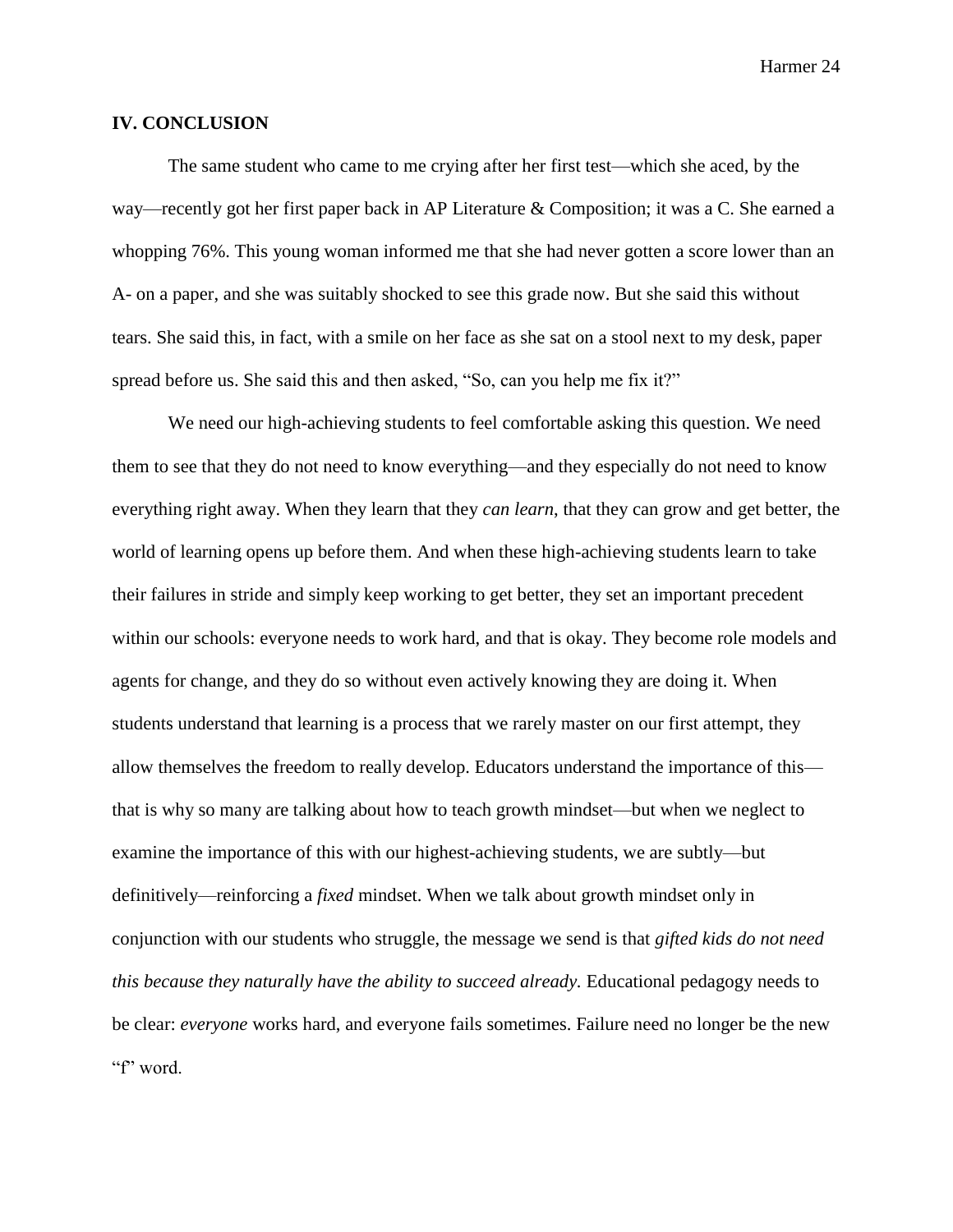#### **IV. CONCLUSION**

The same student who came to me crying after her first test—which she aced, by the way—recently got her first paper back in AP Literature & Composition; it was a C. She earned a whopping 76%. This young woman informed me that she had never gotten a score lower than an A- on a paper, and she was suitably shocked to see this grade now. But she said this without tears. She said this, in fact, with a smile on her face as she sat on a stool next to my desk, paper spread before us. She said this and then asked, "So, can you help me fix it?"

We need our high-achieving students to feel comfortable asking this question. We need them to see that they do not need to know everything—and they especially do not need to know everything right away. When they learn that they *can learn*, that they can grow and get better, the world of learning opens up before them. And when these high-achieving students learn to take their failures in stride and simply keep working to get better, they set an important precedent within our schools: everyone needs to work hard, and that is okay. They become role models and agents for change, and they do so without even actively knowing they are doing it. When students understand that learning is a process that we rarely master on our first attempt, they allow themselves the freedom to really develop. Educators understand the importance of this that is why so many are talking about how to teach growth mindset—but when we neglect to examine the importance of this with our highest-achieving students, we are subtly—but definitively—reinforcing a *fixed* mindset. When we talk about growth mindset only in conjunction with our students who struggle, the message we send is that *gifted kids do not need this because they naturally have the ability to succeed already.* Educational pedagogy needs to be clear: *everyone* works hard, and everyone fails sometimes. Failure need no longer be the new "f" word.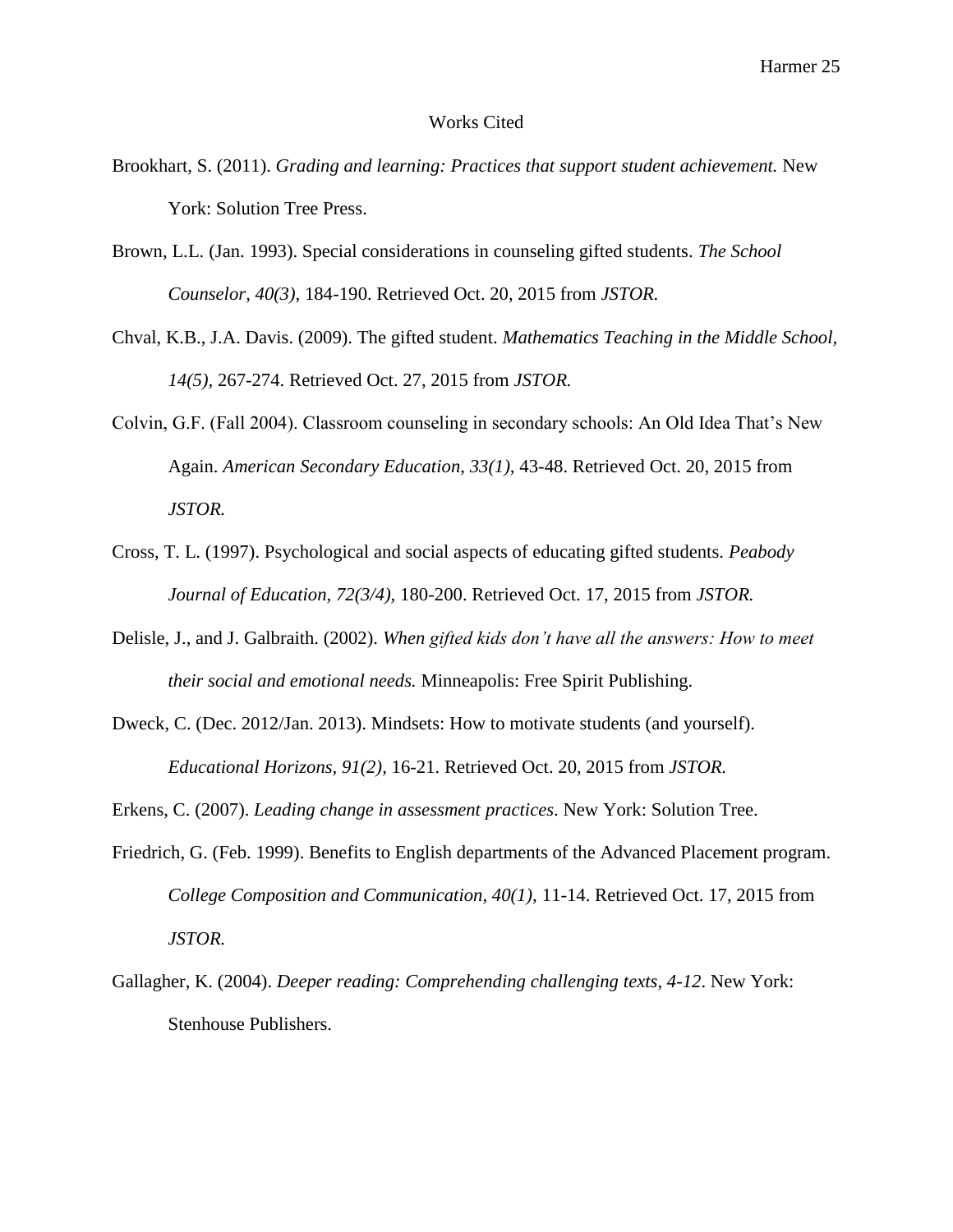#### Works Cited

- Brookhart, S. (2011). *Grading and learning: Practices that support student achievement.* New York: Solution Tree Press.
- Brown, L.L. (Jan. 1993). Special considerations in counseling gifted students. *The School Counselor, 40(3),* 184-190. Retrieved Oct. 20, 2015 from *JSTOR.*
- Chval, K.B., J.A. Davis. (2009). The gifted student. *Mathematics Teaching in the Middle School, 14(5),* 267-274. Retrieved Oct. 27, 2015 from *JSTOR.*
- Colvin, G.F. (Fall 2004). Classroom counseling in secondary schools: An Old Idea That's New Again. *American Secondary Education, 33(1),* 43-48. Retrieved Oct. 20, 2015 from *JSTOR.*
- Cross, T. L. (1997). Psychological and social aspects of educating gifted students. *Peabody Journal of Education, 72(3/4),* 180-200. Retrieved Oct. 17, 2015 from *JSTOR.*
- Delisle, J., and J. Galbraith. (2002). *When gifted kids don't have all the answers: How to meet their social and emotional needs.* Minneapolis: Free Spirit Publishing.
- Dweck, C. (Dec. 2012/Jan. 2013). Mindsets: How to motivate students (and yourself). *Educational Horizons, 91(2),* 16-21. Retrieved Oct. 20, 2015 from *JSTOR.*
- Erkens, C. (2007). *Leading change in assessment practices*. New York: Solution Tree.
- Friedrich, G. (Feb. 1999). Benefits to English departments of the Advanced Placement program. *College Composition and Communication, 40(1),* 11-14. Retrieved Oct. 17, 2015 from *JSTOR.*
- Gallagher, K. (2004). *Deeper reading: Comprehending challenging texts, 4-12*. New York: Stenhouse Publishers.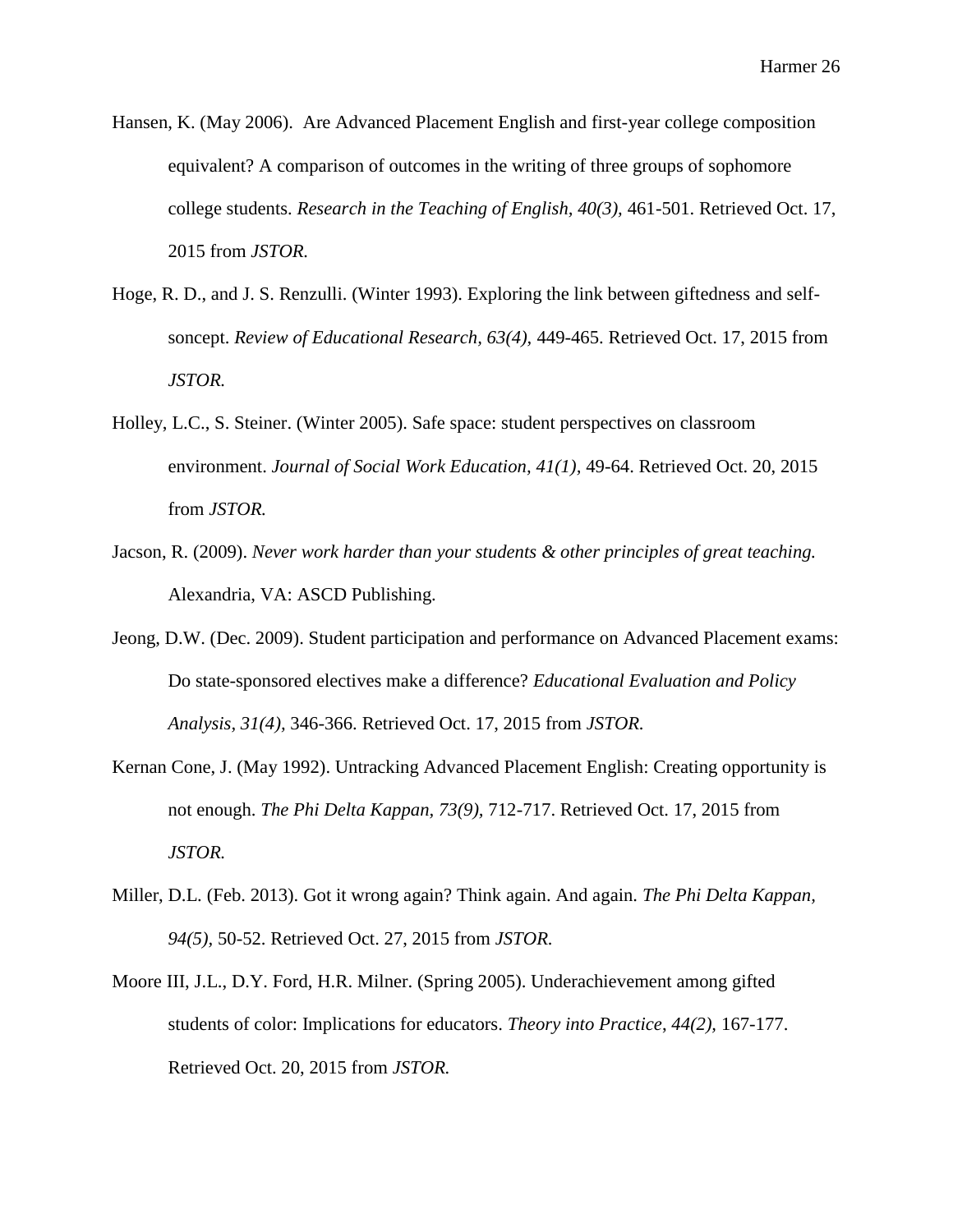- Hansen, K. (May 2006). Are Advanced Placement English and first-year college composition equivalent? A comparison of outcomes in the writing of three groups of sophomore college students. *Research in the Teaching of English, 40(3),* 461-501. Retrieved Oct. 17, 2015 from *JSTOR.*
- Hoge, R. D., and J. S. Renzulli. (Winter 1993). Exploring the link between giftedness and selfsoncept. *Review of Educational Research, 63(4),* 449-465. Retrieved Oct. 17, 2015 from *JSTOR.*
- Holley, L.C., S. Steiner. (Winter 2005). Safe space: student perspectives on classroom environment. *Journal of Social Work Education, 41(1),* 49-64. Retrieved Oct. 20, 2015 from *JSTOR.*
- Jacson, R. (2009). *Never work harder than your students & other principles of great teaching.*  Alexandria, VA: ASCD Publishing.
- Jeong, D.W. (Dec. 2009). Student participation and performance on Advanced Placement exams: Do state-sponsored electives make a difference? *Educational Evaluation and Policy Analysis, 31(4),* 346-366. Retrieved Oct. 17, 2015 from *JSTOR.*
- Kernan Cone, J. (May 1992). Untracking Advanced Placement English: Creating opportunity is not enough. *The Phi Delta Kappan, 73(9),* 712-717. Retrieved Oct. 17, 2015 from *JSTOR.*
- Miller, D.L. (Feb. 2013). Got it wrong again? Think again. And again. *The Phi Delta Kappan, 94(5),* 50-52. Retrieved Oct. 27, 2015 from *JSTOR.*
- Moore III, J.L., D.Y. Ford, H.R. Milner. (Spring 2005). Underachievement among gifted students of color: Implications for educators. *Theory into Practice*, *44(2),* 167-177. Retrieved Oct. 20, 2015 from *JSTOR.*